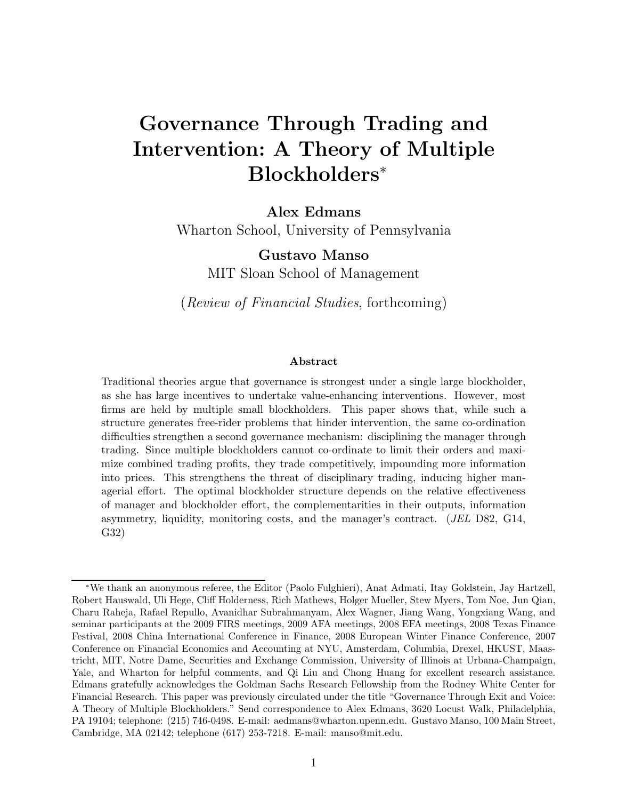# Governance Through Trading and Intervention: A Theory of Multiple Blockholders<sup>∗</sup>

Alex Edmans

Wharton School, University of Pennsylvania

#### Gustavo Manso

MIT Sloan School of Management

(Review of Financial Studies, forthcoming)

#### Abstract

Traditional theories argue that governance is strongest under a single large blockholder, as she has large incentives to undertake value-enhancing interventions. However, most firms are held by multiple small blockholders. This paper shows that, while such a structure generates free-rider problems that hinder intervention, the same co-ordination difficulties strengthen a second governance mechanism: disciplining the manager through trading. Since multiple blockholders cannot co-ordinate to limit their orders and maximize combined trading profits, they trade competitively, impounding more information into prices. This strengthens the threat of disciplinary trading, inducing higher managerial effort. The optimal blockholder structure depends on the relative effectiveness of manager and blockholder effort, the complementarities in their outputs, information asymmetry, liquidity, monitoring costs, and the manager's contract. (JEL D82, G14, G32)

<sup>∗</sup>We thank an anonymous referee, the Editor (Paolo Fulghieri), Anat Admati, Itay Goldstein, Jay Hartzell, Robert Hauswald, Uli Hege, Cliff Holderness, Rich Mathews, Holger Mueller, Stew Myers, Tom Noe, Jun Qian, Charu Raheja, Rafael Repullo, Avanidhar Subrahmanyam, Alex Wagner, Jiang Wang, Yongxiang Wang, and seminar participants at the 2009 FIRS meetings, 2009 AFA meetings, 2008 EFA meetings, 2008 Texas Finance Festival, 2008 China International Conference in Finance, 2008 European Winter Finance Conference, 2007 Conference on Financial Economics and Accounting at NYU, Amsterdam, Columbia, Drexel, HKUST, Maastricht, MIT, Notre Dame, Securities and Exchange Commission, University of Illinois at Urbana-Champaign, Yale, and Wharton for helpful comments, and Qi Liu and Chong Huang for excellent research assistance. Edmans gratefully acknowledges the Goldman Sachs Research Fellowship from the Rodney White Center for Financial Research. This paper was previously circulated under the title "Governance Through Exit and Voice: A Theory of Multiple Blockholders." Send correspondence to Alex Edmans, 3620 Locust Walk, Philadelphia, PA 19104; telephone: (215) 746-0498. E-mail: aedmans@wharton.upenn.edu. Gustavo Manso, 100 Main Street, Cambridge, MA 02142; telephone (617) 253-7218. E-mail: manso@mit.edu.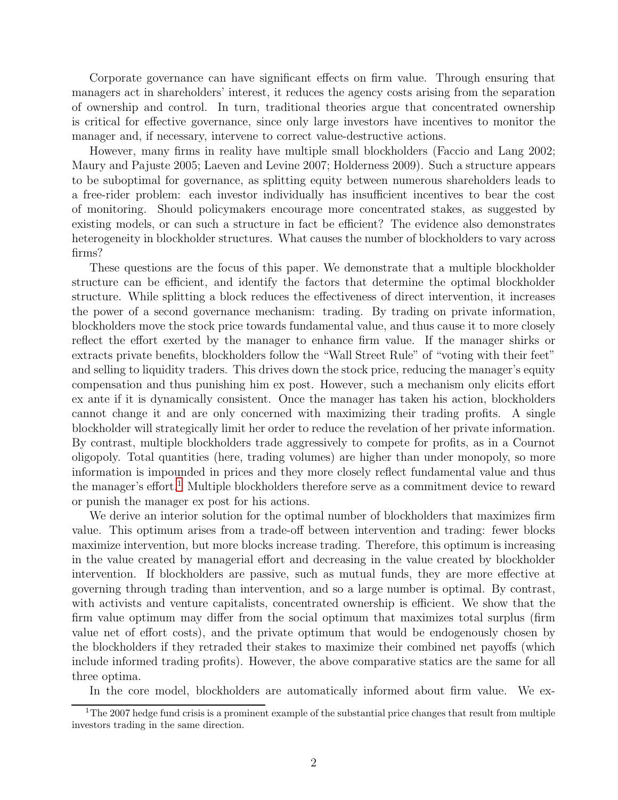Corporate governance can have significant effects on firm value. Through ensuring that managers act in shareholders' interest, it reduces the agency costs arising from the separation of ownership and control. In turn, traditional theories argue that concentrated ownership is critical for effective governance, since only large investors have incentives to monitor the manager and, if necessary, intervene to correct value-destructive actions.

However, many firms in reality have multiple small blockholders (Faccio and Lang 2002; Maury and Pajuste 2005; Laeven and Levine 2007; Holderness 2009). Such a structure appears to be suboptimal for governance, as splitting equity between numerous shareholders leads to a free-rider problem: each investor individually has insufficient incentives to bear the cost of monitoring. Should policymakers encourage more concentrated stakes, as suggested by existing models, or can such a structure in fact be efficient? The evidence also demonstrates heterogeneity in blockholder structures. What causes the number of blockholders to vary across firms?

These questions are the focus of this paper. We demonstrate that a multiple blockholder structure can be efficient, and identify the factors that determine the optimal blockholder structure. While splitting a block reduces the effectiveness of direct intervention, it increases the power of a second governance mechanism: trading. By trading on private information, blockholders move the stock price towards fundamental value, and thus cause it to more closely reflect the effort exerted by the manager to enhance firm value. If the manager shirks or extracts private benefits, blockholders follow the "Wall Street Rule" of "voting with their feet" and selling to liquidity traders. This drives down the stock price, reducing the manager's equity compensation and thus punishing him ex post. However, such a mechanism only elicits effort ex ante if it is dynamically consistent. Once the manager has taken his action, blockholders cannot change it and are only concerned with maximizing their trading profits. A single blockholder will strategically limit her order to reduce the revelation of her private information. By contrast, multiple blockholders trade aggressively to compete for profits, as in a Cournot oligopoly. Total quantities (here, trading volumes) are higher than under monopoly, so more information is impounded in prices and they more closely reflect fundamental value and thus the manager's effort.<sup>1</sup> Multiple blockholders therefore serve as a commitment device to reward or punish the manager ex post for his actions.

We derive an interior solution for the optimal number of blockholders that maximizes firm value. This optimum arises from a trade-off between intervention and trading: fewer blocks maximize intervention, but more blocks increase trading. Therefore, this optimum is increasing in the value created by managerial effort and decreasing in the value created by blockholder intervention. If blockholders are passive, such as mutual funds, they are more effective at governing through trading than intervention, and so a large number is optimal. By contrast, with activists and venture capitalists, concentrated ownership is efficient. We show that the firm value optimum may differ from the social optimum that maximizes total surplus (firm value net of effort costs), and the private optimum that would be endogenously chosen by the blockholders if they retraded their stakes to maximize their combined net payoffs (which include informed trading profits). However, the above comparative statics are the same for all three optima.

In the core model, blockholders are automatically informed about firm value. We ex-

 $1$ <sup>1</sup>The 2007 hedge fund crisis is a prominent example of the substantial price changes that result from multiple investors trading in the same direction.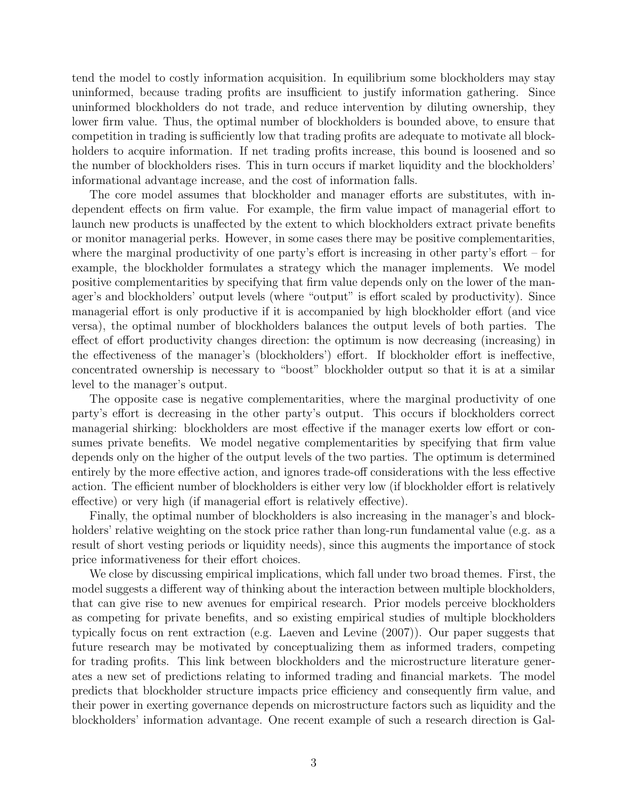tend the model to costly information acquisition. In equilibrium some blockholders may stay uninformed, because trading profits are insufficient to justify information gathering. Since uninformed blockholders do not trade, and reduce intervention by diluting ownership, they lower firm value. Thus, the optimal number of blockholders is bounded above, to ensure that competition in trading is sufficiently low that trading profits are adequate to motivate all blockholders to acquire information. If net trading profits increase, this bound is loosened and so the number of blockholders rises. This in turn occurs if market liquidity and the blockholders' informational advantage increase, and the cost of information falls.

The core model assumes that blockholder and manager efforts are substitutes, with independent effects on firm value. For example, the firm value impact of managerial effort to launch new products is unaffected by the extent to which blockholders extract private benefits or monitor managerial perks. However, in some cases there may be positive complementarities, where the marginal productivity of one party's effort is increasing in other party's effort – for example, the blockholder formulates a strategy which the manager implements. We model positive complementarities by specifying that firm value depends only on the lower of the manager's and blockholders' output levels (where "output" is effort scaled by productivity). Since managerial effort is only productive if it is accompanied by high blockholder effort (and vice versa), the optimal number of blockholders balances the output levels of both parties. The effect of effort productivity changes direction: the optimum is now decreasing (increasing) in the effectiveness of the manager's (blockholders') effort. If blockholder effort is ineffective, concentrated ownership is necessary to "boost" blockholder output so that it is at a similar level to the manager's output.

The opposite case is negative complementarities, where the marginal productivity of one party's effort is decreasing in the other party's output. This occurs if blockholders correct managerial shirking: blockholders are most effective if the manager exerts low effort or consumes private benefits. We model negative complementarities by specifying that firm value depends only on the higher of the output levels of the two parties. The optimum is determined entirely by the more effective action, and ignores trade-off considerations with the less effective action. The efficient number of blockholders is either very low (if blockholder effort is relatively effective) or very high (if managerial effort is relatively effective).

Finally, the optimal number of blockholders is also increasing in the manager's and blockholders' relative weighting on the stock price rather than long-run fundamental value (e.g. as a result of short vesting periods or liquidity needs), since this augments the importance of stock price informativeness for their effort choices.

We close by discussing empirical implications, which fall under two broad themes. First, the model suggests a different way of thinking about the interaction between multiple blockholders, that can give rise to new avenues for empirical research. Prior models perceive blockholders as competing for private benefits, and so existing empirical studies of multiple blockholders typically focus on rent extraction (e.g. Laeven and Levine (2007)). Our paper suggests that future research may be motivated by conceptualizing them as informed traders, competing for trading profits. This link between blockholders and the microstructure literature generates a new set of predictions relating to informed trading and financial markets. The model predicts that blockholder structure impacts price efficiency and consequently firm value, and their power in exerting governance depends on microstructure factors such as liquidity and the blockholders' information advantage. One recent example of such a research direction is Gal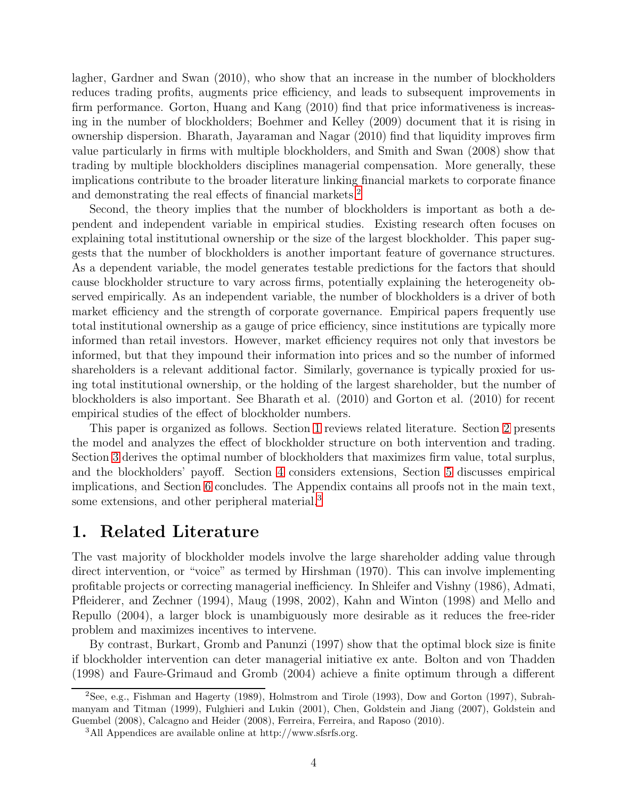lagher, Gardner and Swan (2010), who show that an increase in the number of blockholders reduces trading profits, augments price efficiency, and leads to subsequent improvements in firm performance. Gorton, Huang and Kang (2010) find that price informativeness is increasing in the number of blockholders; Boehmer and Kelley (2009) document that it is rising in ownership dispersion. Bharath, Jayaraman and Nagar (2010) find that liquidity improves firm value particularly in firms with multiple blockholders, and Smith and Swan (2008) show that trading by multiple blockholders disciplines managerial compensation. More generally, these implications contribute to the broader literature linking financial markets to corporate finance and demonstrating the real effects of financial markets.<sup>2</sup>

Second, the theory implies that the number of blockholders is important as both a dependent and independent variable in empirical studies. Existing research often focuses on explaining total institutional ownership or the size of the largest blockholder. This paper suggests that the number of blockholders is another important feature of governance structures. As a dependent variable, the model generates testable predictions for the factors that should cause blockholder structure to vary across firms, potentially explaining the heterogeneity observed empirically. As an independent variable, the number of blockholders is a driver of both market efficiency and the strength of corporate governance. Empirical papers frequently use total institutional ownership as a gauge of price efficiency, since institutions are typically more informed than retail investors. However, market efficiency requires not only that investors be informed, but that they impound their information into prices and so the number of informed shareholders is a relevant additional factor. Similarly, governance is typically proxied for using total institutional ownership, or the holding of the largest shareholder, but the number of blockholders is also important. See Bharath et al. (2010) and Gorton et al. (2010) for recent empirical studies of the effect of blockholder numbers.

This paper is organized as follows. Section [1](#page-3-0) reviews related literature. Section [2](#page-6-0) presents the model and analyzes the effect of blockholder structure on both intervention and trading. Section [3](#page-12-0) derives the optimal number of blockholders that maximizes firm value, total surplus, and the blockholders' payoff. Section [4](#page-14-0) considers extensions, Section [5](#page-21-0) discusses empirical implications, and Section [6](#page-24-0) concludes. The Appendix contains all proofs not in the main text, some extensions, and other peripheral material.<sup>3</sup>

# <span id="page-3-0"></span>1. Related Literature

The vast majority of blockholder models involve the large shareholder adding value through direct intervention, or "voice" as termed by Hirshman (1970). This can involve implementing profitable projects or correcting managerial inefficiency. In Shleifer and Vishny (1986), Admati, Pfleiderer, and Zechner (1994), Maug (1998, 2002), Kahn and Winton (1998) and Mello and Repullo (2004), a larger block is unambiguously more desirable as it reduces the free-rider problem and maximizes incentives to intervene.

By contrast, Burkart, Gromb and Panunzi (1997) show that the optimal block size is finite if blockholder intervention can deter managerial initiative ex ante. Bolton and von Thadden (1998) and Faure-Grimaud and Gromb (2004) achieve a finite optimum through a different

<sup>2</sup>See, e.g., Fishman and Hagerty (1989), Holmstrom and Tirole (1993), Dow and Gorton (1997), Subrahmanyam and Titman (1999), Fulghieri and Lukin (2001), Chen, Goldstein and Jiang (2007), Goldstein and Guembel (2008), Calcagno and Heider (2008), Ferreira, Ferreira, and Raposo (2010).

<sup>3</sup>All Appendices are available online at http://www.sfsrfs.org.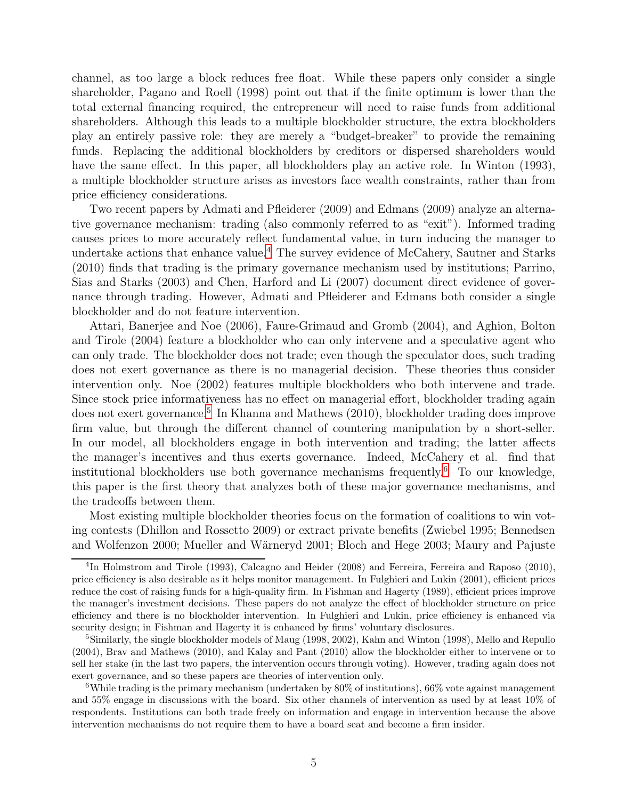channel, as too large a block reduces free float. While these papers only consider a single shareholder, Pagano and Roell (1998) point out that if the finite optimum is lower than the total external financing required, the entrepreneur will need to raise funds from additional shareholders. Although this leads to a multiple blockholder structure, the extra blockholders play an entirely passive role: they are merely a "budget-breaker" to provide the remaining funds. Replacing the additional blockholders by creditors or dispersed shareholders would have the same effect. In this paper, all blockholders play an active role. In Winton (1993), a multiple blockholder structure arises as investors face wealth constraints, rather than from price efficiency considerations.

Two recent papers by Admati and Pfleiderer (2009) and Edmans (2009) analyze an alternative governance mechanism: trading (also commonly referred to as "exit"). Informed trading causes prices to more accurately reflect fundamental value, in turn inducing the manager to undertake actions that enhance value.<sup>4</sup> The survey evidence of McCahery, Sautner and Starks (2010) finds that trading is the primary governance mechanism used by institutions; Parrino, Sias and Starks (2003) and Chen, Harford and Li (2007) document direct evidence of governance through trading. However, Admati and Pfleiderer and Edmans both consider a single blockholder and do not feature intervention.

Attari, Banerjee and Noe (2006), Faure-Grimaud and Gromb (2004), and Aghion, Bolton and Tirole (2004) feature a blockholder who can only intervene and a speculative agent who can only trade. The blockholder does not trade; even though the speculator does, such trading does not exert governance as there is no managerial decision. These theories thus consider intervention only. Noe (2002) features multiple blockholders who both intervene and trade. Since stock price informativeness has no effect on managerial effort, blockholder trading again does not exert governance.<sup>5</sup> In Khanna and Mathews (2010), blockholder trading does improve firm value, but through the different channel of countering manipulation by a short-seller. In our model, all blockholders engage in both intervention and trading; the latter affects the manager's incentives and thus exerts governance. Indeed, McCahery et al. find that institutional blockholders use both governance mechanisms frequently.<sup>6</sup> To our knowledge, this paper is the first theory that analyzes both of these major governance mechanisms, and the tradeoffs between them.

Most existing multiple blockholder theories focus on the formation of coalitions to win voting contests (Dhillon and Rossetto 2009) or extract private benefits (Zwiebel 1995; Bennedsen and Wolfenzon 2000; Mueller and Wärneryd 2001; Bloch and Hege 2003; Maury and Pajuste

<sup>&</sup>lt;sup>4</sup>In Holmstrom and Tirole (1993), Calcagno and Heider (2008) and Ferreira, Ferreira and Raposo (2010), price efficiency is also desirable as it helps monitor management. In Fulghieri and Lukin (2001), efficient prices reduce the cost of raising funds for a high-quality firm. In Fishman and Hagerty (1989), efficient prices improve the manager's investment decisions. These papers do not analyze the effect of blockholder structure on price efficiency and there is no blockholder intervention. In Fulghieri and Lukin, price efficiency is enhanced via security design; in Fishman and Hagerty it is enhanced by firms' voluntary disclosures.

<sup>5</sup>Similarly, the single blockholder models of Maug (1998, 2002), Kahn and Winton (1998), Mello and Repullo (2004), Brav and Mathews (2010), and Kalay and Pant (2010) allow the blockholder either to intervene or to sell her stake (in the last two papers, the intervention occurs through voting). However, trading again does not exert governance, and so these papers are theories of intervention only.

<sup>&</sup>lt;sup>6</sup>While trading is the primary mechanism (undertaken by  $80\%$  of institutions),  $66\%$  vote against management and 55% engage in discussions with the board. Six other channels of intervention as used by at least 10% of respondents. Institutions can both trade freely on information and engage in intervention because the above intervention mechanisms do not require them to have a board seat and become a firm insider.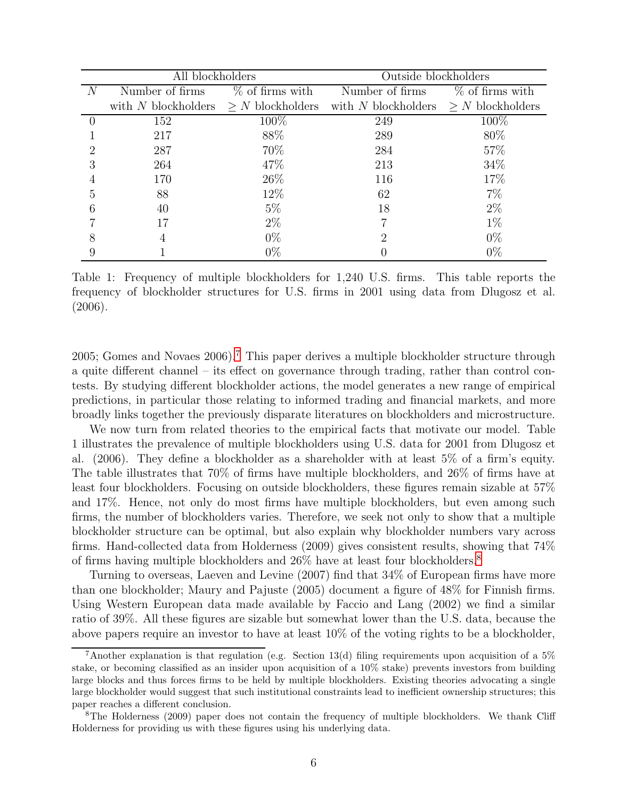|                  | All blockholders                          |                   | Outside blockholders                      |                   |  |
|------------------|-------------------------------------------|-------------------|-------------------------------------------|-------------------|--|
| $\overline{N}$   | Number of firms                           | $%$ of firms with | Number of firms                           | $%$ of firms with |  |
|                  | with N blockholders $\geq N$ blockholders |                   | with N blockholders $\geq N$ blockholders |                   |  |
| $\left( \right)$ | 152                                       | $100\%$           | 249                                       | 100%              |  |
|                  | 217                                       | 88\%              | 289                                       | 80\%              |  |
|                  | 287                                       | 70\%              | 284                                       | 57%               |  |
| 3                | 264                                       | 47\%              | 213                                       | 34\%              |  |
|                  | 170                                       | 26\%              | 116                                       | 17\%              |  |
| h,               | 88                                        | 12\%              | 62                                        | $7\%$             |  |
|                  | 40                                        | $5\%$             | 18                                        | $2\%$             |  |
|                  | 17                                        | $2\%$             |                                           | $1\%$             |  |
|                  |                                           | $0\%$             | 2                                         | $0\%$             |  |
|                  |                                           | $0\%$             |                                           | $0\%$             |  |

Table 1: Frequency of multiple blockholders for 1,240 U.S. firms. This table reports the frequency of blockholder structures for U.S. firms in 2001 using data from Dlugosz et al. (2006).

2005; Gomes and Novaes 2006).<sup>7</sup> This paper derives a multiple blockholder structure through a quite different channel – its effect on governance through trading, rather than control contests. By studying different blockholder actions, the model generates a new range of empirical predictions, in particular those relating to informed trading and financial markets, and more broadly links together the previously disparate literatures on blockholders and microstructure.

We now turn from related theories to the empirical facts that motivate our model. Table 1 illustrates the prevalence of multiple blockholders using U.S. data for 2001 from Dlugosz et al. (2006). They define a blockholder as a shareholder with at least 5% of a firm's equity. The table illustrates that 70% of firms have multiple blockholders, and 26% of firms have at least four blockholders. Focusing on outside blockholders, these figures remain sizable at 57% and 17%. Hence, not only do most firms have multiple blockholders, but even among such firms, the number of blockholders varies. Therefore, we seek not only to show that a multiple blockholder structure can be optimal, but also explain why blockholder numbers vary across firms. Hand-collected data from Holderness (2009) gives consistent results, showing that 74% of firms having multiple blockholders and 26% have at least four blockholders.<sup>8</sup>

Turning to overseas, Laeven and Levine (2007) find that 34% of European firms have more than one blockholder; Maury and Pajuste (2005) document a figure of 48% for Finnish firms. Using Western European data made available by Faccio and Lang (2002) we find a similar ratio of 39%. All these figures are sizable but somewhat lower than the U.S. data, because the above papers require an investor to have at least 10% of the voting rights to be a blockholder,

<sup>&</sup>lt;sup>7</sup>Another explanation is that regulation (e.g. Section 13(d) filing requirements upon acquisition of a  $5\%$ stake, or becoming classified as an insider upon acquisition of a 10% stake) prevents investors from building large blocks and thus forces firms to be held by multiple blockholders. Existing theories advocating a single large blockholder would suggest that such institutional constraints lead to inefficient ownership structures; this paper reaches a different conclusion.

<sup>&</sup>lt;sup>8</sup>The Holderness (2009) paper does not contain the frequency of multiple blockholders. We thank Cliff Holderness for providing us with these figures using his underlying data.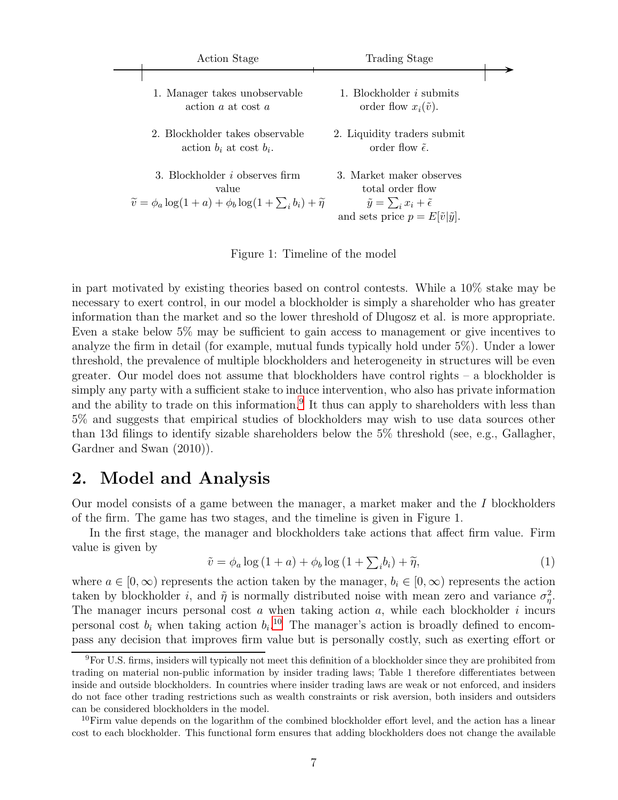| Action Stage                                                                                                                        | <b>Trading Stage</b>                                                                                                                         |  |
|-------------------------------------------------------------------------------------------------------------------------------------|----------------------------------------------------------------------------------------------------------------------------------------------|--|
| 1. Manager takes unobservable<br>action $a$ at cost $a$                                                                             | 1. Blockholder <i>i</i> submits<br>order flow $x_i(\tilde{v})$ .                                                                             |  |
| 2. Blockholder takes observable<br>action $b_i$ at cost $b_i$ .                                                                     | 2. Liquidity traders submit<br>order flow $\tilde{\epsilon}$ .                                                                               |  |
| 3. Blockholder <i>i</i> observes firm<br>value<br>$\widetilde{v} = \phi_a \log(1+a) + \phi_b \log(1+\sum_i b_i) + \widetilde{\eta}$ | 3. Market maker observes<br>total order flow<br>$\tilde{y} = \sum_i x_i + \tilde{\epsilon}$<br>and sets price $p = E[\tilde{v} \tilde{y}]$ . |  |

Figure 1: Timeline of the model

in part motivated by existing theories based on control contests. While a 10% stake may be necessary to exert control, in our model a blockholder is simply a shareholder who has greater information than the market and so the lower threshold of Dlugosz et al. is more appropriate. Even a stake below 5% may be sufficient to gain access to management or give incentives to analyze the firm in detail (for example, mutual funds typically hold under 5%). Under a lower threshold, the prevalence of multiple blockholders and heterogeneity in structures will be even greater. Our model does not assume that blockholders have control rights – a blockholder is simply any party with a sufficient stake to induce intervention, who also has private information and the ability to trade on this information.<sup>9</sup> It thus can apply to shareholders with less than 5% and suggests that empirical studies of blockholders may wish to use data sources other than 13d filings to identify sizable shareholders below the 5% threshold (see, e.g., Gallagher, Gardner and Swan (2010)).

## <span id="page-6-0"></span>2. Model and Analysis

Our model consists of a game between the manager, a market maker and the I blockholders of the firm. The game has two stages, and the timeline is given in Figure 1.

In the first stage, the manager and blockholders take actions that affect firm value. Firm value is given by

<span id="page-6-1"></span>
$$
\tilde{v} = \phi_a \log(1 + a) + \phi_b \log(1 + \sum_i b_i) + \tilde{\eta},\tag{1}
$$

where  $a \in [0, \infty)$  represents the action taken by the manager,  $b_i \in [0, \infty)$  represents the action taken by blockholder *i*, and  $\tilde{\eta}$  is normally distributed noise with mean zero and variance  $\sigma_{\eta}^2$ . The manager incurs personal cost  $a$  when taking action  $a$ , while each blockholder  $i$  incurs personal cost  $b_i$  when taking action  $b_i$ <sup>10</sup> The manager's action is broadly defined to encompass any decision that improves firm value but is personally costly, such as exerting effort or

 $9F<sup>9</sup>$  For U.S. firms, insiders will typically not meet this definition of a blockholder since they are prohibited from trading on material non-public information by insider trading laws; Table 1 therefore differentiates between inside and outside blockholders. In countries where insider trading laws are weak or not enforced, and insiders do not face other trading restrictions such as wealth constraints or risk aversion, both insiders and outsiders can be considered blockholders in the model.

 $10$ Firm value depends on the logarithm of the combined blockholder effort level, and the action has a linear cost to each blockholder. This functional form ensures that adding blockholders does not change the available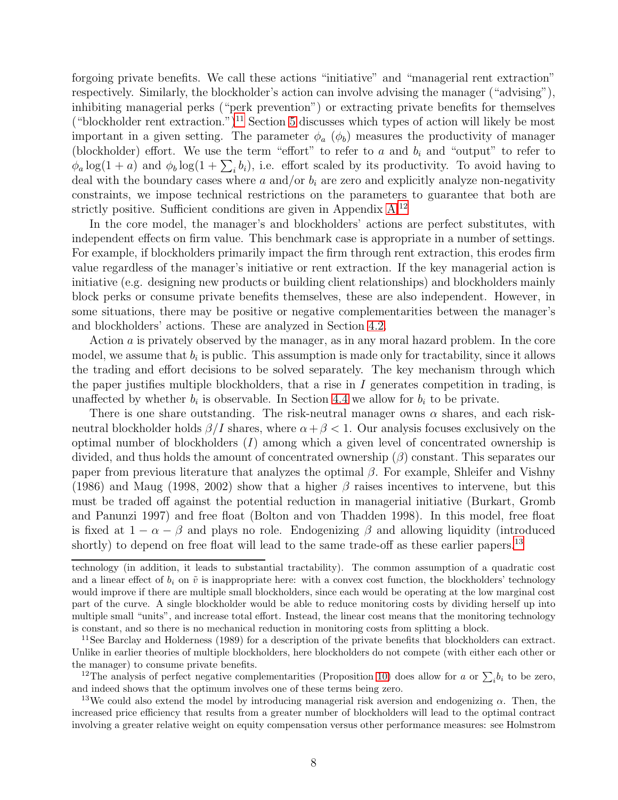forgoing private benefits. We call these actions "initiative" and "managerial rent extraction" respectively. Similarly, the blockholder's action can involve advising the manager ("advising"), inhibiting managerial perks ("perk prevention") or extracting private benefits for themselves ("blockholder rent extraction.")<sup>11</sup> Section [5](#page-21-0) discusses which types of action will likely be most important in a given setting. The parameter  $\phi_a$  ( $\phi_b$ ) measures the productivity of manager (blockholder) effort. We use the term "effort" to refer to a and  $b_i$  and "output" to refer to  $\phi_a \log(1+a)$  and  $\phi_b \log(1+\sum_i b_i)$ , i.e. effort scaled by its productivity. To avoid having to deal with the boundary cases where  $a$  and/or  $b_i$  are zero and explicitly analyze non-negativity constraints, we impose technical restrictions on the parameters to guarantee that both are strictly positive. Sufficient conditions are given in Appendix  $A^{12}$ .

In the core model, the manager's and blockholders' actions are perfect substitutes, with independent effects on firm value. This benchmark case is appropriate in a number of settings. For example, if blockholders primarily impact the firm through rent extraction, this erodes firm value regardless of the manager's initiative or rent extraction. If the key managerial action is initiative (e.g. designing new products or building client relationships) and blockholders mainly block perks or consume private benefits themselves, these are also independent. However, in some situations, there may be positive or negative complementarities between the manager's and blockholders' actions. These are analyzed in Section [4.2.](#page-15-0)

Action a is privately observed by the manager, as in any moral hazard problem. In the core model, we assume that  $b_i$  is public. This assumption is made only for tractability, since it allows the trading and effort decisions to be solved separately. The key mechanism through which the paper justifies multiple blockholders, that a rise in  $I$  generates competition in trading, is unaffected by whether  $b_i$  is observable. In Section [4.4](#page-19-0) we allow for  $b_i$  to be private.

There is one share outstanding. The risk-neutral manager owns  $\alpha$  shares, and each riskneutral blockholder holds  $\beta/I$  shares, where  $\alpha + \beta < 1$ . Our analysis focuses exclusively on the optimal number of blockholders  $(I)$  among which a given level of concentrated ownership is divided, and thus holds the amount of concentrated ownership  $(\beta)$  constant. This separates our paper from previous literature that analyzes the optimal  $\beta$ . For example, Shleifer and Vishny (1986) and Maug (1998, 2002) show that a higher  $\beta$  raises incentives to intervene, but this must be traded off against the potential reduction in managerial initiative (Burkart, Gromb and Panunzi 1997) and free float (Bolton and von Thadden 1998). In this model, free float is fixed at  $1 - \alpha - \beta$  and plays no role. Endogenizing  $\beta$  and allowing liquidity (introduced shortly) to depend on free float will lead to the same trade-off as these earlier papers.<sup>13</sup>

technology (in addition, it leads to substantial tractability). The common assumption of a quadratic cost and a linear effect of  $b_i$  on  $\tilde{v}$  is inappropriate here: with a convex cost function, the blockholders' technology would improve if there are multiple small blockholders, since each would be operating at the low marginal cost part of the curve. A single blockholder would be able to reduce monitoring costs by dividing herself up into multiple small "units", and increase total effort. Instead, the linear cost means that the monitoring technology is constant, and so there is no mechanical reduction in monitoring costs from splitting a block.

<sup>11</sup>See Barclay and Holderness (1989) for a description of the private benefits that blockholders can extract. Unlike in earlier theories of multiple blockholders, here blockholders do not compete (with either each other or the manager) to consume private benefits.

<sup>&</sup>lt;sup>12</sup>The analysis of perfect negative complementarities (Proposition [10\)](#page-17-0) does allow for a or  $\sum_i b_i$  to be zero, and indeed shows that the optimum involves one of these terms being zero.

<sup>&</sup>lt;sup>13</sup>We could also extend the model by introducing managerial risk aversion and endogenizing  $\alpha$ . Then, the increased price efficiency that results from a greater number of blockholders will lead to the optimal contract involving a greater relative weight on equity compensation versus other performance measures: see Holmstrom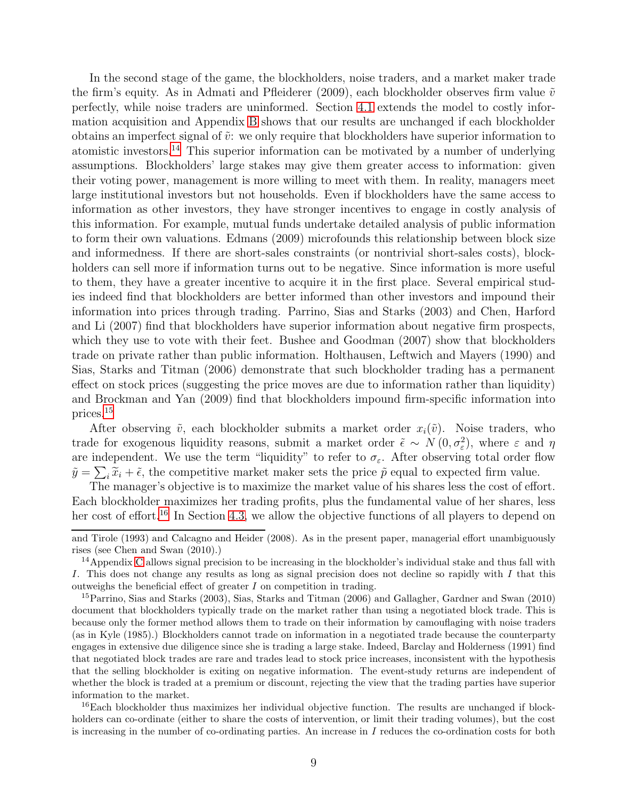In the second stage of the game, the blockholders, noise traders, and a market maker trade the firm's equity. As in Admati and Pfleiderer (2009), each blockholder observes firm value  $\tilde{v}$ perfectly, while noise traders are uninformed. Section [4.1](#page-14-1) extends the model to costly information acquisition and Appendix [B](#page-42-0) shows that our results are unchanged if each blockholder obtains an imperfect signal of  $\tilde{v}$ : we only require that blockholders have superior information to atomistic investors.<sup>14</sup> This superior information can be motivated by a number of underlying assumptions. Blockholders' large stakes may give them greater access to information: given their voting power, management is more willing to meet with them. In reality, managers meet large institutional investors but not households. Even if blockholders have the same access to information as other investors, they have stronger incentives to engage in costly analysis of this information. For example, mutual funds undertake detailed analysis of public information to form their own valuations. Edmans (2009) microfounds this relationship between block size and informedness. If there are short-sales constraints (or nontrivial short-sales costs), blockholders can sell more if information turns out to be negative. Since information is more useful to them, they have a greater incentive to acquire it in the first place. Several empirical studies indeed find that blockholders are better informed than other investors and impound their information into prices through trading. Parrino, Sias and Starks (2003) and Chen, Harford and Li (2007) find that blockholders have superior information about negative firm prospects, which they use to vote with their feet. Bushee and Goodman  $(2007)$  show that blockholders trade on private rather than public information. Holthausen, Leftwich and Mayers (1990) and Sias, Starks and Titman (2006) demonstrate that such blockholder trading has a permanent effect on stock prices (suggesting the price moves are due to information rather than liquidity) and Brockman and Yan (2009) find that blockholders impound firm-specific information into prices.<sup>15</sup>

After observing  $\tilde{v}$ , each blockholder submits a market order  $x_i(\tilde{v})$ . Noise traders, who trade for exogenous liquidity reasons, submit a market order  $\tilde{\epsilon} \sim N(0, \sigma_{\varepsilon}^2)$ , where  $\varepsilon$  and  $\eta$ are independent. We use the term "liquidity" to refer to  $\sigma_{\varepsilon}$ . After observing total order flow  $\tilde{y} = \sum_i \tilde{x}_i + \tilde{\epsilon}$ , the competitive market maker sets the price  $\tilde{p}$  equal to expected firm value.

The manager's objective is to maximize the market value of his shares less the cost of effort. Each blockholder maximizes her trading profits, plus the fundamental value of her shares, less her cost of effort.<sup>16</sup> In Section [4.3,](#page-18-0) we allow the objective functions of all players to depend on

<sup>16</sup>Each blockholder thus maximizes her individual objective function. The results are unchanged if blockholders can co-ordinate (either to share the costs of intervention, or limit their trading volumes), but the cost is increasing in the number of co-ordinating parties. An increase in I reduces the co-ordination costs for both

and Tirole (1993) and Calcagno and Heider (2008). As in the present paper, managerial effort unambiguously rises (see Chen and Swan (2010).)

 $14$ Appendix [C](#page-44-0) allows signal precision to be increasing in the blockholder's individual stake and thus fall with I. This does not change any results as long as signal precision does not decline so rapidly with I that this outweighs the beneficial effect of greater  $I$  on competition in trading.

<sup>15</sup>Parrino, Sias and Starks (2003), Sias, Starks and Titman (2006) and Gallagher, Gardner and Swan (2010) document that blockholders typically trade on the market rather than using a negotiated block trade. This is because only the former method allows them to trade on their information by camouflaging with noise traders (as in Kyle (1985).) Blockholders cannot trade on information in a negotiated trade because the counterparty engages in extensive due diligence since she is trading a large stake. Indeed, Barclay and Holderness (1991) find that negotiated block trades are rare and trades lead to stock price increases, inconsistent with the hypothesis that the selling blockholder is exiting on negative information. The event-study returns are independent of whether the block is traded at a premium or discount, rejecting the view that the trading parties have superior information to the market.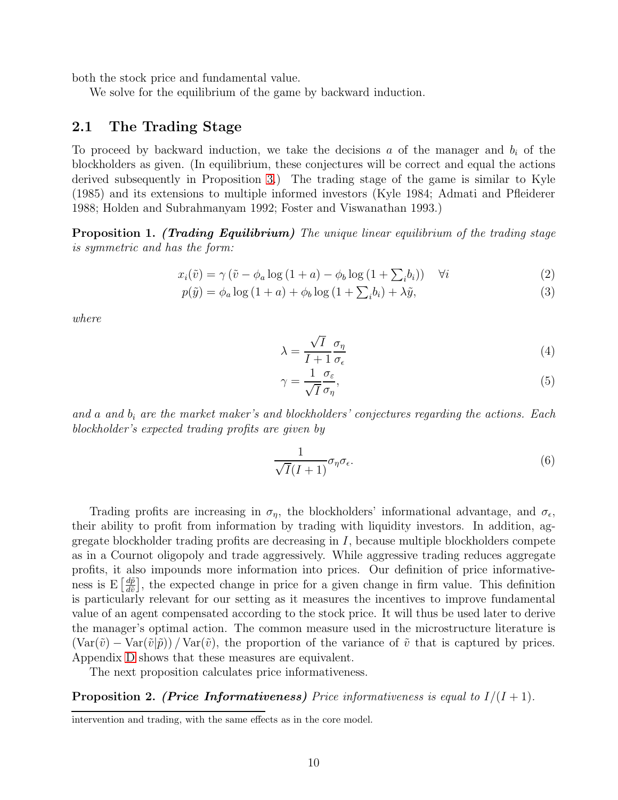both the stock price and fundamental value.

We solve for the equilibrium of the game by backward induction.

#### 2.1 The Trading Stage

To proceed by backward induction, we take the decisions a of the manager and  $b_i$  of the blockholders as given. (In equilibrium, these conjectures will be correct and equal the actions derived subsequently in Proposition [3.](#page-10-0)) The trading stage of the game is similar to Kyle (1985) and its extensions to multiple informed investors (Kyle 1984; Admati and Pfleiderer 1988; Holden and Subrahmanyam 1992; Foster and Viswanathan 1993.)

**Proposition 1. (Trading Equilibrium)** The unique linear equilibrium of the trading stage is symmetric and has the form:

$$
x_i(\tilde{v}) = \gamma (\tilde{v} - \phi_a \log (1 + a) - \phi_b \log (1 + \sum_i b_i)) \quad \forall i
$$
 (2)

$$
p(\tilde{y}) = \phi_a \log(1+a) + \phi_b \log(1+\sum_i b_i) + \lambda \tilde{y},\tag{3}
$$

where

<span id="page-9-4"></span><span id="page-9-3"></span>
$$
\lambda = \frac{\sqrt{I}}{I+1} \frac{\sigma_{\eta}}{\sigma_{\epsilon}}
$$
\n(4)

<span id="page-9-0"></span>
$$
\gamma = \frac{1}{\sqrt{I}} \frac{\sigma_{\varepsilon}}{\sigma_{\eta}},\tag{5}
$$

and a and  $b_i$  are the market maker's and blockholders' conjectures regarding the actions. Each blockholder's expected trading profits are given by

<span id="page-9-2"></span>
$$
\frac{1}{\sqrt{I}(I+1)}\sigma_{\eta}\sigma_{\epsilon}.\tag{6}
$$

Trading profits are increasing in  $\sigma_{\eta}$ , the blockholders' informational advantage, and  $\sigma_{\epsilon}$ , their ability to profit from information by trading with liquidity investors. In addition, aggregate blockholder trading profits are decreasing in I, because multiple blockholders compete as in a Cournot oligopoly and trade aggressively. While aggressive trading reduces aggregate profits, it also impounds more information into prices. Our definition of price informativeness is  $E\left[\frac{d\tilde{p}}{d\tilde{p}}\right]$  $\frac{d\tilde{p}}{d\tilde{v}}$ , the expected change in price for a given change in firm value. This definition is particularly relevant for our setting as it measures the incentives to improve fundamental value of an agent compensated according to the stock price. It will thus be used later to derive the manager's optimal action. The common measure used in the microstructure literature is  $(\text{Var}(\tilde{v}) - \text{Var}(\tilde{v})$ ) /  $\text{Var}(\tilde{v})$ , the proportion of the variance of  $\tilde{v}$  that is captured by prices. Appendix [D](#page-46-0) shows that these measures are equivalent.

<span id="page-9-1"></span>The next proposition calculates price informativeness.

**Proposition 2.** (Price Informativeness) Price informativeness is equal to  $I/(I + 1)$ .

intervention and trading, with the same effects as in the core model.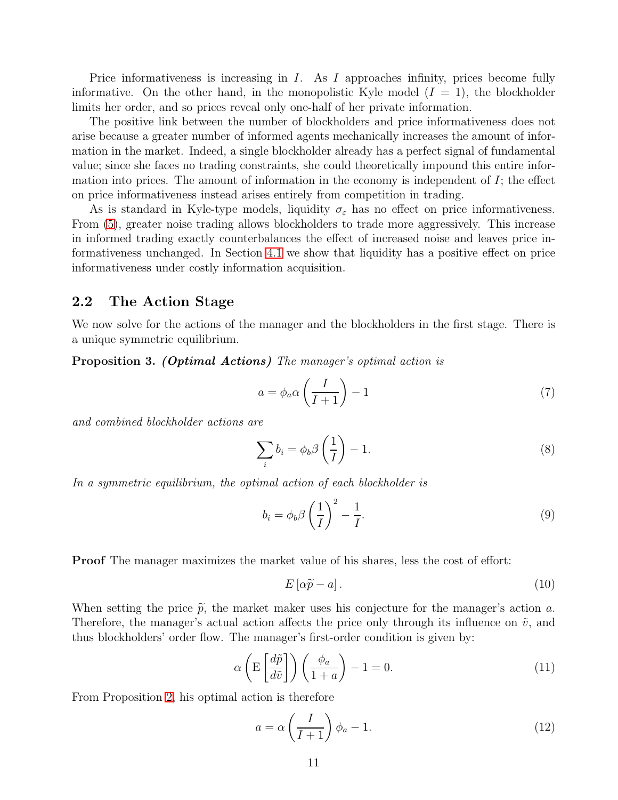Price informativeness is increasing in I. As I approaches infinity, prices become fully informative. On the other hand, in the monopolistic Kyle model  $(I = 1)$ , the blockholder limits her order, and so prices reveal only one-half of her private information.

The positive link between the number of blockholders and price informativeness does not arise because a greater number of informed agents mechanically increases the amount of information in the market. Indeed, a single blockholder already has a perfect signal of fundamental value; since she faces no trading constraints, she could theoretically impound this entire information into prices. The amount of information in the economy is independent of  $I$ ; the effect on price informativeness instead arises entirely from competition in trading.

As is standard in Kyle-type models, liquidity  $\sigma_{\varepsilon}$  has no effect on price informativeness. From [\(5\)](#page-9-0), greater noise trading allows blockholders to trade more aggressively. This increase in informed trading exactly counterbalances the effect of increased noise and leaves price informativeness unchanged. In Section [4.1](#page-14-1) we show that liquidity has a positive effect on price informativeness under costly information acquisition.

#### 2.2 The Action Stage

We now solve for the actions of the manager and the blockholders in the first stage. There is a unique symmetric equilibrium.

Proposition 3. (Optimal Actions) The manager's optimal action is

<span id="page-10-2"></span>
$$
a = \phi_a \alpha \left(\frac{I}{I+1}\right) - 1\tag{7}
$$

and combined blockholder actions are

$$
\sum_{i} b_i = \phi_b \beta \left(\frac{1}{I}\right) - 1. \tag{8}
$$

In a symmetric equilibrium, the optimal action of each blockholder is

<span id="page-10-0"></span>
$$
b_i = \phi_b \beta \left(\frac{1}{I}\right)^2 - \frac{1}{I}.\tag{9}
$$

Proof The manager maximizes the market value of his shares, less the cost of effort:

<span id="page-10-1"></span>
$$
E\left[\alpha \widetilde{p} - a\right].\tag{10}
$$

When setting the price  $\tilde{p}$ , the market maker uses his conjecture for the manager's action a. Therefore, the manager's actual action affects the price only through its influence on  $\tilde{v}$ , and thus blockholders' order flow. The manager's first-order condition is given by:

$$
\alpha \left( \mathcal{E} \left[ \frac{d\tilde{p}}{d\tilde{v}} \right] \right) \left( \frac{\phi_a}{1+a} \right) - 1 = 0. \tag{11}
$$

From Proposition [2,](#page-9-1) his optimal action is therefore

$$
a = \alpha \left(\frac{I}{I+1}\right)\phi_a - 1.
$$
\n(12)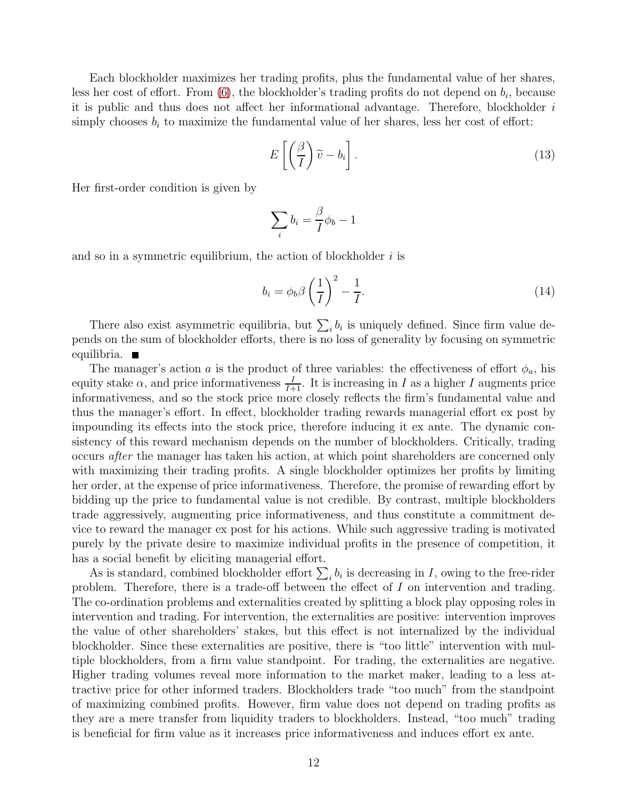Each blockholder maximizes her trading profits, plus the fundamental value of her shares, less her cost of effort. From  $(6)$ , the blockholder's trading profits do not depend on  $b_i$ , because it is public and thus does not affect her informational advantage. Therefore, blockholder  $i$ simply chooses  $b_i$  to maximize the fundamental value of her shares, less her cost of effort:

<span id="page-11-0"></span>
$$
E\left[\left(\frac{\beta}{I}\right)\widetilde{v}-b_i\right].
$$
\n(13)

Her first-order condition is given by

$$
\sum_i b_i = \frac{\beta}{I} \phi_b - 1
$$

and so in a symmetric equilibrium, the action of blockholder  $i$  is

$$
b_i = \phi_b \beta \left(\frac{1}{I}\right)^2 - \frac{1}{I}.\tag{14}
$$

There also exist asymmetric equilibria, but  $\sum_i b_i$  is uniquely defined. Since firm value depends on the sum of blockholder efforts, there is no loss of generality by focusing on symmetric equilibria.

The manager's action a is the product of three variables: the effectiveness of effort  $\phi_a$ , his equity stake  $\alpha$ , and price informativeness  $\frac{I}{I+1}$ . It is increasing in I as a higher I augments price informativeness, and so the stock price more closely reflects the firm's fundamental value and thus the manager's effort. In effect, blockholder trading rewards managerial effort ex post by impounding its effects into the stock price, therefore inducing it ex ante. The dynamic consistency of this reward mechanism depends on the number of blockholders. Critically, trading occurs after the manager has taken his action, at which point shareholders are concerned only with maximizing their trading profits. A single blockholder optimizes her profits by limiting her order, at the expense of price informativeness. Therefore, the promise of rewarding effort by bidding up the price to fundamental value is not credible. By contrast, multiple blockholders trade aggressively, augmenting price informativeness, and thus constitute a commitment device to reward the manager ex post for his actions. While such aggressive trading is motivated purely by the private desire to maximize individual profits in the presence of competition, it has a social benefit by eliciting managerial effort.

As is standard, combined blockholder effort  $\sum_i b_i$  is decreasing in I, owing to the free-rider problem. Therefore, there is a trade-off between the effect of I on intervention and trading. The co-ordination problems and externalities created by splitting a block play opposing roles in intervention and trading. For intervention, the externalities are positive: intervention improves the value of other shareholders' stakes, but this effect is not internalized by the individual blockholder. Since these externalities are positive, there is "too little" intervention with multiple blockholders, from a firm value standpoint. For trading, the externalities are negative. Higher trading volumes reveal more information to the market maker, leading to a less attractive price for other informed traders. Blockholders trade "too much" from the standpoint of maximizing combined profits. However, firm value does not depend on trading profits as they are a mere transfer from liquidity traders to blockholders. Instead, "too much" trading is beneficial for firm value as it increases price informativeness and induces effort ex ante.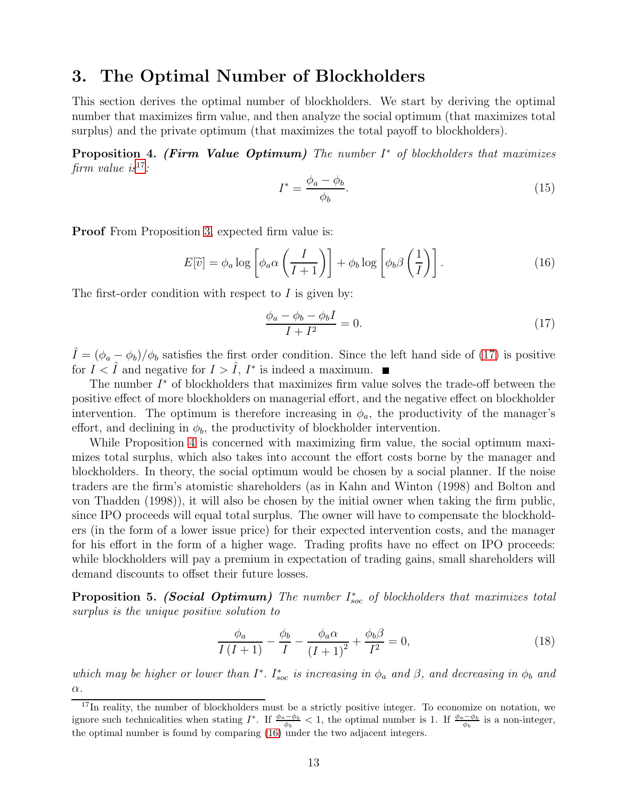### <span id="page-12-0"></span>3. The Optimal Number of Blockholders

This section derives the optimal number of blockholders. We start by deriving the optimal number that maximizes firm value, and then analyze the social optimum (that maximizes total surplus) and the private optimum (that maximizes the total payoff to blockholders).

<span id="page-12-2"></span>**Proposition 4. (Firm Value Optimum)** The number  $I^*$  of blockholders that maximizes firm value  $i s^{17}$ :

<span id="page-12-3"></span>
$$
I^* = \frac{\phi_a - \phi_b}{\phi_b}.\tag{15}
$$

**Proof** From Proposition [3,](#page-10-0) expected firm value is:

$$
E[\widetilde{v}] = \phi_a \log \left[ \phi_a \alpha \left( \frac{I}{I+1} \right) \right] + \phi_b \log \left[ \phi_b \beta \left( \frac{1}{I} \right) \right]. \tag{16}
$$

The first-order condition with respect to  $I$  is given by:

<span id="page-12-1"></span>
$$
\frac{\phi_a - \phi_b - \phi_b I}{I + I^2} = 0.
$$
\n
$$
(17)
$$

 $\hat{I} = (\phi_a - \phi_b)/\phi_b$  satisfies the first order condition. Since the left hand side of [\(17\)](#page-12-1) is positive for  $I \leq \hat{I}$  and negative for  $I > \hat{I}$ ,  $I^*$  is indeed a maximum.

The number  $I^*$  of blockholders that maximizes firm value solves the trade-off between the positive effect of more blockholders on managerial effort, and the negative effect on blockholder intervention. The optimum is therefore increasing in  $\phi_a$ , the productivity of the manager's effort, and declining in  $\phi_b$ , the productivity of blockholder intervention.

While Proposition [4](#page-12-2) is concerned with maximizing firm value, the social optimum maximizes total surplus, which also takes into account the effort costs borne by the manager and blockholders. In theory, the social optimum would be chosen by a social planner. If the noise traders are the firm's atomistic shareholders (as in Kahn and Winton (1998) and Bolton and von Thadden (1998)), it will also be chosen by the initial owner when taking the firm public, since IPO proceeds will equal total surplus. The owner will have to compensate the blockholders (in the form of a lower issue price) for their expected intervention costs, and the manager for his effort in the form of a higher wage. Trading profits have no effect on IPO proceeds: while blockholders will pay a premium in expectation of trading gains, small shareholders will demand discounts to offset their future losses.

**Proposition 5. (Social Optimum)** The number  $I_{soc}^*$  of blockholders that maximizes total surplus is the unique positive solution to

<span id="page-12-4"></span>
$$
\frac{\phi_a}{I(I+1)} - \frac{\phi_b}{I} - \frac{\phi_a \alpha}{(I+1)^2} + \frac{\phi_b \beta}{I^2} = 0,\tag{18}
$$

which may be higher or lower than  $I^*$ .  $I_{soc}^*$  is increasing in  $\phi_a$  and  $\beta$ , and decreasing in  $\phi_b$  and α.

<sup>&</sup>lt;sup>17</sup>In reality, the number of blockholders must be a strictly positive integer. To economize on notation, we ignore such technicalities when stating  $I^*$ . If  $\frac{\phi_a - \phi_b}{\phi_b} < 1$ , the optimal number is 1. If  $\frac{\phi_a - \phi_b}{\phi_b}$  is a non-integer, the optimal number is found by comparing [\(16\)](#page-12-3) under the two adjacent integers.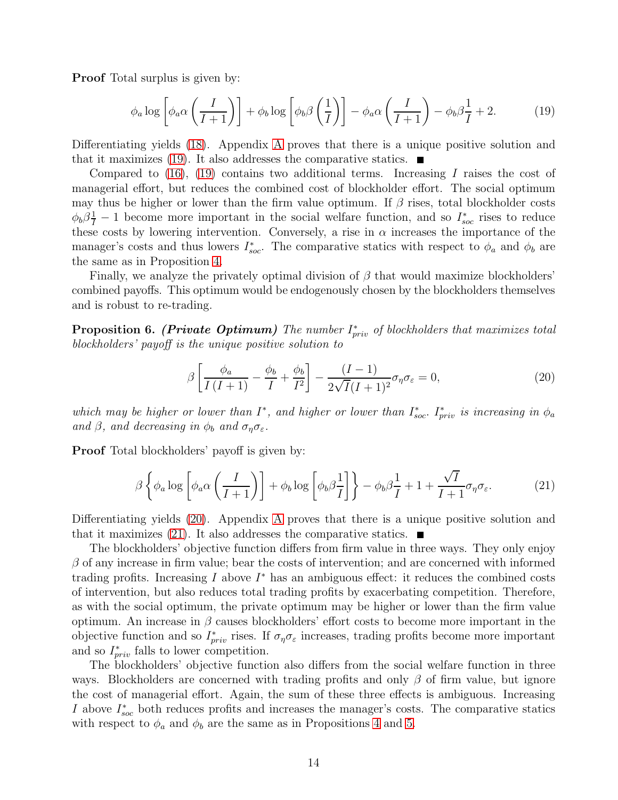Proof Total surplus is given by:

<span id="page-13-0"></span>
$$
\phi_a \log \left[ \phi_a \alpha \left( \frac{I}{I+1} \right) \right] + \phi_b \log \left[ \phi_b \beta \left( \frac{1}{I} \right) \right] - \phi_a \alpha \left( \frac{I}{I+1} \right) - \phi_b \beta \frac{1}{I} + 2. \tag{19}
$$

Differentiating yields [\(18\)](#page-12-4). Appendix [A](#page-31-0) proves that there is a unique positive solution and that it maximizes [\(19\)](#page-13-0). It also addresses the comparative statics.

Compared to  $(16)$ ,  $(19)$  contains two additional terms. Increasing I raises the cost of managerial effort, but reduces the combined cost of blockholder effort. The social optimum may thus be higher or lower than the firm value optimum. If  $\beta$  rises, total blockholder costs  $\phi_b \beta_{\overline{I}}^1 - 1$  become more important in the social welfare function, and so  $I_{\text{soc}}^*$  rises to reduce these costs by lowering intervention. Conversely, a rise in  $\alpha$  increases the importance of the manager's costs and thus lowers  $I_{soc}^*$ . The comparative statics with respect to  $\phi_a$  and  $\phi_b$  are the same as in Proposition [4.](#page-12-2)

Finally, we analyze the privately optimal division of  $\beta$  that would maximize blockholders' combined payoffs. This optimum would be endogenously chosen by the blockholders themselves and is robust to re-trading.

**Proposition 6. (Private Optimum)** The number  $I^*_{priv}$  of blockholders that maximizes total blockholders' payoff is the unique positive solution to

<span id="page-13-2"></span><span id="page-13-1"></span>
$$
\beta \left[ \frac{\phi_a}{I\left(I+1\right)} - \frac{\phi_b}{I} + \frac{\phi_b}{I^2} \right] - \frac{(I-1)}{2\sqrt{I}(I+1)^2} \sigma_\eta \sigma_\varepsilon = 0, \tag{20}
$$

which may be higher or lower than  $I^*$ , and higher or lower than  $I_{soc}^*$ .  $I_{priv}^*$  is increasing in  $\phi_a$ and  $\beta$ , and decreasing in  $\phi_b$  and  $\sigma_\eta \sigma_\varepsilon$ .

Proof Total blockholders' payoff is given by:

$$
\beta \left\{ \phi_a \log \left[ \phi_a \alpha \left( \frac{I}{I+1} \right) \right] + \phi_b \log \left[ \phi_b \beta \frac{1}{I} \right] \right\} - \phi_b \beta \frac{1}{I} + 1 + \frac{\sqrt{I}}{I+1} \sigma_\eta \sigma_\varepsilon. \tag{21}
$$

Differentiating yields [\(20\)](#page-13-1). Appendix [A](#page-31-0) proves that there is a unique positive solution and that it maximizes [\(21\)](#page-13-2). It also addresses the comparative statics.

The blockholders' objective function differs from firm value in three ways. They only enjoy  $\beta$  of any increase in firm value; bear the costs of intervention; and are concerned with informed trading profits. Increasing I above  $I^*$  has an ambiguous effect: it reduces the combined costs of intervention, but also reduces total trading profits by exacerbating competition. Therefore, as with the social optimum, the private optimum may be higher or lower than the firm value optimum. An increase in  $\beta$  causes blockholders' effort costs to become more important in the objective function and so  $I^*_{priv}$  rises. If  $\sigma_\eta \sigma_\varepsilon$  increases, trading profits become more important and so  $I^*_{priv}$  falls to lower competition.

The blockholders' objective function also differs from the social welfare function in three ways. Blockholders are concerned with trading profits and only  $\beta$  of firm value, but ignore the cost of managerial effort. Again, the sum of these three effects is ambiguous. Increasing I above  $I_{soc}^*$  both reduces profits and increases the manager's costs. The comparative statics with respect to  $\phi_a$  and  $\phi_b$  are the same as in Propositions [4](#page-12-2) and [5.](#page-12-4)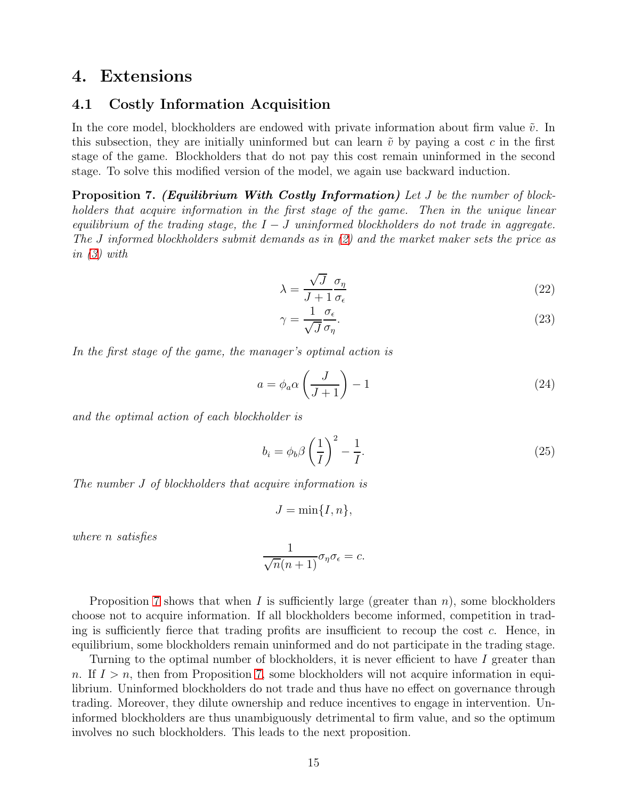## <span id="page-14-1"></span><span id="page-14-0"></span>4. Extensions

#### 4.1 Costly Information Acquisition

In the core model, blockholders are endowed with private information about firm value  $\tilde{v}$ . In this subsection, they are initially uninformed but can learn  $\tilde{v}$  by paying a cost c in the first stage of the game. Blockholders that do not pay this cost remain uninformed in the second stage. To solve this modified version of the model, we again use backward induction.

**Proposition 7.** (Equilibrium With Costly Information) Let  $J$  be the number of blockholders that acquire information in the first stage of the game. Then in the unique linear equilibrium of the trading stage, the  $I - J$  uninformed blockholders do not trade in aggregate. The J informed blockholders submit demands as in [\(2\)](#page-9-3) and the market maker sets the price as in [\(3\)](#page-9-4) with

$$
\lambda = \frac{\sqrt{J}}{J+1} \frac{\sigma_{\eta}}{\sigma_{\epsilon}}
$$
\n(22)

$$
\gamma = \frac{1}{\sqrt{J}} \frac{\sigma_{\epsilon}}{\sigma_{\eta}}.\tag{23}
$$

In the first stage of the game, the manager's optimal action is

$$
a = \phi_a \alpha \left(\frac{J}{J+1}\right) - 1 \tag{24}
$$

and the optimal action of each blockholder is

<span id="page-14-2"></span>
$$
b_i = \phi_b \beta \left(\frac{1}{I}\right)^2 - \frac{1}{I}.\tag{25}
$$

The number J of blockholders that acquire information is

$$
J=\min\{I,n\},\,
$$

where n satisfies

$$
\frac{1}{\sqrt{n}(n+1)}\sigma_{\eta}\sigma_{\epsilon} = c.
$$

Proposition [7](#page-14-2) shows that when I is sufficiently large (greater than  $n$ ), some blockholders choose not to acquire information. If all blockholders become informed, competition in trading is sufficiently fierce that trading profits are insufficient to recoup the cost  $c$ . Hence, in equilibrium, some blockholders remain uninformed and do not participate in the trading stage.

Turning to the optimal number of blockholders, it is never efficient to have I greater than n. If  $I > n$ , then from Proposition [7,](#page-14-2) some blockholders will not acquire information in equilibrium. Uninformed blockholders do not trade and thus have no effect on governance through trading. Moreover, they dilute ownership and reduce incentives to engage in intervention. Uninformed blockholders are thus unambiguously detrimental to firm value, and so the optimum involves no such blockholders. This leads to the next proposition.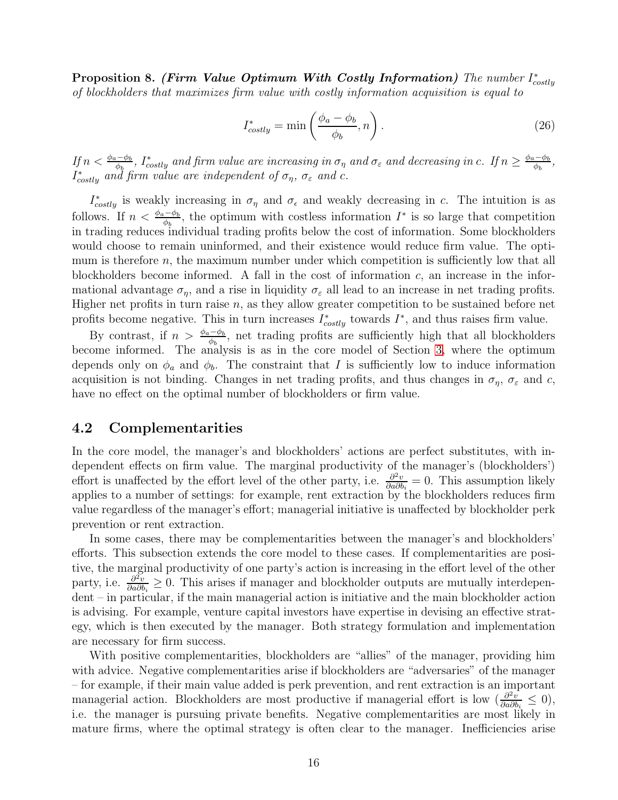**Proposition 8.** *(Firm Value Optimum With Costly Information)* The number  $I_{costly}^*$ of blockholders that maximizes firm value with costly information acquisition is equal to

<span id="page-15-1"></span>
$$
I_{costly}^* = \min\left(\frac{\phi_a - \phi_b}{\phi_b}, n\right). \tag{26}
$$

 $I_f^n n < \frac{\phi_a - \phi_b}{\phi_b}$ ,  $I_{costly}^*$  and firm value are increasing in  $\sigma_\eta$  and  $\sigma_\varepsilon$  and decreasing in c. If  $n \ge \frac{\phi_a - \phi_b}{\phi_b}$ ,  $I_{costly}^*$  and firm value are independent of  $\sigma_{\eta}$ ,  $\sigma_{\varepsilon}$  and  $c$ .

 $I_{costly}^*$  is weakly increasing in  $\sigma_{\eta}$  and  $\sigma_{\epsilon}$  and weakly decreasing in c. The intuition is as follows. If  $n < \frac{\phi_a - \phi_b}{\phi_b}$ , the optimum with costless information  $I^*$  is so large that competition in trading reduces individual trading profits below the cost of information. Some blockholders would choose to remain uninformed, and their existence would reduce firm value. The optimum is therefore  $n$ , the maximum number under which competition is sufficiently low that all blockholders become informed. A fall in the cost of information  $c$ , an increase in the informational advantage  $\sigma_{\eta}$ , and a rise in liquidity  $\sigma_{\varepsilon}$  all lead to an increase in net trading profits. Higher net profits in turn raise  $n$ , as they allow greater competition to be sustained before net profits become negative. This in turn increases  $I^*_{costly}$  towards  $I^*$ , and thus raises firm value.

By contrast, if  $n > \frac{\phi_a - \phi_b}{\phi_b}$ , net trading profits are sufficiently high that all blockholders become informed. The analysis is as in the core model of Section [3,](#page-12-0) where the optimum depends only on  $\phi_a$  and  $\phi_b$ . The constraint that I is sufficiently low to induce information acquisition is not binding. Changes in net trading profits, and thus changes in  $\sigma_{\eta}$ ,  $\sigma_{\varepsilon}$  and c, have no effect on the optimal number of blockholders or firm value.

#### <span id="page-15-0"></span>4.2 Complementarities

In the core model, the manager's and blockholders' actions are perfect substitutes, with independent effects on firm value. The marginal productivity of the manager's (blockholders') effort is unaffected by the effort level of the other party, i.e.  $\frac{\partial^2 v}{\partial \theta \partial t}$  $\frac{\partial^2 v}{\partial a \partial b_i} = 0$ . This assumption likely applies to a number of settings: for example, rent extraction by the blockholders reduces firm value regardless of the manager's effort; managerial initiative is unaffected by blockholder perk prevention or rent extraction.

In some cases, there may be complementarities between the manager's and blockholders' efforts. This subsection extends the core model to these cases. If complementarities are positive, the marginal productivity of one party's action is increasing in the effort level of the other party, i.e.  $\frac{\partial^2 v}{\partial \theta \partial t}$  $\frac{\partial^2 v}{\partial a \partial b_i} \geq 0$ . This arises if manager and blockholder outputs are mutually interdependent – in particular, if the main managerial action is initiative and the main blockholder action is advising. For example, venture capital investors have expertise in devising an effective strategy, which is then executed by the manager. Both strategy formulation and implementation are necessary for firm success.

With positive complementarities, blockholders are "allies" of the manager, providing him with advice. Negative complementarities arise if blockholders are "adversaries" of the manager – for example, if their main value added is perk prevention, and rent extraction is an important managerial action. Blockholders are most productive if managerial effort is low  $\left(\frac{\partial^2 v}{\partial \phi \partial t}\right)$  $\frac{\partial^2 v}{\partial a \partial b_i} \leq 0$ ), i.e. the manager is pursuing private benefits. Negative complementarities are most likely in mature firms, where the optimal strategy is often clear to the manager. Inefficiencies arise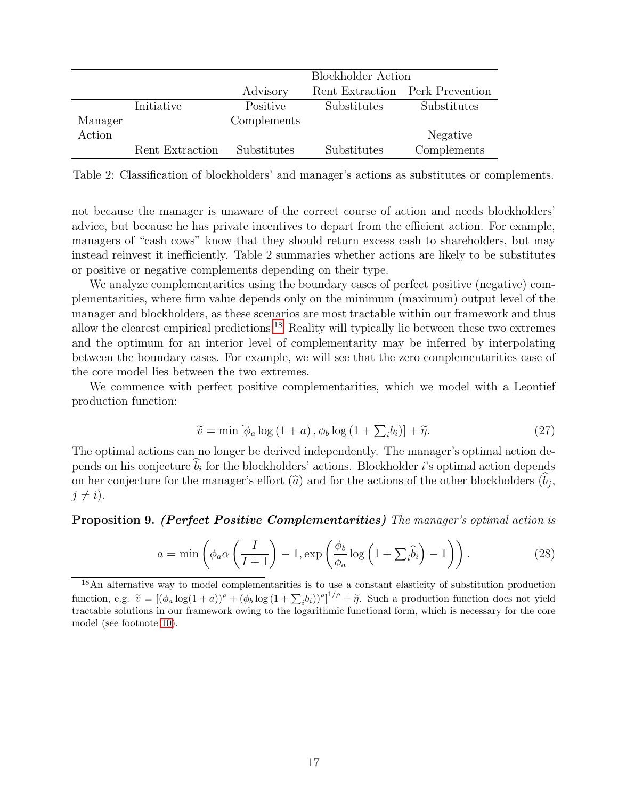|         |                 |             | <b>Blockholder Action</b>       |             |  |
|---------|-----------------|-------------|---------------------------------|-------------|--|
|         |                 | Advisory    | Rent Extraction Perk Prevention |             |  |
|         | Initiative      | Positive    | Substitutes                     | Substitutes |  |
| Manager |                 | Complements |                                 |             |  |
| Action  |                 |             |                                 | Negative    |  |
|         | Rent Extraction | Substitutes | Substitutes                     | Complements |  |

Table 2: Classification of blockholders' and manager's actions as substitutes or complements.

not because the manager is unaware of the correct course of action and needs blockholders' advice, but because he has private incentives to depart from the efficient action. For example, managers of "cash cows" know that they should return excess cash to shareholders, but may instead reinvest it inefficiently. Table 2 summaries whether actions are likely to be substitutes or positive or negative complements depending on their type.

We analyze complementarities using the boundary cases of perfect positive (negative) complementarities, where firm value depends only on the minimum (maximum) output level of the manager and blockholders, as these scenarios are most tractable within our framework and thus allow the clearest empirical predictions.<sup>18</sup> Reality will typically lie between these two extremes and the optimum for an interior level of complementarity may be inferred by interpolating between the boundary cases. For example, we will see that the zero complementarities case of the core model lies between the two extremes.

We commence with perfect positive complementarities, which we model with a Leontief production function:

<span id="page-16-0"></span>
$$
\widetilde{v} = \min \left[ \phi_a \log \left( 1 + a \right), \phi_b \log \left( 1 + \sum_i b_i \right) \right] + \widetilde{\eta}.
$$
\n(27)

The optimal actions can no longer be derived independently. The manager's optimal action depends on his conjecture  $b_i$  for the blockholders' actions. Blockholder *i*'s optimal action depends on her conjecture for the manager's effort  $(\widehat{a})$  and for the actions of the other blockholders  $(b_j, b_j)$  $j \neq i$ .

#### **Proposition 9.** (Perfect Positive Complementarities) The manager's optimal action is

$$
a = \min\left(\phi_a \alpha \left(\frac{I}{I+1}\right) - 1, \exp\left(\frac{\phi_b}{\phi_a} \log\left(1 + \sum_i \hat{b}_i\right) - 1\right)\right). \tag{28}
$$

<sup>18</sup>An alternative way to model complementarities is to use a constant elasticity of substitution production function, e.g.  $\tilde{v} = [(\phi_a \log(1+a))^{\rho} + (\phi_b \log(1+\sum_i b_i))^{\rho}]^{1/\rho} + \tilde{\eta}$ . Such a production function does not yield tractable solutions in our framework owing to the logarithmic functional form, which is necessary for the core model (see footnote [10\)](#page-6-1).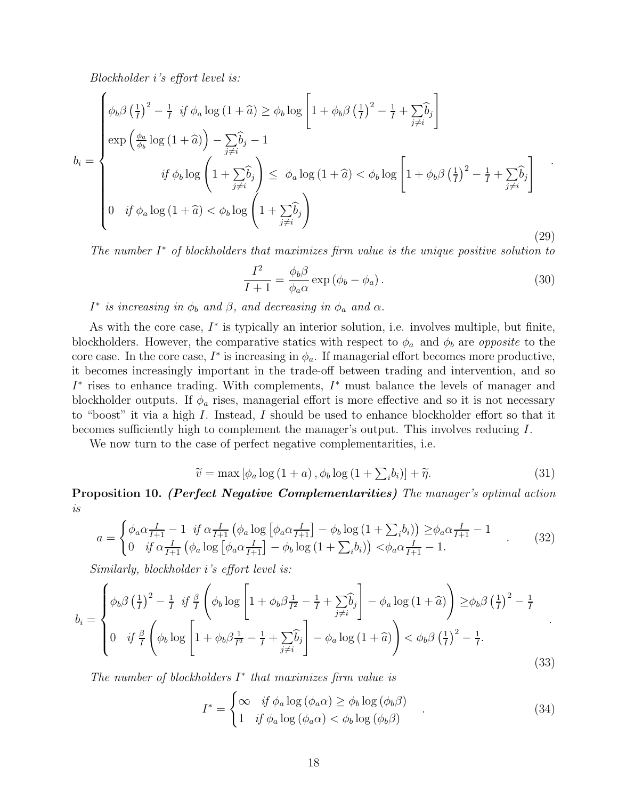Blockholder i's effort level is:

$$
b_{i} = \begin{cases} \phi_{b}\beta\left(\frac{1}{I}\right)^{2} - \frac{1}{I} & \text{if } \phi_{a}\log\left(1+\widehat{a}\right) \geq \phi_{b}\log\left[1+\phi_{b}\beta\left(\frac{1}{I}\right)^{2} - \frac{1}{I} + \sum_{j\neq i}\widehat{b}_{j}\right] \\ \exp\left(\frac{\phi_{a}}{\phi_{b}}\log\left(1+\widehat{a}\right)\right) - \sum_{j\neq i}\widehat{b}_{j} - 1 \\ & \text{if } \phi_{b}\log\left(1+\sum_{j\neq i}\widehat{b}_{j}\right) \leq \phi_{a}\log\left(1+\widehat{a}\right) < \phi_{b}\log\left[1+\phi_{b}\beta\left(\frac{1}{I}\right)^{2} - \frac{1}{I} + \sum_{j\neq i}\widehat{b}_{j}\right] \\ 0 & \text{if } \phi_{a}\log\left(1+\widehat{a}\right) < \phi_{b}\log\left(1+\sum_{j\neq i}\widehat{b}_{j}\right) \end{cases} \tag{29}
$$

The number  $I^*$  of blockholders that maximizes firm value is the unique positive solution to

<span id="page-17-1"></span>
$$
\frac{I^2}{I+1} = \frac{\phi_b \beta}{\phi_a \alpha} \exp\left(\phi_b - \phi_a\right). \tag{30}
$$

 $I^*$  is increasing in  $\phi_b$  and  $\beta$ , and decreasing in  $\phi_a$  and  $\alpha$ .

As with the core case,  $I^*$  is typically an interior solution, i.e. involves multiple, but finite, blockholders. However, the comparative statics with respect to  $\phi_a$  and  $\phi_b$  are *opposite* to the core case. In the core case,  $I^*$  is increasing in  $\phi_a$ . If managerial effort becomes more productive, it becomes increasingly important in the trade-off between trading and intervention, and so I ∗ rises to enhance trading. With complements, I <sup>∗</sup> must balance the levels of manager and blockholder outputs. If  $\phi_a$  rises, managerial effort is more effective and so it is not necessary to "boost" it via a high I. Instead, I should be used to enhance blockholder effort so that it becomes sufficiently high to complement the manager's output. This involves reducing I.

We now turn to the case of perfect negative complementarities, i.e.

$$
\widetilde{v} = \max\left[\phi_a \log\left(1 + a\right), \phi_b \log\left(1 + \sum_i b_i\right)\right] + \widetilde{\eta}.\tag{31}
$$

<span id="page-17-2"></span>Proposition 10. (Perfect Negative Complementarities) The manager's optimal action is

$$
a = \begin{cases} \phi_a \alpha \frac{I}{I+1} - 1 & \text{if } \alpha \frac{I}{I+1} \left( \phi_a \log \left[ \phi_a \alpha \frac{I}{I+1} \right] - \phi_b \log \left( 1 + \sum_i b_i \right) \right) \geq \phi_a \alpha \frac{I}{I+1} - 1 \\ 0 & \text{if } \alpha \frac{I}{I+1} \left( \phi_a \log \left[ \phi_a \alpha \frac{I}{I+1} \right] - \phi_b \log \left( 1 + \sum_i b_i \right) \right) < \phi_a \alpha \frac{I}{I+1} - 1. \end{cases} \tag{32}
$$

Similarly, blockholder i's effort level is:

$$
b_{i} = \begin{cases} \phi_{b}\beta\left(\frac{1}{I}\right)^{2} - \frac{1}{I} & \text{if } \frac{\beta}{I} \left( \phi_{b} \log\left[1 + \phi_{b}\beta\frac{1}{I^{2}} - \frac{1}{I} + \sum_{j \neq i} \hat{b}_{j} \right] - \phi_{a} \log\left(1 + \hat{a}\right) \right) \geq \phi_{b}\beta\left(\frac{1}{I}\right)^{2} - \frac{1}{I} \\ 0 & \text{if } \frac{\beta}{I} \left( \phi_{b} \log\left[1 + \phi_{b}\beta\frac{1}{I^{2}} - \frac{1}{I} + \sum_{j \neq i} \hat{b}_{j} \right] - \phi_{a} \log\left(1 + \hat{a}\right) \right) < \phi_{b}\beta\left(\frac{1}{I}\right)^{2} - \frac{1}{I}. \end{cases} \tag{33}
$$

The number of blockholders  $I^*$  that maximizes firm value is

<span id="page-17-0"></span>
$$
I^* = \begin{cases} \infty & \text{if } \phi_a \log (\phi_a \alpha) \ge \phi_b \log (\phi_b \beta) \\ 1 & \text{if } \phi_a \log (\phi_a \alpha) < \phi_b \log (\phi_b \beta) \end{cases} \tag{34}
$$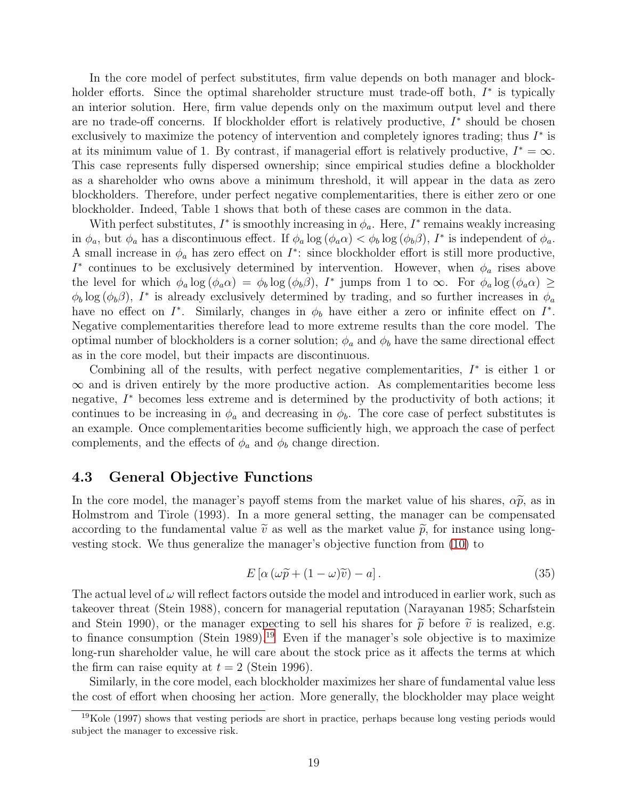In the core model of perfect substitutes, firm value depends on both manager and blockholder efforts. Since the optimal shareholder structure must trade-off both,  $I^*$  is typically an interior solution. Here, firm value depends only on the maximum output level and there are no trade-off concerns. If blockholder effort is relatively productive,  $I^*$  should be chosen exclusively to maximize the potency of intervention and completely ignores trading; thus  $I^*$  is at its minimum value of 1. By contrast, if managerial effort is relatively productive,  $I^* = \infty$ . This case represents fully dispersed ownership; since empirical studies define a blockholder as a shareholder who owns above a minimum threshold, it will appear in the data as zero blockholders. Therefore, under perfect negative complementarities, there is either zero or one blockholder. Indeed, Table 1 shows that both of these cases are common in the data.

With perfect substitutes,  $I^*$  is smoothly increasing in  $\phi_a$ . Here,  $I^*$  remains weakly increasing in  $\phi_a$ , but  $\phi_a$  has a discontinuous effect. If  $\phi_a \log(\phi_a \alpha) < \phi_b \log(\phi_b \beta)$ ,  $I^*$  is independent of  $\phi_a$ . A small increase in  $\phi_a$  has zero effect on  $I^*$ : since blockholder effort is still more productive,  $I^*$  continues to be exclusively determined by intervention. However, when  $\phi_a$  rises above the level for which  $\phi_a \log(\phi_a \alpha) = \phi_b \log(\phi_b \beta)$ ,  $I^*$  jumps from 1 to  $\infty$ . For  $\phi_a \log(\phi_a \alpha) \ge$  $\phi_b$  log ( $\phi_b$  $\beta$ ),  $I^*$  is already exclusively determined by trading, and so further increases in  $\phi_a$ have no effect on  $I^*$ . Similarly, changes in  $\phi_b$  have either a zero or infinite effect on  $I^*$ . Negative complementarities therefore lead to more extreme results than the core model. The optimal number of blockholders is a corner solution;  $\phi_a$  and  $\phi_b$  have the same directional effect as in the core model, but their impacts are discontinuous.

Combining all of the results, with perfect negative complementarities,  $I^*$  is either 1 or  $\infty$  and is driven entirely by the more productive action. As complementarities become less negative,  $I^*$  becomes less extreme and is determined by the productivity of both actions; it continues to be increasing in  $\phi_a$  and decreasing in  $\phi_b$ . The core case of perfect substitutes is an example. Once complementarities become sufficiently high, we approach the case of perfect complements, and the effects of  $\phi_a$  and  $\phi_b$  change direction.

### <span id="page-18-0"></span>4.3 General Objective Functions

In the core model, the manager's payoff stems from the market value of his shares,  $\alpha \tilde{p}$ , as in Holmstrom and Tirole (1993). In a more general setting, the manager can be compensated according to the fundamental value  $\tilde{v}$  as well as the market value  $\tilde{p}$ , for instance using longvesting stock. We thus generalize the manager's objective function from [\(10\)](#page-10-1) to

$$
E\left[\alpha\left(\omega\widetilde{p}+(1-\omega)\widetilde{v}\right)-a\right].
$$
\n(35)

The actual level of  $\omega$  will reflect factors outside the model and introduced in earlier work, such as takeover threat (Stein 1988), concern for managerial reputation (Narayanan 1985; Scharfstein and Stein 1990), or the manager expecting to sell his shares for  $\tilde{p}$  before  $\tilde{v}$  is realized, e.g. to finance consumption (Stein 1989).<sup>19</sup> Even if the manager's sole objective is to maximize long-run shareholder value, he will care about the stock price as it affects the terms at which the firm can raise equity at  $t = 2$  (Stein 1996).

Similarly, in the core model, each blockholder maximizes her share of fundamental value less the cost of effort when choosing her action. More generally, the blockholder may place weight

<sup>&</sup>lt;sup>19</sup>Kole (1997) shows that vesting periods are short in practice, perhaps because long vesting periods would subject the manager to excessive risk.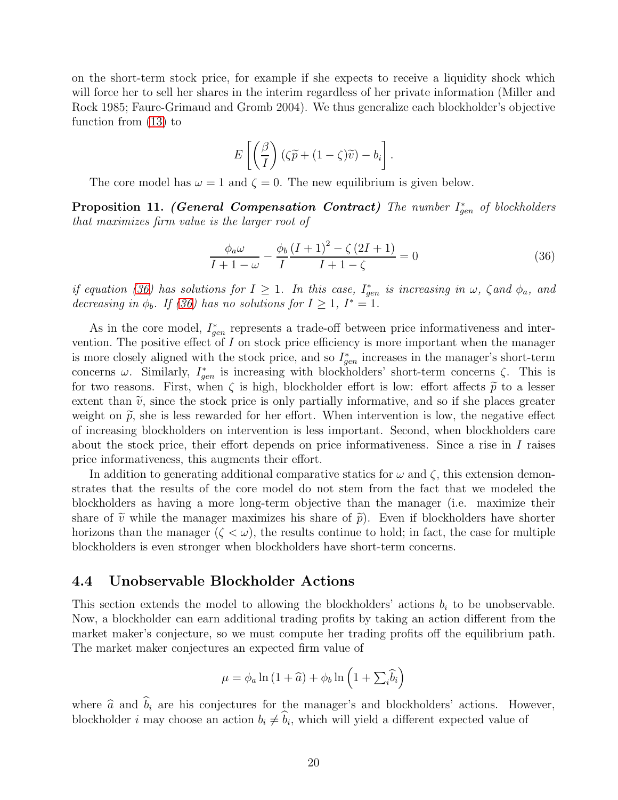on the short-term stock price, for example if she expects to receive a liquidity shock which will force her to sell her shares in the interim regardless of her private information (Miller and Rock 1985; Faure-Grimaud and Gromb 2004). We thus generalize each blockholder's objective function from [\(13\)](#page-11-0) to

$$
E\left[\left(\frac{\beta}{I}\right)(\zeta\widetilde{p} + (1-\zeta)\widetilde{v}) - b_i\right].
$$

The core model has  $\omega = 1$  and  $\zeta = 0$ . The new equilibrium is given below.

 $\bf{Proposition~11.}$  (General Compensation Contract) The number  $I^*_{gen}$  of blockholders that maximizes firm value is the larger root of

<span id="page-19-1"></span>
$$
\frac{\phi_a \omega}{I + 1 - \omega} - \frac{\phi_b (I + 1)^2 - \zeta (2I + 1)}{I + 1 - \zeta} = 0
$$
\n(36)

if equation [\(36\)](#page-19-1) has solutions for  $I \geq 1$ . In this case,  $I_{gen}^*$  is increasing in  $\omega$ ,  $\zeta$  and  $\phi_a$ , and decreasing in  $\phi_b$ . If [\(36\)](#page-19-1) has no solutions for  $I \geq 1$ ,  $I^* = 1$ .

As in the core model,  $I_{gen}^*$  represents a trade-off between price informativeness and intervention. The positive effect of I on stock price efficiency is more important when the manager is more closely aligned with the stock price, and so  $I_{gen}^*$  increases in the manager's short-term concerns  $\omega$ . Similarly,  $I_{gen}^*$  is increasing with blockholders' short-term concerns  $\zeta$ . This is for two reasons. First, when  $\zeta$  is high, blockholder effort is low: effort affects  $\tilde{p}$  to a lesser extent than  $\tilde{v}$ , since the stock price is only partially informative, and so if she places greater weight on  $\tilde{p}$ , she is less rewarded for her effort. When intervention is low, the negative effect of increasing blockholders on intervention is less important. Second, when blockholders care about the stock price, their effort depends on price informativeness. Since a rise in  $I$  raises price informativeness, this augments their effort.

In addition to generating additional comparative statics for  $\omega$  and  $\zeta$ , this extension demonstrates that the results of the core model do not stem from the fact that we modeled the blockholders as having a more long-term objective than the manager (i.e. maximize their share of  $\tilde{v}$  while the manager maximizes his share of  $\tilde{p}$ ). Even if blockholders have shorter horizons than the manager  $(\zeta \langle \omega \rangle)$ , the results continue to hold; in fact, the case for multiple blockholders is even stronger when blockholders have short-term concerns.

#### <span id="page-19-0"></span>4.4 Unobservable Blockholder Actions

This section extends the model to allowing the blockholders' actions  $b_i$  to be unobservable. Now, a blockholder can earn additional trading profits by taking an action different from the market maker's conjecture, so we must compute her trading profits off the equilibrium path. The market maker conjectures an expected firm value of

$$
\mu = \phi_a \ln\left(1 + \widehat{a}\right) + \phi_b \ln\left(1 + \sum_i \widehat{b}_i\right)
$$

where  $\hat{a}$  and  $\hat{b}_i$  are his conjectures for the manager's and blockholders' actions. However, blockholder *i* may choose an action  $b_i \neq b_i$ , which will yield a different expected value of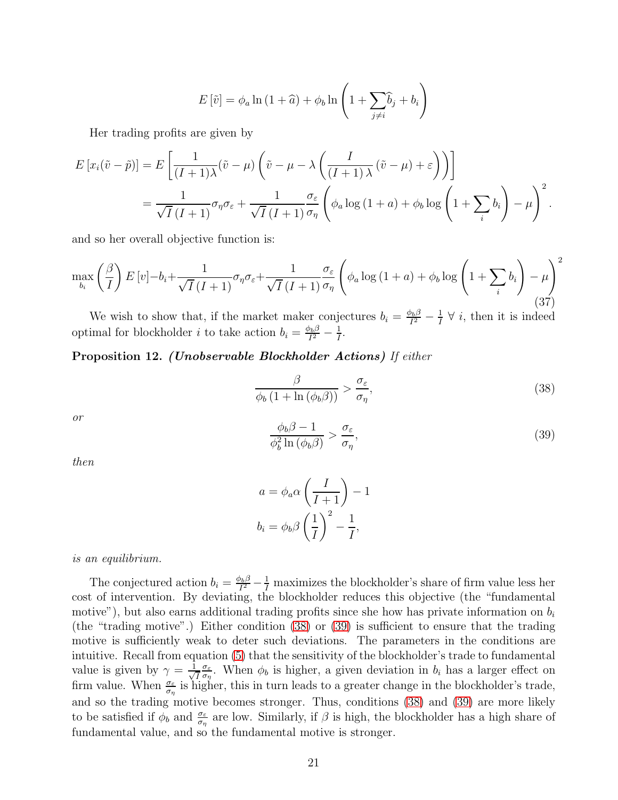$$
E\left[\tilde{v}\right] = \phi_a \ln\left(1+\widehat{a}\right) + \phi_b \ln\left(1+\sum_{j\neq i} \widehat{b}_j + b_i\right)
$$

Her trading profits are given by

$$
E\left[x_i(\tilde{v}-\tilde{p})\right] = E\left[\frac{1}{(I+1)\lambda}(\tilde{v}-\mu)\left(\tilde{v}-\mu-\lambda\left(\frac{I}{(I+1)\lambda}(\tilde{v}-\mu)+\varepsilon\right)\right)\right]
$$
  
= 
$$
\frac{1}{\sqrt{I}(I+1)}\sigma_{\eta}\sigma_{\varepsilon} + \frac{1}{\sqrt{I}(I+1)}\frac{\sigma_{\varepsilon}}{\sigma_{\eta}}\left(\phi_a\log(1+a)+\phi_b\log\left(1+\sum_ib_i\right)-\mu\right)^2.
$$

and so her overall objective function is:

$$
\max_{b_i} \left(\frac{\beta}{I}\right) E[v] - b_i + \frac{1}{\sqrt{I}\left(I+1\right)} \sigma_\eta \sigma_\varepsilon + \frac{1}{\sqrt{I}\left(I+1\right)} \frac{\sigma_\varepsilon}{\sigma_\eta} \left(\phi_a \log\left(1+a\right) + \phi_b \log\left(1+\sum_i b_i\right) - \mu\right)^2 \tag{37}
$$

We wish to show that, if the market maker conjectures  $b_i = \frac{\phi_b \beta}{I^2}$  $\frac{b_b \beta}{I^2} - \frac{1}{I}$  $\frac{1}{I}$   $\forall$  *i*, then it is indeed optimal for blockholder *i* to take action  $b_i = \frac{\phi_b \beta}{I^2}$  $\frac{b_b \beta}{I^2} - \frac{1}{I}$  $\frac{1}{I}$ .

#### Proposition 12. (Unobservable Blockholder Actions) If either

<span id="page-20-2"></span>
$$
\frac{\beta}{\phi_b \left(1 + \ln \left(\phi_b \beta\right)\right)} > \frac{\sigma_\varepsilon}{\sigma_\eta},\tag{38}
$$

<span id="page-20-1"></span>or

<span id="page-20-0"></span>
$$
\frac{\phi_b \beta - 1}{\phi_b^2 \ln \left( \phi_b \beta \right)} > \frac{\sigma_\varepsilon}{\sigma_\eta},\tag{39}
$$

then

$$
a = \phi_a \alpha \left(\frac{I}{I+1}\right) - 1
$$

$$
b_i = \phi_b \beta \left(\frac{1}{I}\right)^2 - \frac{1}{I},
$$

is an equilibrium.

The conjectured action  $b_i = \frac{\phi_b \beta}{I^2}$  $\frac{\delta_b \beta}{I^2} - \frac{1}{I}$  maximizes the blockholder's share of firm value less her cost of intervention. By deviating, the blockholder reduces this objective (the "fundamental motive"), but also earns additional trading profits since she how has private information on  $b_i$ (the "trading motive".) Either condition [\(38\)](#page-20-0) or [\(39\)](#page-20-1) is sufficient to ensure that the trading motive is sufficiently weak to deter such deviations. The parameters in the conditions are intuitive. Recall from equation [\(5\)](#page-9-0) that the sensitivity of the blockholder's trade to fundamental value is given by  $\gamma = \frac{1}{\sqrt{2}}$ I σε  $\frac{\sigma_{\varepsilon}}{\sigma_{\eta}}$ . When  $\phi_b$  is higher, a given deviation in  $b_i$  has a larger effect on firm value. When  $\frac{\sigma_{\varepsilon}}{\sigma_{\eta}}$  is higher, this in turn leads to a greater change in the blockholder's trade, and so the trading motive becomes stronger. Thus, conditions [\(38\)](#page-20-0) and [\(39\)](#page-20-1) are more likely to be satisfied if  $\phi_b$  and  $\frac{\sigma_{\varepsilon}}{\sigma_{\eta}}$  are low. Similarly, if  $\beta$  is high, the blockholder has a high share of fundamental value, and so the fundamental motive is stronger.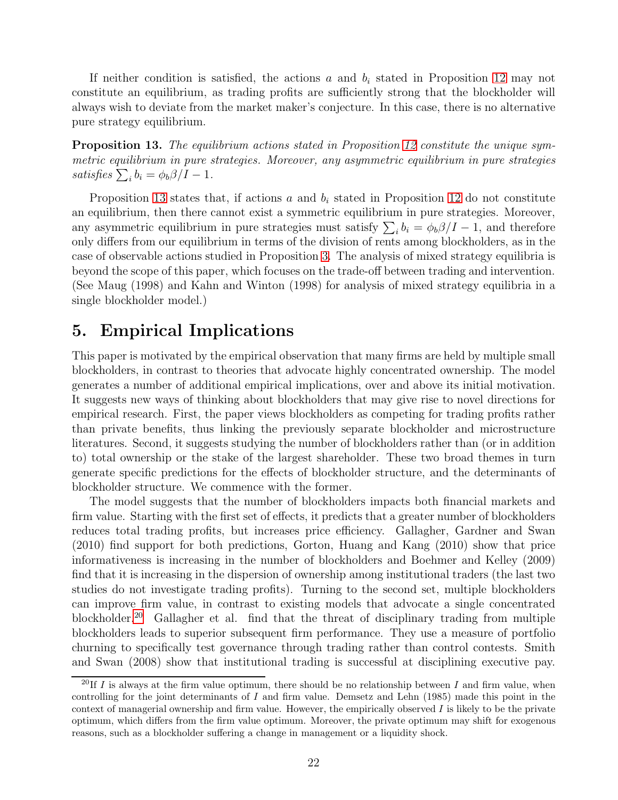If neither condition is satisfied, the actions a and  $b_i$  stated in Proposition [12](#page-20-1) may not constitute an equilibrium, as trading profits are sufficiently strong that the blockholder will always wish to deviate from the market maker's conjecture. In this case, there is no alternative pure strategy equilibrium.

<span id="page-21-1"></span>Proposition 13. The equilibrium actions stated in Proposition [12](#page-20-1) constitute the unique symmetric equilibrium in pure strategies. Moreover, any asymmetric equilibrium in pure strategies satisfies  $\sum_i b_i = \phi_b \beta / I - 1$ .

Proposition [13](#page-21-1) states that, if actions a and  $b_i$  stated in Proposition [12](#page-20-1) do not constitute an equilibrium, then there cannot exist a symmetric equilibrium in pure strategies. Moreover, any asymmetric equilibrium in pure strategies must satisfy  $\sum_i b_i = \phi_b \beta / I - 1$ , and therefore only differs from our equilibrium in terms of the division of rents among blockholders, as in the case of observable actions studied in Proposition [3.](#page-10-0) The analysis of mixed strategy equilibria is beyond the scope of this paper, which focuses on the trade-off between trading and intervention. (See Maug (1998) and Kahn and Winton (1998) for analysis of mixed strategy equilibria in a single blockholder model.)

# <span id="page-21-0"></span>5. Empirical Implications

This paper is motivated by the empirical observation that many firms are held by multiple small blockholders, in contrast to theories that advocate highly concentrated ownership. The model generates a number of additional empirical implications, over and above its initial motivation. It suggests new ways of thinking about blockholders that may give rise to novel directions for empirical research. First, the paper views blockholders as competing for trading profits rather than private benefits, thus linking the previously separate blockholder and microstructure literatures. Second, it suggests studying the number of blockholders rather than (or in addition to) total ownership or the stake of the largest shareholder. These two broad themes in turn generate specific predictions for the effects of blockholder structure, and the determinants of blockholder structure. We commence with the former.

The model suggests that the number of blockholders impacts both financial markets and firm value. Starting with the first set of effects, it predicts that a greater number of blockholders reduces total trading profits, but increases price efficiency. Gallagher, Gardner and Swan (2010) find support for both predictions, Gorton, Huang and Kang (2010) show that price informativeness is increasing in the number of blockholders and Boehmer and Kelley (2009) find that it is increasing in the dispersion of ownership among institutional traders (the last two studies do not investigate trading profits). Turning to the second set, multiple blockholders can improve firm value, in contrast to existing models that advocate a single concentrated blockholder.<sup>20</sup> Gallagher et al. find that the threat of disciplinary trading from multiple blockholders leads to superior subsequent firm performance. They use a measure of portfolio churning to specifically test governance through trading rather than control contests. Smith and Swan (2008) show that institutional trading is successful at disciplining executive pay.

<sup>&</sup>lt;sup>20</sup>If I is always at the firm value optimum, there should be no relationship between I and firm value, when controlling for the joint determinants of I and firm value. Demsetz and Lehn (1985) made this point in the context of managerial ownership and firm value. However, the empirically observed  $I$  is likely to be the private optimum, which differs from the firm value optimum. Moreover, the private optimum may shift for exogenous reasons, such as a blockholder suffering a change in management or a liquidity shock.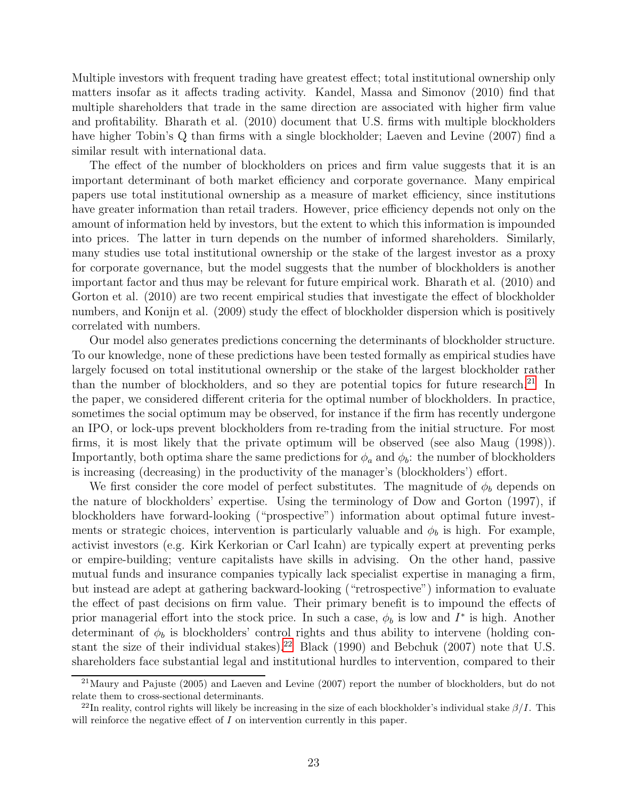Multiple investors with frequent trading have greatest effect; total institutional ownership only matters insofar as it affects trading activity. Kandel, Massa and Simonov (2010) find that multiple shareholders that trade in the same direction are associated with higher firm value and profitability. Bharath et al. (2010) document that U.S. firms with multiple blockholders have higher Tobin's Q than firms with a single blockholder; Laeven and Levine (2007) find a similar result with international data.

The effect of the number of blockholders on prices and firm value suggests that it is an important determinant of both market efficiency and corporate governance. Many empirical papers use total institutional ownership as a measure of market efficiency, since institutions have greater information than retail traders. However, price efficiency depends not only on the amount of information held by investors, but the extent to which this information is impounded into prices. The latter in turn depends on the number of informed shareholders. Similarly, many studies use total institutional ownership or the stake of the largest investor as a proxy for corporate governance, but the model suggests that the number of blockholders is another important factor and thus may be relevant for future empirical work. Bharath et al. (2010) and Gorton et al. (2010) are two recent empirical studies that investigate the effect of blockholder numbers, and Konijn et al. (2009) study the effect of blockholder dispersion which is positively correlated with numbers.

Our model also generates predictions concerning the determinants of blockholder structure. To our knowledge, none of these predictions have been tested formally as empirical studies have largely focused on total institutional ownership or the stake of the largest blockholder rather than the number of blockholders, and so they are potential topics for future research.<sup>21</sup> In the paper, we considered different criteria for the optimal number of blockholders. In practice, sometimes the social optimum may be observed, for instance if the firm has recently undergone an IPO, or lock-ups prevent blockholders from re-trading from the initial structure. For most firms, it is most likely that the private optimum will be observed (see also Maug (1998)). Importantly, both optima share the same predictions for  $\phi_a$  and  $\phi_b$ : the number of blockholders is increasing (decreasing) in the productivity of the manager's (blockholders') effort.

We first consider the core model of perfect substitutes. The magnitude of  $\phi_b$  depends on the nature of blockholders' expertise. Using the terminology of Dow and Gorton (1997), if blockholders have forward-looking ("prospective") information about optimal future investments or strategic choices, intervention is particularly valuable and  $\phi_b$  is high. For example, activist investors (e.g. Kirk Kerkorian or Carl Icahn) are typically expert at preventing perks or empire-building; venture capitalists have skills in advising. On the other hand, passive mutual funds and insurance companies typically lack specialist expertise in managing a firm, but instead are adept at gathering backward-looking ("retrospective") information to evaluate the effect of past decisions on firm value. Their primary benefit is to impound the effects of prior managerial effort into the stock price. In such a case,  $\phi_b$  is low and  $I^*$  is high. Another determinant of  $\phi_b$  is blockholders' control rights and thus ability to intervene (holding constant the size of their individual stakes).<sup>22</sup> Black (1990) and Bebchuk (2007) note that U.S. shareholders face substantial legal and institutional hurdles to intervention, compared to their

 $^{21}$ Maury and Pajuste (2005) and Laeven and Levine (2007) report the number of blockholders, but do not relate them to cross-sectional determinants.

<sup>&</sup>lt;sup>22</sup>In reality, control rights will likely be increasing in the size of each blockholder's individual stake  $\beta/I$ . This will reinforce the negative effect of  $I$  on intervention currently in this paper.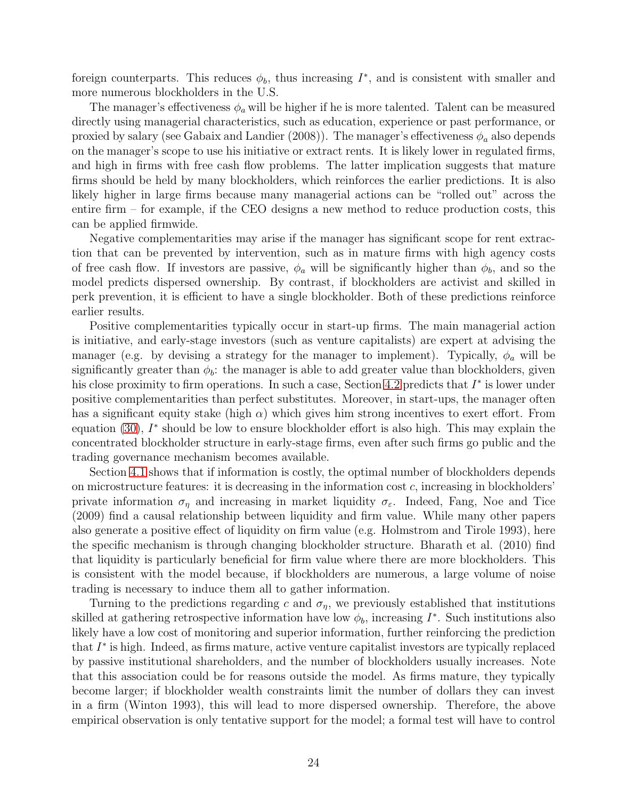foreign counterparts. This reduces  $\phi_b$ , thus increasing  $I^*$ , and is consistent with smaller and more numerous blockholders in the U.S.

The manager's effectiveness  $\phi_a$  will be higher if he is more talented. Talent can be measured directly using managerial characteristics, such as education, experience or past performance, or proxied by salary (see Gabaix and Landier (2008)). The manager's effectiveness  $\phi_a$  also depends on the manager's scope to use his initiative or extract rents. It is likely lower in regulated firms, and high in firms with free cash flow problems. The latter implication suggests that mature firms should be held by many blockholders, which reinforces the earlier predictions. It is also likely higher in large firms because many managerial actions can be "rolled out" across the entire firm – for example, if the CEO designs a new method to reduce production costs, this can be applied firmwide.

Negative complementarities may arise if the manager has significant scope for rent extraction that can be prevented by intervention, such as in mature firms with high agency costs of free cash flow. If investors are passive,  $\phi_a$  will be significantly higher than  $\phi_b$ , and so the model predicts dispersed ownership. By contrast, if blockholders are activist and skilled in perk prevention, it is efficient to have a single blockholder. Both of these predictions reinforce earlier results.

Positive complementarities typically occur in start-up firms. The main managerial action is initiative, and early-stage investors (such as venture capitalists) are expert at advising the manager (e.g. by devising a strategy for the manager to implement). Typically,  $\phi_a$  will be significantly greater than  $\phi_b$ : the manager is able to add greater value than blockholders, given his close proximity to firm operations. In such a case, Section [4.2](#page-15-0) predicts that  $I^*$  is lower under positive complementarities than perfect substitutes. Moreover, in start-ups, the manager often has a significant equity stake (high  $\alpha$ ) which gives him strong incentives to exert effort. From equation [\(30\)](#page-17-1), I<sup>\*</sup> should be low to ensure blockholder effort is also high. This may explain the concentrated blockholder structure in early-stage firms, even after such firms go public and the trading governance mechanism becomes available.

Section [4.1](#page-14-1) shows that if information is costly, the optimal number of blockholders depends on microstructure features: it is decreasing in the information cost  $c$ , increasing in blockholders' private information  $\sigma_{\eta}$  and increasing in market liquidity  $\sigma_{\varepsilon}$ . Indeed, Fang, Noe and Tice (2009) find a causal relationship between liquidity and firm value. While many other papers also generate a positive effect of liquidity on firm value (e.g. Holmstrom and Tirole 1993), here the specific mechanism is through changing blockholder structure. Bharath et al. (2010) find that liquidity is particularly beneficial for firm value where there are more blockholders. This is consistent with the model because, if blockholders are numerous, a large volume of noise trading is necessary to induce them all to gather information.

Turning to the predictions regarding c and  $\sigma_{\eta}$ , we previously established that institutions skilled at gathering retrospective information have low  $\phi_b$ , increasing  $I^*$ . Such institutions also likely have a low cost of monitoring and superior information, further reinforcing the prediction that  $I^*$  is high. Indeed, as firms mature, active venture capitalist investors are typically replaced by passive institutional shareholders, and the number of blockholders usually increases. Note that this association could be for reasons outside the model. As firms mature, they typically become larger; if blockholder wealth constraints limit the number of dollars they can invest in a firm (Winton 1993), this will lead to more dispersed ownership. Therefore, the above empirical observation is only tentative support for the model; a formal test will have to control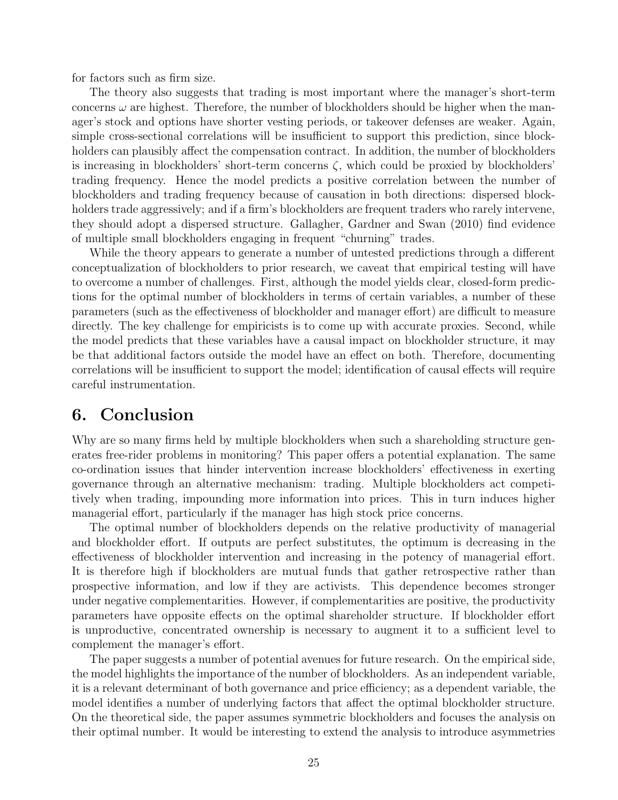for factors such as firm size.

The theory also suggests that trading is most important where the manager's short-term concerns  $\omega$  are highest. Therefore, the number of blockholders should be higher when the manager's stock and options have shorter vesting periods, or takeover defenses are weaker. Again, simple cross-sectional correlations will be insufficient to support this prediction, since blockholders can plausibly affect the compensation contract. In addition, the number of blockholders is increasing in blockholders' short-term concerns  $\zeta$ , which could be proxied by blockholders' trading frequency. Hence the model predicts a positive correlation between the number of blockholders and trading frequency because of causation in both directions: dispersed blockholders trade aggressively; and if a firm's blockholders are frequent traders who rarely intervene, they should adopt a dispersed structure. Gallagher, Gardner and Swan (2010) find evidence of multiple small blockholders engaging in frequent "churning" trades.

While the theory appears to generate a number of untested predictions through a different conceptualization of blockholders to prior research, we caveat that empirical testing will have to overcome a number of challenges. First, although the model yields clear, closed-form predictions for the optimal number of blockholders in terms of certain variables, a number of these parameters (such as the effectiveness of blockholder and manager effort) are difficult to measure directly. The key challenge for empiricists is to come up with accurate proxies. Second, while the model predicts that these variables have a causal impact on blockholder structure, it may be that additional factors outside the model have an effect on both. Therefore, documenting correlations will be insufficient to support the model; identification of causal effects will require careful instrumentation.

### <span id="page-24-0"></span>6. Conclusion

Why are so many firms held by multiple blockholders when such a shareholding structure generates free-rider problems in monitoring? This paper offers a potential explanation. The same co-ordination issues that hinder intervention increase blockholders' effectiveness in exerting governance through an alternative mechanism: trading. Multiple blockholders act competitively when trading, impounding more information into prices. This in turn induces higher managerial effort, particularly if the manager has high stock price concerns.

The optimal number of blockholders depends on the relative productivity of managerial and blockholder effort. If outputs are perfect substitutes, the optimum is decreasing in the effectiveness of blockholder intervention and increasing in the potency of managerial effort. It is therefore high if blockholders are mutual funds that gather retrospective rather than prospective information, and low if they are activists. This dependence becomes stronger under negative complementarities. However, if complementarities are positive, the productivity parameters have opposite effects on the optimal shareholder structure. If blockholder effort is unproductive, concentrated ownership is necessary to augment it to a sufficient level to complement the manager's effort.

The paper suggests a number of potential avenues for future research. On the empirical side, the model highlights the importance of the number of blockholders. As an independent variable, it is a relevant determinant of both governance and price efficiency; as a dependent variable, the model identifies a number of underlying factors that affect the optimal blockholder structure. On the theoretical side, the paper assumes symmetric blockholders and focuses the analysis on their optimal number. It would be interesting to extend the analysis to introduce asymmetries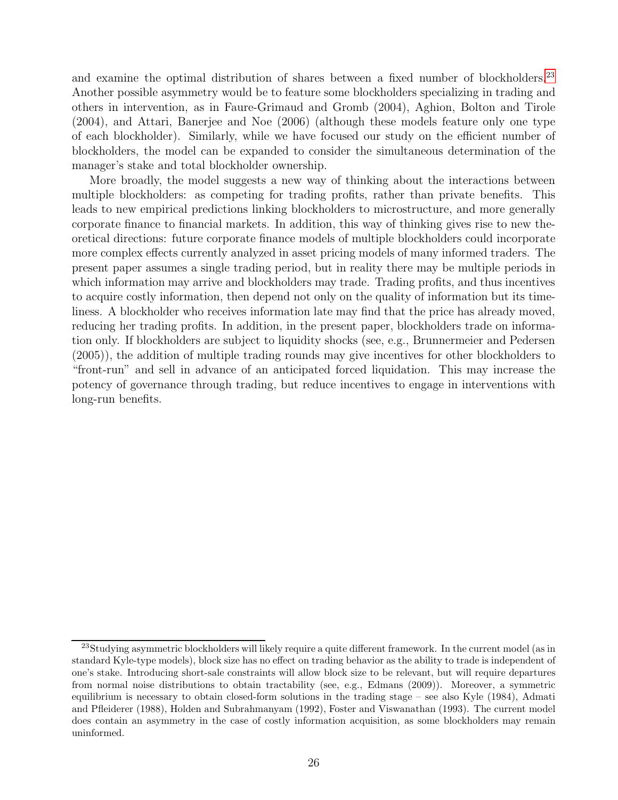and examine the optimal distribution of shares between a fixed number of blockholders.<sup>23</sup> Another possible asymmetry would be to feature some blockholders specializing in trading and others in intervention, as in Faure-Grimaud and Gromb (2004), Aghion, Bolton and Tirole (2004), and Attari, Banerjee and Noe (2006) (although these models feature only one type of each blockholder). Similarly, while we have focused our study on the efficient number of blockholders, the model can be expanded to consider the simultaneous determination of the manager's stake and total blockholder ownership.

More broadly, the model suggests a new way of thinking about the interactions between multiple blockholders: as competing for trading profits, rather than private benefits. This leads to new empirical predictions linking blockholders to microstructure, and more generally corporate finance to financial markets. In addition, this way of thinking gives rise to new theoretical directions: future corporate finance models of multiple blockholders could incorporate more complex effects currently analyzed in asset pricing models of many informed traders. The present paper assumes a single trading period, but in reality there may be multiple periods in which information may arrive and blockholders may trade. Trading profits, and thus incentives to acquire costly information, then depend not only on the quality of information but its timeliness. A blockholder who receives information late may find that the price has already moved, reducing her trading profits. In addition, in the present paper, blockholders trade on information only. If blockholders are subject to liquidity shocks (see, e.g., Brunnermeier and Pedersen (2005)), the addition of multiple trading rounds may give incentives for other blockholders to "front-run" and sell in advance of an anticipated forced liquidation. This may increase the potency of governance through trading, but reduce incentives to engage in interventions with long-run benefits.

<sup>&</sup>lt;sup>23</sup>Studying asymmetric blockholders will likely require a quite different framework. In the current model (as in standard Kyle-type models), block size has no effect on trading behavior as the ability to trade is independent of one's stake. Introducing short-sale constraints will allow block size to be relevant, but will require departures from normal noise distributions to obtain tractability (see, e.g., Edmans (2009)). Moreover, a symmetric equilibrium is necessary to obtain closed-form solutions in the trading stage – see also Kyle (1984), Admati and Pfleiderer (1988), Holden and Subrahmanyam (1992), Foster and Viswanathan (1993). The current model does contain an asymmetry in the case of costly information acquisition, as some blockholders may remain uninformed.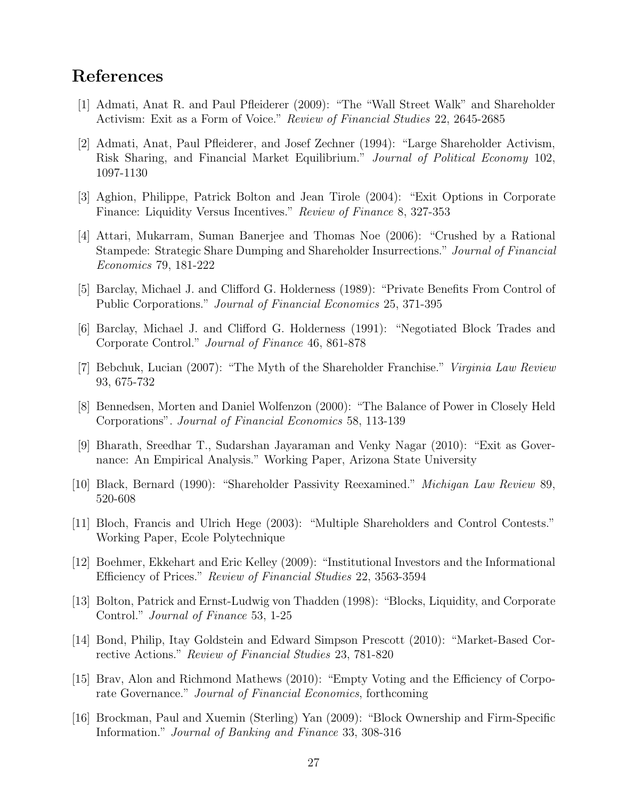# References

- [1] Admati, Anat R. and Paul Pfleiderer (2009): "The "Wall Street Walk" and Shareholder Activism: Exit as a Form of Voice." Review of Financial Studies 22, 2645-2685
- [2] Admati, Anat, Paul Pfleiderer, and Josef Zechner (1994): "Large Shareholder Activism, Risk Sharing, and Financial Market Equilibrium." Journal of Political Economy 102, 1097-1130
- [3] Aghion, Philippe, Patrick Bolton and Jean Tirole (2004): "Exit Options in Corporate Finance: Liquidity Versus Incentives." Review of Finance 8, 327-353
- [4] Attari, Mukarram, Suman Banerjee and Thomas Noe (2006): "Crushed by a Rational Stampede: Strategic Share Dumping and Shareholder Insurrections." Journal of Financial Economics 79, 181-222
- [5] Barclay, Michael J. and Clifford G. Holderness (1989): "Private Benefits From Control of Public Corporations." Journal of Financial Economics 25, 371-395
- [6] Barclay, Michael J. and Clifford G. Holderness (1991): "Negotiated Block Trades and Corporate Control." Journal of Finance 46, 861-878
- [7] Bebchuk, Lucian (2007): "The Myth of the Shareholder Franchise." Virginia Law Review 93, 675-732
- [8] Bennedsen, Morten and Daniel Wolfenzon (2000): "The Balance of Power in Closely Held Corporations". Journal of Financial Economics 58, 113-139
- [9] Bharath, Sreedhar T., Sudarshan Jayaraman and Venky Nagar (2010): "Exit as Governance: An Empirical Analysis." Working Paper, Arizona State University
- [10] Black, Bernard (1990): "Shareholder Passivity Reexamined." Michigan Law Review 89, 520-608
- [11] Bloch, Francis and Ulrich Hege (2003): "Multiple Shareholders and Control Contests." Working Paper, Ecole Polytechnique
- [12] Boehmer, Ekkehart and Eric Kelley (2009): "Institutional Investors and the Informational Efficiency of Prices." Review of Financial Studies 22, 3563-3594
- [13] Bolton, Patrick and Ernst-Ludwig von Thadden (1998): "Blocks, Liquidity, and Corporate Control." Journal of Finance 53, 1-25
- [14] Bond, Philip, Itay Goldstein and Edward Simpson Prescott (2010): "Market-Based Corrective Actions." Review of Financial Studies 23, 781-820
- [15] Brav, Alon and Richmond Mathews (2010): "Empty Voting and the Efficiency of Corporate Governance." Journal of Financial Economics, forthcoming
- [16] Brockman, Paul and Xuemin (Sterling) Yan (2009): "Block Ownership and Firm-Specific Information." Journal of Banking and Finance 33, 308-316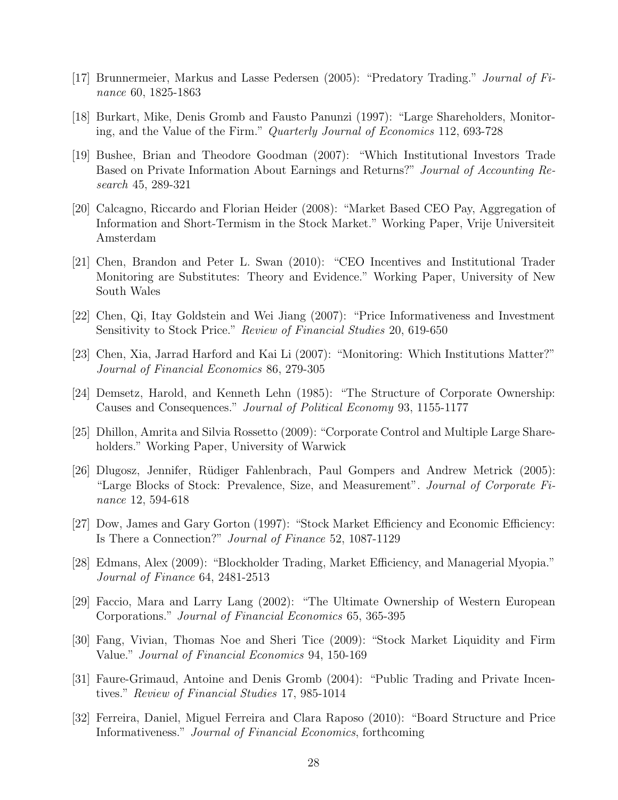- [17] Brunnermeier, Markus and Lasse Pedersen (2005): "Predatory Trading." Journal of Finance 60, 1825-1863
- [18] Burkart, Mike, Denis Gromb and Fausto Panunzi (1997): "Large Shareholders, Monitoring, and the Value of the Firm." Quarterly Journal of Economics 112, 693-728
- [19] Bushee, Brian and Theodore Goodman (2007): "Which Institutional Investors Trade Based on Private Information About Earnings and Returns?" *Journal of Accounting Re*search 45, 289-321
- [20] Calcagno, Riccardo and Florian Heider (2008): "Market Based CEO Pay, Aggregation of Information and Short-Termism in the Stock Market." Working Paper, Vrije Universiteit Amsterdam
- [21] Chen, Brandon and Peter L. Swan (2010): "CEO Incentives and Institutional Trader Monitoring are Substitutes: Theory and Evidence." Working Paper, University of New South Wales
- [22] Chen, Qi, Itay Goldstein and Wei Jiang (2007): "Price Informativeness and Investment Sensitivity to Stock Price." Review of Financial Studies 20, 619-650
- [23] Chen, Xia, Jarrad Harford and Kai Li (2007): "Monitoring: Which Institutions Matter?" Journal of Financial Economics 86, 279-305
- [24] Demsetz, Harold, and Kenneth Lehn (1985): "The Structure of Corporate Ownership: Causes and Consequences." Journal of Political Economy 93, 1155-1177
- [25] Dhillon, Amrita and Silvia Rossetto (2009): "Corporate Control and Multiple Large Shareholders." Working Paper, University of Warwick
- [26] Dlugosz, Jennifer, Rüdiger Fahlenbrach, Paul Gompers and Andrew Metrick (2005): "Large Blocks of Stock: Prevalence, Size, and Measurement". Journal of Corporate Finance 12, 594-618
- [27] Dow, James and Gary Gorton (1997): "Stock Market Efficiency and Economic Efficiency: Is There a Connection?" Journal of Finance 52, 1087-1129
- [28] Edmans, Alex (2009): "Blockholder Trading, Market Efficiency, and Managerial Myopia." Journal of Finance 64, 2481-2513
- [29] Faccio, Mara and Larry Lang (2002): "The Ultimate Ownership of Western European Corporations." Journal of Financial Economics 65, 365-395
- [30] Fang, Vivian, Thomas Noe and Sheri Tice (2009): "Stock Market Liquidity and Firm Value." Journal of Financial Economics 94, 150-169
- [31] Faure-Grimaud, Antoine and Denis Gromb (2004): "Public Trading and Private Incentives." Review of Financial Studies 17, 985-1014
- [32] Ferreira, Daniel, Miguel Ferreira and Clara Raposo (2010): "Board Structure and Price Informativeness." Journal of Financial Economics, forthcoming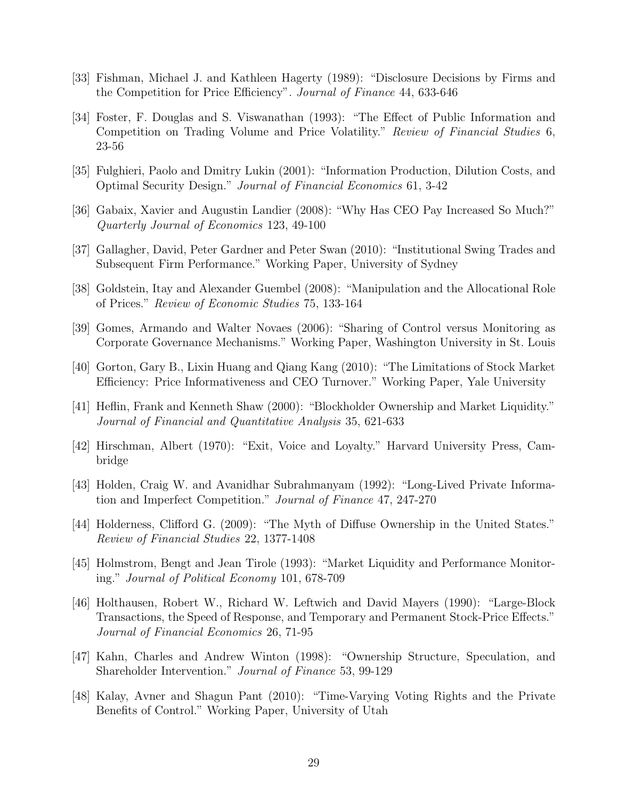- [33] Fishman, Michael J. and Kathleen Hagerty (1989): "Disclosure Decisions by Firms and the Competition for Price Efficiency". Journal of Finance 44, 633-646
- [34] Foster, F. Douglas and S. Viswanathan (1993): "The Effect of Public Information and Competition on Trading Volume and Price Volatility." Review of Financial Studies 6, 23-56
- [35] Fulghieri, Paolo and Dmitry Lukin (2001): "Information Production, Dilution Costs, and Optimal Security Design." Journal of Financial Economics 61, 3-42
- [36] Gabaix, Xavier and Augustin Landier (2008): "Why Has CEO Pay Increased So Much?" Quarterly Journal of Economics 123, 49-100
- [37] Gallagher, David, Peter Gardner and Peter Swan (2010): "Institutional Swing Trades and Subsequent Firm Performance." Working Paper, University of Sydney
- [38] Goldstein, Itay and Alexander Guembel (2008): "Manipulation and the Allocational Role of Prices." Review of Economic Studies 75, 133-164
- [39] Gomes, Armando and Walter Novaes (2006): "Sharing of Control versus Monitoring as Corporate Governance Mechanisms." Working Paper, Washington University in St. Louis
- [40] Gorton, Gary B., Lixin Huang and Qiang Kang (2010): "The Limitations of Stock Market Efficiency: Price Informativeness and CEO Turnover." Working Paper, Yale University
- [41] Heflin, Frank and Kenneth Shaw (2000): "Blockholder Ownership and Market Liquidity." Journal of Financial and Quantitative Analysis 35, 621-633
- [42] Hirschman, Albert (1970): "Exit, Voice and Loyalty." Harvard University Press, Cambridge
- [43] Holden, Craig W. and Avanidhar Subrahmanyam (1992): "Long-Lived Private Information and Imperfect Competition." Journal of Finance 47, 247-270
- [44] Holderness, Clifford G. (2009): "The Myth of Diffuse Ownership in the United States." Review of Financial Studies 22, 1377-1408
- [45] Holmstrom, Bengt and Jean Tirole (1993): "Market Liquidity and Performance Monitoring." Journal of Political Economy 101, 678-709
- [46] Holthausen, Robert W., Richard W. Leftwich and David Mayers (1990): "Large-Block Transactions, the Speed of Response, and Temporary and Permanent Stock-Price Effects." Journal of Financial Economics 26, 71-95
- [47] Kahn, Charles and Andrew Winton (1998): "Ownership Structure, Speculation, and Shareholder Intervention." Journal of Finance 53, 99-129
- [48] Kalay, Avner and Shagun Pant (2010): "Time-Varying Voting Rights and the Private Benefits of Control." Working Paper, University of Utah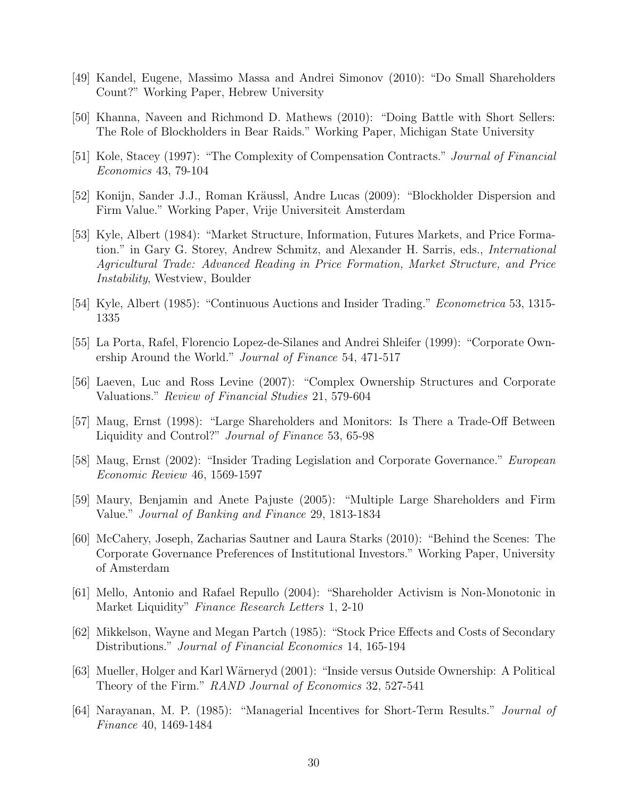- [49] Kandel, Eugene, Massimo Massa and Andrei Simonov (2010): "Do Small Shareholders Count?" Working Paper, Hebrew University
- [50] Khanna, Naveen and Richmond D. Mathews (2010): "Doing Battle with Short Sellers: The Role of Blockholders in Bear Raids." Working Paper, Michigan State University
- [51] Kole, Stacey (1997): "The Complexity of Compensation Contracts." Journal of Financial Economics 43, 79-104
- [52] Konijn, Sander J.J., Roman Kräussl, Andre Lucas (2009): "Blockholder Dispersion and Firm Value." Working Paper, Vrije Universiteit Amsterdam
- [53] Kyle, Albert (1984): "Market Structure, Information, Futures Markets, and Price Formation." in Gary G. Storey, Andrew Schmitz, and Alexander H. Sarris, eds., International Agricultural Trade: Advanced Reading in Price Formation, Market Structure, and Price Instability, Westview, Boulder
- [54] Kyle, Albert (1985): "Continuous Auctions and Insider Trading." Econometrica 53, 1315- 1335
- [55] La Porta, Rafel, Florencio Lopez-de-Silanes and Andrei Shleifer (1999): "Corporate Ownership Around the World." Journal of Finance 54, 471-517
- [56] Laeven, Luc and Ross Levine (2007): "Complex Ownership Structures and Corporate Valuations." Review of Financial Studies 21, 579-604
- [57] Maug, Ernst (1998): "Large Shareholders and Monitors: Is There a Trade-Off Between Liquidity and Control?" Journal of Finance 53, 65-98
- [58] Maug, Ernst (2002): "Insider Trading Legislation and Corporate Governance." European Economic Review 46, 1569-1597
- [59] Maury, Benjamin and Anete Pajuste (2005): "Multiple Large Shareholders and Firm Value." Journal of Banking and Finance 29, 1813-1834
- [60] McCahery, Joseph, Zacharias Sautner and Laura Starks (2010): "Behind the Scenes: The Corporate Governance Preferences of Institutional Investors." Working Paper, University of Amsterdam
- [61] Mello, Antonio and Rafael Repullo (2004): "Shareholder Activism is Non-Monotonic in Market Liquidity" Finance Research Letters 1, 2-10
- [62] Mikkelson, Wayne and Megan Partch (1985): "Stock Price Effects and Costs of Secondary Distributions." Journal of Financial Economics 14, 165-194
- [63] Mueller, Holger and Karl Wärneryd (2001): "Inside versus Outside Ownership: A Political Theory of the Firm." RAND Journal of Economics 32, 527-541
- [64] Narayanan, M. P. (1985): "Managerial Incentives for Short-Term Results." Journal of Finance 40, 1469-1484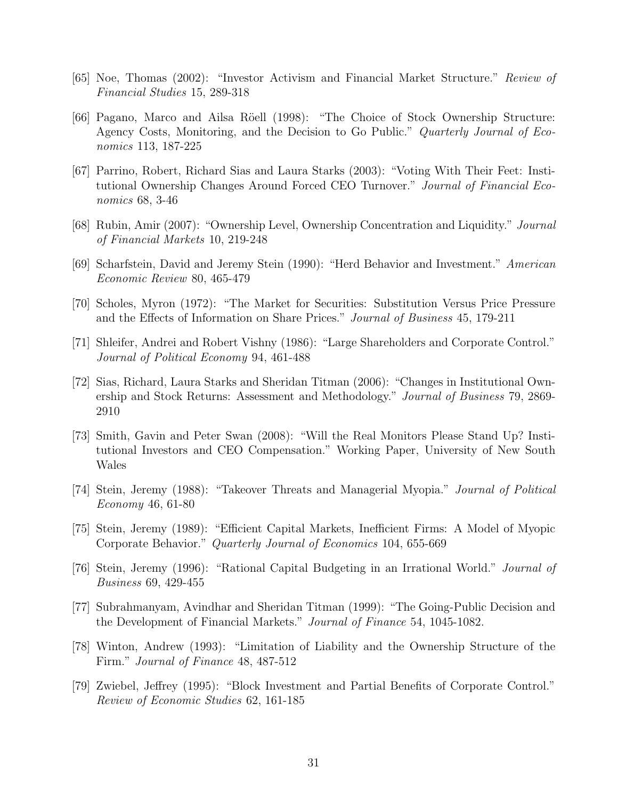- [65] Noe, Thomas (2002): "Investor Activism and Financial Market Structure." Review of Financial Studies 15, 289-318
- [66] Pagano, Marco and Ailsa Röell (1998): "The Choice of Stock Ownership Structure: Agency Costs, Monitoring, and the Decision to Go Public." *Quarterly Journal of Eco*nomics 113, 187-225
- [67] Parrino, Robert, Richard Sias and Laura Starks (2003): "Voting With Their Feet: Institutional Ownership Changes Around Forced CEO Turnover." Journal of Financial Economics 68, 3-46
- [68] Rubin, Amir (2007): "Ownership Level, Ownership Concentration and Liquidity." Journal of Financial Markets 10, 219-248
- [69] Scharfstein, David and Jeremy Stein (1990): "Herd Behavior and Investment." American Economic Review 80, 465-479
- [70] Scholes, Myron (1972): "The Market for Securities: Substitution Versus Price Pressure and the Effects of Information on Share Prices." Journal of Business 45, 179-211
- [71] Shleifer, Andrei and Robert Vishny (1986): "Large Shareholders and Corporate Control." Journal of Political Economy 94, 461-488
- [72] Sias, Richard, Laura Starks and Sheridan Titman (2006): "Changes in Institutional Ownership and Stock Returns: Assessment and Methodology." Journal of Business 79, 2869- 2910
- [73] Smith, Gavin and Peter Swan (2008): "Will the Real Monitors Please Stand Up? Institutional Investors and CEO Compensation." Working Paper, University of New South Wales
- [74] Stein, Jeremy (1988): "Takeover Threats and Managerial Myopia." Journal of Political Economy 46, 61-80
- [75] Stein, Jeremy (1989): "Efficient Capital Markets, Inefficient Firms: A Model of Myopic Corporate Behavior." Quarterly Journal of Economics 104, 655-669
- [76] Stein, Jeremy (1996): "Rational Capital Budgeting in an Irrational World." Journal of Business 69, 429-455
- [77] Subrahmanyam, Avindhar and Sheridan Titman (1999): "The Going-Public Decision and the Development of Financial Markets." Journal of Finance 54, 1045-1082.
- [78] Winton, Andrew (1993): "Limitation of Liability and the Ownership Structure of the Firm." Journal of Finance 48, 487-512
- [79] Zwiebel, Jeffrey (1995): "Block Investment and Partial Benefits of Corporate Control." Review of Economic Studies 62, 161-185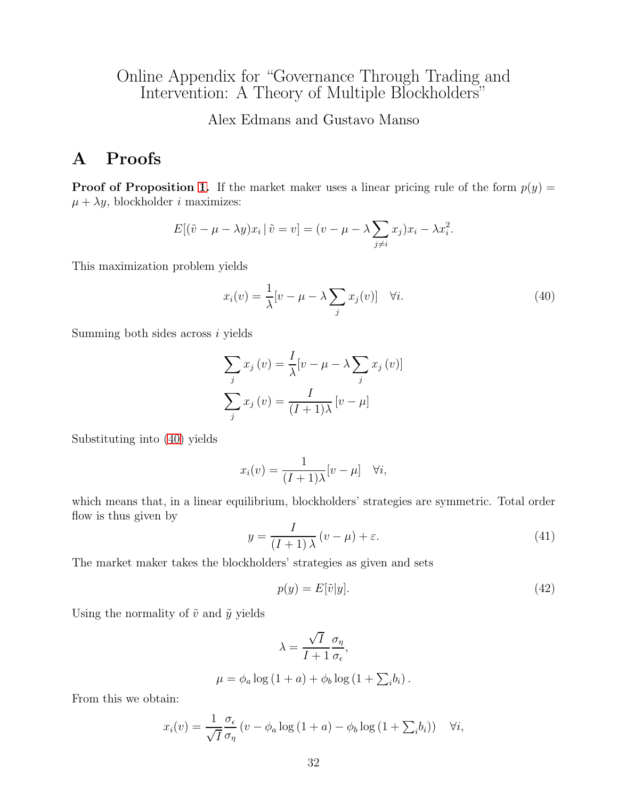# Online Appendix for "Governance Through Trading and Intervention: A Theory of Multiple Blockholders"

### Alex Edmans and Gustavo Manso

# <span id="page-31-0"></span>A Proofs

**Proof of Proposition [1.](#page-9-2)** If the market maker uses a linear pricing rule of the form  $p(y) =$  $\mu + \lambda y$ , blockholder *i* maximizes:

$$
E[(\tilde{v} - \mu - \lambda y)x_i | \tilde{v} = v] = (v - \mu - \lambda \sum_{j \neq i} x_j)x_i - \lambda x_i^2.
$$

This maximization problem yields

<span id="page-31-1"></span>
$$
x_i(v) = \frac{1}{\lambda} [v - \mu - \lambda \sum_j x_j(v)] \quad \forall i.
$$
 (40)

Summing both sides across i yields

$$
\sum_{j} x_{j}(v) = \frac{I}{\lambda}[v - \mu - \lambda \sum_{j} x_{j}(v)]
$$

$$
\sum_{j} x_{j}(v) = \frac{I}{(I+1)\lambda}[v - \mu]
$$

Substituting into [\(40\)](#page-31-1) yields

$$
x_i(v) = \frac{1}{(I+1)\lambda}[v-\mu] \quad \forall i,
$$

which means that, in a linear equilibrium, blockholders' strategies are symmetric. Total order flow is thus given by

<span id="page-31-2"></span>
$$
y = \frac{I}{(I+1)\lambda}(v-\mu) + \varepsilon.
$$
 (41)

The market maker takes the blockholders' strategies as given and sets

<span id="page-31-3"></span>
$$
p(y) = E[\tilde{v}|y].\tag{42}
$$

Using the normality of  $\tilde{v}$  and  $\tilde{y}$  yields

$$
\lambda = \frac{\sqrt{I}}{I+1} \frac{\sigma_{\eta}}{\sigma_{\epsilon}},
$$
  

$$
\mu = \phi_a \log (1+a) + \phi_b \log (1+\sum_i b_i).
$$

From this we obtain:

$$
x_i(v) = \frac{1}{\sqrt{I}} \frac{\sigma_{\epsilon}}{\sigma_{\eta}} \left( v - \phi_a \log \left( 1 + a \right) - \phi_b \log \left( 1 + \sum_i b_i \right) \right) \quad \forall i,
$$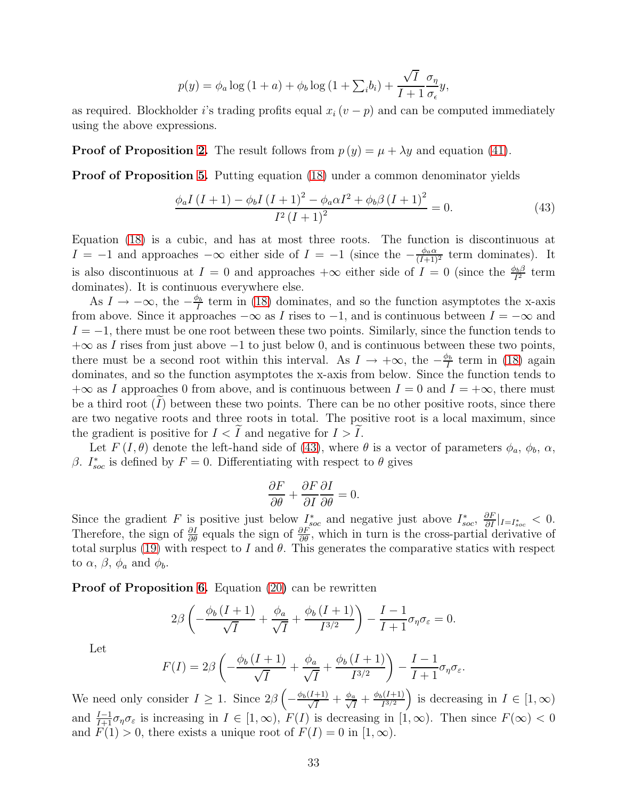$$
p(y) = \phi_a \log(1+a) + \phi_b \log(1+\sum_i b_i) + \frac{\sqrt{I}}{I+1} \frac{\sigma_{\eta}}{\sigma_{\epsilon}} y,
$$

as required. Blockholder i's trading profits equal  $x_i (v - p)$  and can be computed immediately using the above expressions.

**Proof of Proposition [2.](#page-9-1)** The result follows from  $p(y) = \mu + \lambda y$  and equation [\(41\)](#page-31-2).

Proof of Proposition [5.](#page-12-4) Putting equation [\(18\)](#page-12-4) under a common denominator yields

<span id="page-32-0"></span>
$$
\frac{\phi_a I (I+1) - \phi_b I (I+1)^2 - \phi_a \alpha I^2 + \phi_b \beta (I+1)^2}{I^2 (I+1)^2} = 0.
$$
\n(43)

Equation [\(18\)](#page-12-4) is a cubic, and has at most three roots. The function is discontinuous at  $I = -1$  and approaches  $-\infty$  either side of  $I = -1$  (since the  $-\frac{\phi_a \alpha}{(I+1)^2}$  term dominates). It is also discontinuous at  $I = 0$  and approaches  $+\infty$  either side of  $I = 0$  (since the  $\frac{\phi_b \beta}{I^2}$  term dominates). It is continuous everywhere else.

As  $I \rightarrow -\infty$ , the  $-\frac{\phi_b}{I}$  $\frac{\partial b}{I}$  term in [\(18\)](#page-12-4) dominates, and so the function asymptotes the x-axis from above. Since it approaches  $-\infty$  as I rises to  $-1$ , and is continuous between  $I = -\infty$  and  $I = -1$ , there must be one root between these two points. Similarly, since the function tends to  $+\infty$  as I rises from just above  $-1$  to just below 0, and is continuous between these two points, there must be a second root within this interval. As  $I \to +\infty$ , the  $-\frac{\phi_b}{I}$  $\frac{b_b}{I}$  term in [\(18\)](#page-12-4) again dominates, and so the function asymptotes the x-axis from below. Since the function tends to  $+\infty$  as I approaches 0 from above, and is continuous between  $I = 0$  and  $I = +\infty$ , there must be a third root  $(I)$  between these two points. There can be no other positive roots, since there are two negative roots and three roots in total. The positive root is a local maximum, since the gradient is positive for  $I < I$  and negative for  $I > I$ .

Let  $F(I, \theta)$  denote the left-hand side of [\(43\)](#page-32-0), where  $\theta$  is a vector of parameters  $\phi_a$ ,  $\phi_b$ ,  $\alpha$ , β.  $I_{\text{soc}}^*$  is defined by  $F = 0$ . Differentiating with respect to θ gives

$$
\frac{\partial F}{\partial \theta} + \frac{\partial F}{\partial I} \frac{\partial I}{\partial \theta} = 0.
$$

Since the gradient F is positive just below  $I_{soc}^*$  and negative just above  $I_{soc}^*$ ,  $\frac{\partial F}{\partial I}|_{I=I_{soc}^*}<0$ . Therefore, the sign of  $\frac{\partial I}{\partial \theta}$  equals the sign of  $\frac{\partial F}{\partial \theta}$ , which in turn is the cross-partial derivative of total surplus [\(19\)](#page-13-0) with respect to I and  $\theta$ . This generates the comparative statics with respect to  $\alpha$ ,  $\beta$ ,  $\phi_a$  and  $\phi_b$ .

Proof of Proposition [6.](#page-13-1) Equation [\(20](#page-13-1)) can be rewritten

$$
2\beta \left(-\frac{\phi_b (I+1)}{\sqrt{I}} + \frac{\phi_a}{\sqrt{I}} + \frac{\phi_b (I+1)}{I^{3/2}}\right) - \frac{I-1}{I+1}\sigma_\eta \sigma_\varepsilon = 0.
$$

Let

$$
F(I) = 2\beta \left( -\frac{\phi_b (I+1)}{\sqrt{I}} + \frac{\phi_a}{\sqrt{I}} + \frac{\phi_b (I+1)}{I^{3/2}} \right) - \frac{I-1}{I+1} \sigma_\eta \sigma_\varepsilon.
$$

We need only consider  $I \geq 1$ . Since  $2\beta$  (  $-\frac{\phi_b(I+1)}{\sqrt{I}}+\frac{\phi_a}{\sqrt{I}}$  $\frac{a}{I} + \frac{\phi_b (I+1)}{I^{3/2}}$  $\left(\frac{I+1}{I^{3/2}}\right)$  is decreasing in  $I \in [1, \infty)$ and  $\frac{I-1}{I+1}\sigma_{\eta}\sigma_{\varepsilon}$  is increasing in  $I \in [1,\infty)$ ,  $F(I)$  is decreasing in  $[1,\infty)$ . Then since  $F(\infty) < 0$ and  $F(1) > 0$ , there exists a unique root of  $F(I) = 0$  in  $[1, \infty)$ .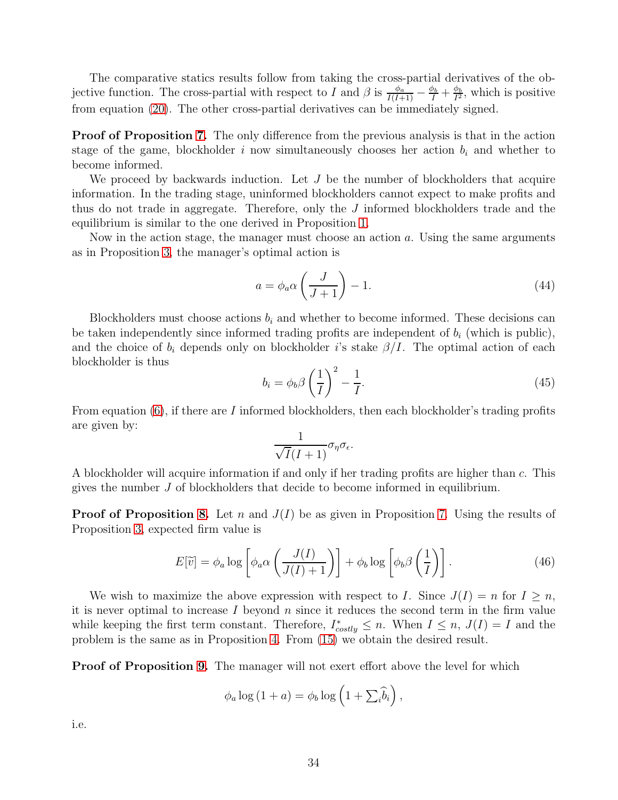The comparative statics results follow from taking the cross-partial derivatives of the objective function. The cross-partial with respect to I and  $\beta$  is  $\frac{\phi_a}{I(I+1)} - \frac{\phi_b}{I} + \frac{\phi_b}{I^2}$  $\frac{\phi_b}{I^2}$ , which is positive from equation [\(20\)](#page-13-1). The other cross-partial derivatives can be immediately signed.

Proof of Proposition [7.](#page-14-2) The only difference from the previous analysis is that in the action stage of the game, blockholder i now simultaneously chooses her action  $b_i$  and whether to become informed.

We proceed by backwards induction. Let  $J$  be the number of blockholders that acquire information. In the trading stage, uninformed blockholders cannot expect to make profits and thus do not trade in aggregate. Therefore, only the  $J$  informed blockholders trade and the equilibrium is similar to the one derived in Proposition [1.](#page-9-2)

Now in the action stage, the manager must choose an action  $a$ . Using the same arguments as in Proposition [3,](#page-10-0) the manager's optimal action is

$$
a = \phi_a \alpha \left(\frac{J}{J+1}\right) - 1. \tag{44}
$$

Blockholders must choose actions  $b_i$  and whether to become informed. These decisions can be taken independently since informed trading profits are independent of  $b_i$  (which is public), and the choice of  $b_i$  depends only on blockholder is stake  $\beta/I$ . The optimal action of each blockholder is thus

$$
b_i = \phi_b \beta \left(\frac{1}{I}\right)^2 - \frac{1}{I}.\tag{45}
$$

From equation  $(6)$ , if there are I informed blockholders, then each blockholder's trading profits are given by:

$$
\frac{1}{\sqrt{I}(I+1)}\sigma_{\eta}\sigma_{\epsilon}.
$$

A blockholder will acquire information if and only if her trading profits are higher than c. This gives the number J of blockholders that decide to become informed in equilibrium.

**Proof of Proposition [8.](#page-15-1)** Let n and  $J(I)$  be as given in Proposition [7.](#page-14-2) Using the results of Proposition [3,](#page-10-0) expected firm value is

$$
E[\tilde{v}] = \phi_a \log \left[ \phi_a \alpha \left( \frac{J(I)}{J(I) + 1} \right) \right] + \phi_b \log \left[ \phi_b \beta \left( \frac{1}{I} \right) \right]. \tag{46}
$$

We wish to maximize the above expression with respect to I. Since  $J(I) = n$  for  $I \geq n$ , it is never optimal to increase  $I$  beyond  $n$  since it reduces the second term in the firm value while keeping the first term constant. Therefore,  $I_{costly}^* \leq n$ . When  $I \leq n$ ,  $J(I) = I$  and the problem is the same as in Proposition [4.](#page-12-2) From [\(15\)](#page-12-2) we obtain the desired result.

Proof of Proposition [9.](#page-17-1) The manager will not exert effort above the level for which

$$
\phi_a \log (1 + a) = \phi_b \log \left( 1 + \sum_i \widehat{b}_i \right),
$$

i.e.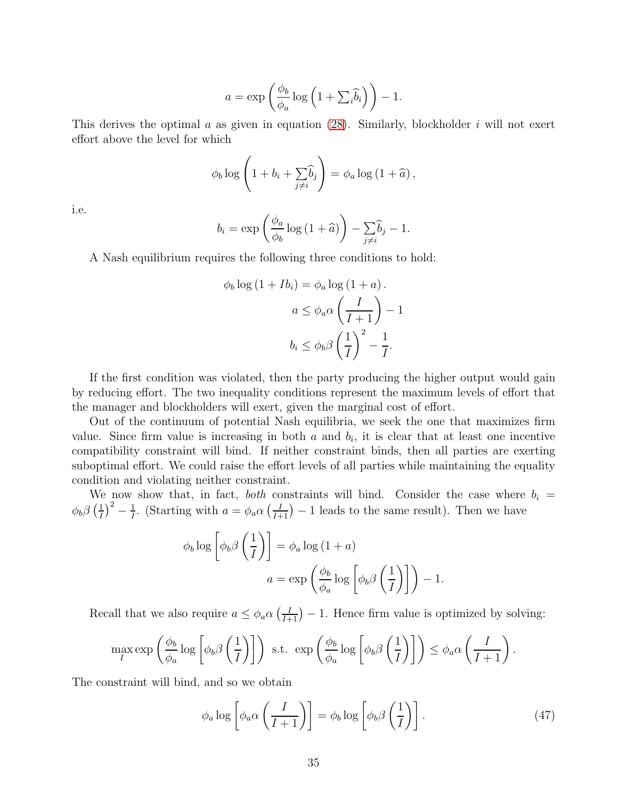$$
a = \exp\left(\frac{\phi_b}{\phi_a} \log\left(1 + \sum_i \widehat{b}_i\right)\right) - 1.
$$

This derives the optimal a as given in equation [\(28\)](#page-16-0). Similarly, blockholder i will not exert effort above the level for which

$$
\phi_b \log \left( 1 + b_i + \sum_{j \neq i} \widehat{b}_j \right) = \phi_a \log \left( 1 + \widehat{a} \right),
$$

i.e.

$$
b_i = \exp\left(\frac{\phi_a}{\phi_b}\log\left(1+\widehat{a}\right)\right) - \sum_{j\neq i} \widehat{b}_j - 1.
$$

A Nash equilibrium requires the following three conditions to hold:

$$
\phi_b \log (1 + Ib_i) = \phi_a \log (1 + a).
$$
  

$$
a \le \phi_a \alpha \left(\frac{I}{I + 1}\right) - 1
$$
  

$$
b_i \le \phi_b \beta \left(\frac{1}{I}\right)^2 - \frac{1}{I}.
$$

If the first condition was violated, then the party producing the higher output would gain by reducing effort. The two inequality conditions represent the maximum levels of effort that the manager and blockholders will exert, given the marginal cost of effort.

Out of the continuum of potential Nash equilibria, we seek the one that maximizes firm value. Since firm value is increasing in both  $a$  and  $b_i$ , it is clear that at least one incentive compatibility constraint will bind. If neither constraint binds, then all parties are exerting suboptimal effort. We could raise the effort levels of all parties while maintaining the equality condition and violating neither constraint.

We now show that, in fact, both constraints will bind. Consider the case where  $b_i =$  $\phi_b \beta \left(\frac{1}{I}\right)$  $\frac{1}{I}$ )<sup>2</sup> –  $\frac{1}{I}$  $\frac{1}{I}$ . (Starting with  $a = \phi_a \alpha \left( \frac{I}{I+I} \right)$  $\frac{I}{I+1}$  – 1 leads to the same result). Then we have

$$
\phi_b \log \left[ \phi_b \beta \left( \frac{1}{I} \right) \right] = \phi_a \log \left( 1 + a \right)
$$

$$
a = \exp \left( \frac{\phi_b}{\phi_a} \log \left[ \phi_b \beta \left( \frac{1}{I} \right) \right] \right) - 1.
$$

Recall that we also require  $a \leq \phi_a \alpha \left( \frac{I}{I+1} \right) - 1$ . Hence firm value is optimized by solving:

$$
\max_{I} \exp\left(\frac{\phi_b}{\phi_a} \log \left[\phi_b \beta\left(\frac{1}{I}\right)\right]\right) \text{ s.t. } \exp\left(\frac{\phi_b}{\phi_a} \log \left[\phi_b \beta\left(\frac{1}{I}\right)\right]\right) \le \phi_a \alpha \left(\frac{I}{I+1}\right).
$$

The constraint will bind, and so we obtain

<span id="page-34-0"></span>
$$
\phi_a \log \left[ \phi_a \alpha \left( \frac{I}{I+1} \right) \right] = \phi_b \log \left[ \phi_b \beta \left( \frac{1}{I} \right) \right]. \tag{47}
$$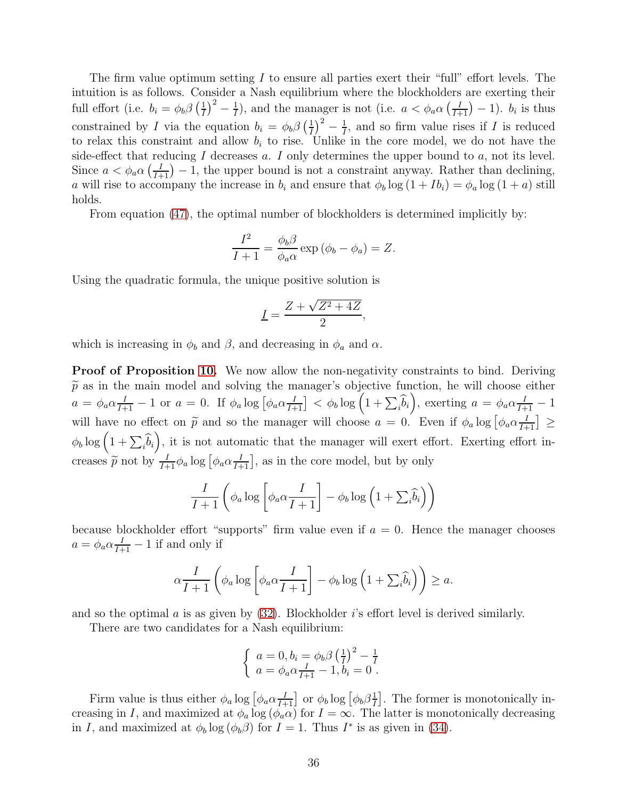The firm value optimum setting  $I$  to ensure all parties exert their "full" effort levels. The intuition is as follows. Consider a Nash equilibrium where the blockholders are exerting their full effort (i.e.  $b_i = \phi_b \beta \left(\frac{1}{l}\right)$  $\frac{1}{I}$ )<sup>2</sup> –  $\frac{1}{I}$  $\frac{1}{I}$ , and the manager is not (i.e.  $a < \phi_a \alpha \left( \frac{I}{I+1} \right) - 1$ ).  $b_i$  is thus constrained by I via the equation  $b_i = \phi_b \beta \left(\frac{1}{l}\right)$  $\frac{1}{I}$  $\Big)^2 - \frac{1}{I}$  $\frac{1}{I}$ , and so firm value rises if I is reduced to relax this constraint and allow  $b_i$  to rise. Unlike in the core model, we do not have the side-effect that reducing I decreases  $a$ . I only determines the upper bound to  $a$ , not its level. Since  $a < \phi_a \alpha \left( \frac{I}{I+1} \right) - 1$ , the upper bound is not a constraint anyway. Rather than declining, a will rise to accompany the increase in  $b_i$  and ensure that  $\phi_b \log(1 + Ib_i) = \phi_a \log(1 + a)$  still holds.

From equation [\(47\)](#page-34-0), the optimal number of blockholders is determined implicitly by:

$$
\frac{I^2}{I+1} = \frac{\phi_b \beta}{\phi_a \alpha} \exp (\phi_b - \phi_a) = Z.
$$

Using the quadratic formula, the unique positive solution is

$$
\underline{I} = \frac{Z + \sqrt{Z^2 + 4Z}}{2},
$$

which is increasing in  $\phi_b$  and  $\beta$ , and decreasing in  $\phi_a$  and  $\alpha$ .

**Proof of Proposition [10.](#page-17-0)** We now allow the non-negativity constraints to bind. Deriving  $\tilde{p}$  as in the main model and solving the manager's objective function, he will choose either  $a = \phi_a \alpha \frac{I}{I+1} - 1$  or  $a = 0$ . If  $\phi_a \log \left[ \phi_a \alpha \frac{I}{I+1} \right] < \phi_b \log \left( 1 + \sum_i \widehat{b}_i \right)$ , exerting  $a = \phi_a \alpha \frac{I}{I+1} - 1$ will have no effect on  $\tilde{p}$  and so the manager will choose  $a = 0$ . Even if  $\phi_a \log \left[ \phi_a \alpha \frac{I}{I+1} \right] \ge$  $\phi_b \log\left(1+\sum_i \hat{b}_i\right)$ , it is not automatic that the manager will exert effort. Exerting effort increases  $\tilde{p}$  not by  $\frac{I}{I+1}\phi_a \log \left[\phi_a \alpha \frac{I}{I+1}\right]$ , as in the core model, but by only

$$
\frac{I}{I+1} \left( \phi_a \log \left[ \phi_a \alpha \frac{I}{I+1} \right] - \phi_b \log \left( 1 + \sum_i \widehat{b}_i \right) \right)
$$

because blockholder effort "supports" firm value even if  $a = 0$ . Hence the manager chooses  $a = \phi_a \alpha \frac{I}{I+1} - 1$  if and only if

$$
\alpha \frac{I}{I+1} \left( \phi_a \log \left[ \phi_a \alpha \frac{I}{I+1} \right] - \phi_b \log \left( 1 + \sum_i \widehat{b}_i \right) \right) \ge a.
$$

and so the optimal  $\alpha$  is as given by  $(32)$ . Blockholder i's effort level is derived similarly.

There are two candidates for a Nash equilibrium:

$$
\begin{cases}\n a = 0, b_i = \phi_b \beta \left(\frac{1}{I}\right)^2 - \frac{1}{I} \\
a = \phi_a \alpha \frac{I}{I+1} - 1, b_i = 0\n\end{cases}.
$$

Firm value is thus either  $\phi_a \log \left[ \phi_a \alpha \frac{I}{I+1} \right]$  or  $\phi_b \log \left[ \phi_b \beta \frac{1}{I+1} \right]$  $\frac{1}{I}$ . The former is monotonically increasing in I, and maximized at  $\phi_a$  log  $(\phi_a \alpha)$  for  $I = \infty$ . The latter is monotonically decreasing in I, and maximized at  $\phi_b \log (\phi_b \beta)$  for  $I = 1$ . Thus I<sup>\*</sup> is as given in [\(34\)](#page-17-0).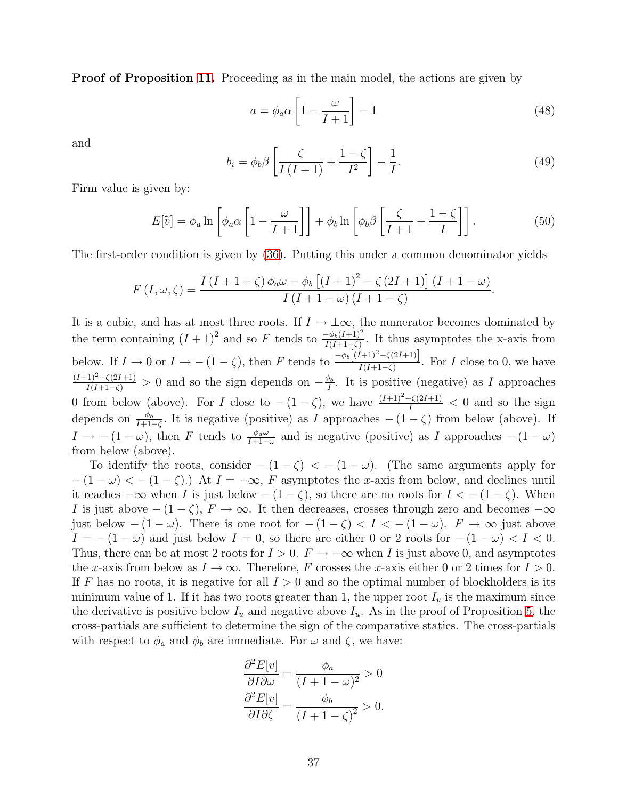**Proof of Proposition [11.](#page-19-1)** Proceeding as in the main model, the actions are given by

$$
a = \phi_a \alpha \left[ 1 - \frac{\omega}{I+1} \right] - 1 \tag{48}
$$

and

$$
b_i = \phi_b \beta \left[ \frac{\zeta}{I(I+1)} + \frac{1-\zeta}{I^2} \right] - \frac{1}{I}.\tag{49}
$$

Firm value is given by:

$$
E[\widetilde{v}] = \phi_a \ln \left[ \phi_a \alpha \left[ 1 - \frac{\omega}{I+1} \right] \right] + \phi_b \ln \left[ \phi_b \beta \left[ \frac{\zeta}{I+1} + \frac{1-\zeta}{I} \right] \right]. \tag{50}
$$

The first-order condition is given by [\(36\)](#page-19-1). Putting this under a common denominator yields

$$
F(I,\omega,\zeta) = \frac{I(I+1-\zeta)\phi_a\omega - \phi_b[(I+1)^2 - \zeta(2I+1)](I+1-\omega)}{I(I+1-\omega)(I+1-\zeta)}.
$$

It is a cubic, and has at most three roots. If  $I \to \pm \infty$ , the numerator becomes dominated by the term containing  $(I + 1)^2$  and so F tends to  $\frac{-\phi_b(I+1)^2}{I(I+1-\zeta)}$ . It thus asymptotes the x-axis from below. If  $I \to 0$  or  $I \to -(1-\zeta)$ , then F tends to  $\frac{-\phi_b[(I+1)^2-\zeta(2I+1)]}{I(I+1-\zeta)}$ . For I close to 0, we have  $\frac{(I+1)^2-\zeta(2I+1)}{I(I+1-\zeta)} > 0$  and so the sign depends on  $-\frac{\phi_b}{I}$  $\frac{p_b}{I}$ . It is positive (negative) as I approaches 0 from below (above). For I close to  $-(1-\zeta)$ , we have  $\frac{(I+1)^2-\zeta(2I+1)}{I} < 0$  and so the sign depends on  $\frac{\phi_b}{I+1-\zeta}$ . It is negative (positive) as I approaches  $-(1-\zeta)$  from below (above). If  $I \to -(1-\omega)$ , then F tends to  $\frac{\phi_a\omega}{I+1-\omega}$  and is negative (positive) as I approaches  $-(1-\omega)$ from below (above).

To identify the roots, consider  $-(1-\zeta) < -(1-\omega)$ . (The same arguments apply for  $-(1 - \omega) < -(1 - \zeta)$ .) At  $I = -\infty$ , F asymptotes the x-axis from below, and declines until it reaches  $-\infty$  when I is just below  $-(1-\zeta)$ , so there are no roots for  $I < -(1-\zeta)$ . When I is just above  $-(1-\zeta), F \to \infty$ . It then decreases, crosses through zero and becomes  $-\infty$ just below − (1 − ω). There is one root for − (1 − ζ) < I < − (1 − ω). F → ∞ just above  $I = -(1 - \omega)$  and just below  $I = 0$ , so there are either 0 or 2 roots for  $-(1 - \omega) < I < 0$ . Thus, there can be at most 2 roots for  $I > 0$ .  $F \to -\infty$  when I is just above 0, and asymptotes the x-axis from below as  $I \to \infty$ . Therefore, F crosses the x-axis either 0 or 2 times for  $I > 0$ . If F has no roots, it is negative for all  $I > 0$  and so the optimal number of blockholders is its minimum value of 1. If it has two roots greater than 1, the upper root  $I_u$  is the maximum since the derivative is positive below  $I_u$  and negative above  $I_u$ . As in the proof of Proposition [5,](#page-12-4) the cross-partials are sufficient to determine the sign of the comparative statics. The cross-partials with respect to  $\phi_a$  and  $\phi_b$  are immediate. For  $\omega$  and  $\zeta$ , we have:

$$
\frac{\partial^2 E[v]}{\partial I \partial \omega} = \frac{\phi_a}{(I + 1 - \omega)^2} > 0
$$

$$
\frac{\partial^2 E[v]}{\partial I \partial \zeta} = \frac{\phi_b}{(I + 1 - \zeta)^2} > 0.
$$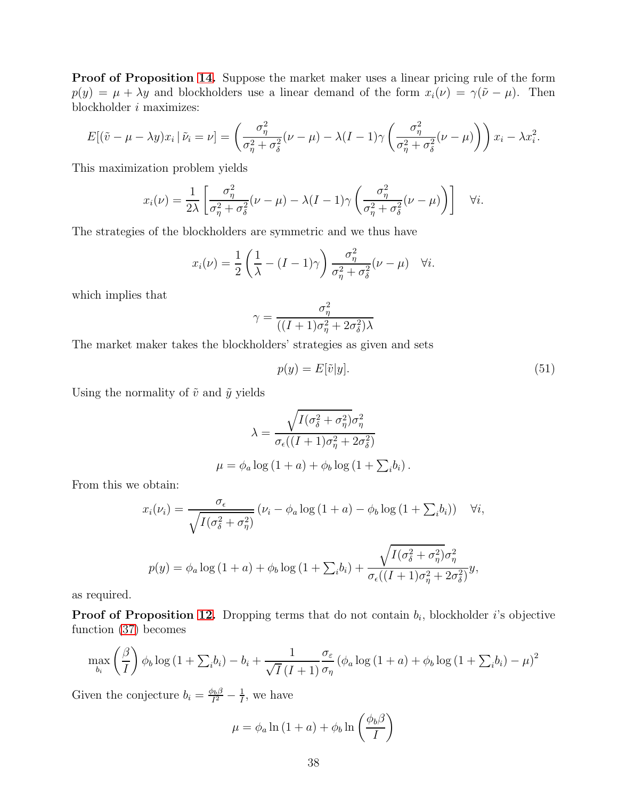Proof of Proposition [14.](#page-42-1) Suppose the market maker uses a linear pricing rule of the form  $p(y) = \mu + \lambda y$  and blockholders use a linear demand of the form  $x_i(\nu) = \gamma(\tilde{\nu} - \mu)$ . Then blockholder i maximizes:

$$
E[(\tilde{v} - \mu - \lambda y)x_i | \tilde{\nu}_i = \nu] = \left(\frac{\sigma_{\eta}^2}{\sigma_{\eta}^2 + \sigma_{\delta}^2}(\nu - \mu) - \lambda(I - 1)\gamma \left(\frac{\sigma_{\eta}^2}{\sigma_{\eta}^2 + \sigma_{\delta}^2}(\nu - \mu)\right)\right)x_i - \lambda x_i^2.
$$

This maximization problem yields

$$
x_i(\nu) = \frac{1}{2\lambda} \left[ \frac{\sigma_\eta^2}{\sigma_\eta^2 + \sigma_\delta^2} (\nu - \mu) - \lambda (I - 1) \gamma \left( \frac{\sigma_\eta^2}{\sigma_\eta^2 + \sigma_\delta^2} (\nu - \mu) \right) \right] \quad \forall i.
$$

The strategies of the blockholders are symmetric and we thus have

$$
x_i(\nu) = \frac{1}{2} \left( \frac{1}{\lambda} - (I - 1)\gamma \right) \frac{\sigma_{\eta}^2}{\sigma_{\eta}^2 + \sigma_{\delta}^2} (\nu - \mu) \quad \forall i.
$$

which implies that

$$
\gamma = \frac{\sigma_{\eta}^2}{((I+1)\sigma_{\eta}^2 + 2\sigma_{\delta}^2)\lambda}
$$

The market maker takes the blockholders' strategies as given and sets

$$
p(y) = E[\tilde{v}|y].\tag{51}
$$

Using the normality of  $\tilde{v}$  and  $\tilde{y}$  yields

$$
\lambda = \frac{\sqrt{I(\sigma_{\delta}^2 + \sigma_{\eta}^2)} \sigma_{\eta}^2}{\sigma_{\epsilon}((I+1)\sigma_{\eta}^2 + 2\sigma_{\delta}^2)}
$$

$$
\mu = \phi_a \log(1+a) + \phi_b \log(1+\sum_i b_i).
$$

From this we obtain:

$$
x_i(\nu_i) = \frac{\sigma_{\epsilon}}{\sqrt{I(\sigma_{\delta}^2 + \sigma_{\eta}^2)}} \left( \nu_i - \phi_a \log(1 + a) - \phi_b \log(1 + \sum_i b_i) \right) \quad \forall i,
$$
  

$$
p(y) = \phi_a \log(1 + a) + \phi_b \log(1 + \sum_i b_i) + \frac{\sqrt{I(\sigma_{\delta}^2 + \sigma_{\eta}^2)}\sigma_{\eta}^2}{\sigma_{\epsilon}((I + 1)\sigma_{\eta}^2 + 2\sigma_{\delta}^2)} y,
$$

as required.

**Proof of Proposition [12.](#page-20-1)** Dropping terms that do not contain  $b_i$ , blockholder i's objective function [\(37\)](#page-20-2) becomes

$$
\max_{b_i} \left(\frac{\beta}{I}\right) \phi_b \log \left(1 + \sum_i b_i\right) - b_i + \frac{1}{\sqrt{I}\left(I+1\right)} \frac{\sigma_{\varepsilon}}{\sigma_{\eta}} \left(\phi_a \log \left(1 + a\right) + \phi_b \log \left(1 + \sum_i b_i\right) - \mu\right)^2
$$

Given the conjecture  $b_i = \frac{\phi_b \beta}{l^2}$  $\frac{b_b \beta}{I^2} - \frac{1}{I}$  $\frac{1}{I}$ , we have

$$
\mu = \phi_a \ln(1+a) + \phi_b \ln\left(\frac{\phi_b \beta}{I}\right)
$$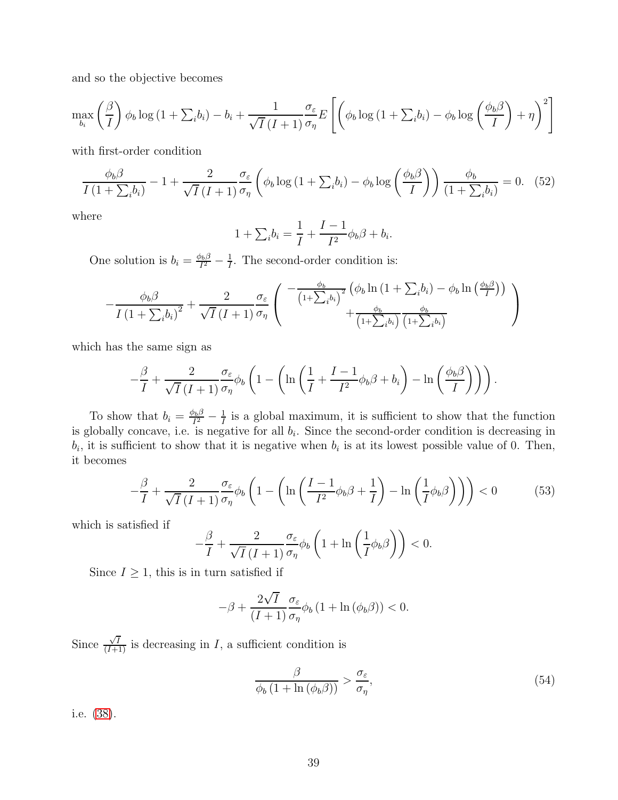and so the objective becomes

$$
\max_{b_i} \left(\frac{\beta}{I}\right) \phi_b \log\left(1 + \sum_i b_i\right) - b_i + \frac{1}{\sqrt{I}\left(I+1\right)} \frac{\sigma_{\varepsilon}}{\sigma_{\eta}} E\left[\left(\phi_b \log\left(1 + \sum_i b_i\right) - \phi_b \log\left(\frac{\phi_b \beta}{I}\right) + \eta\right)^2\right]
$$

with first-order condition

$$
\frac{\phi_b \beta}{I\left(1 + \sum_i b_i\right)} - 1 + \frac{2}{\sqrt{I}\left(I + 1\right)} \frac{\sigma_\varepsilon}{\sigma_\eta} \left(\phi_b \log\left(1 + \sum_i b_i\right) - \phi_b \log\left(\frac{\phi_b \beta}{I}\right)\right) \frac{\phi_b}{\left(1 + \sum_i b_i\right)} = 0. \tag{52}
$$

where

<span id="page-38-0"></span>
$$
1 + \sum_{i} b_i = \frac{1}{I} + \frac{I - 1}{I^2} \phi_b \beta + b_i.
$$

One solution is  $b_i = \frac{\phi_b \beta}{I^2}$  $\frac{b_b \beta}{I^2} - \frac{1}{I}$  $\frac{1}{I}$ . The second-order condition is:

$$
-\frac{\phi_b \beta}{I\left(1+\sum_i b_i\right)^2} + \frac{2}{\sqrt{I}\left(I+1\right)} \frac{\sigma_\varepsilon}{\sigma_\eta} \left( \frac{-\frac{\phi_b}{\left(1+\sum_i b_i\right)^2} \left(\phi_b \ln\left(1+\sum_i b_i\right) - \phi_b \ln\left(\frac{\phi_b \beta}{I}\right)\right)}{+\frac{\phi_b}{\left(1+\sum_i b_i\right)} \frac{\phi_b}{\left(1+\sum_i b_i\right)}} \right)
$$

which has the same sign as

$$
-\frac{\beta}{I} + \frac{2}{\sqrt{I}(I+1)} \frac{\sigma_{\varepsilon}}{\sigma_{\eta}} \phi_b \left(1 - \left(\ln\left(\frac{1}{I} + \frac{I-1}{I^2}\phi_b\beta + b_i\right) - \ln\left(\frac{\phi_b\beta}{I}\right)\right)\right).
$$

To show that  $b_i = \frac{\phi_b \beta}{I^2}$  $\frac{b_b \beta}{I^2} - \frac{1}{I}$  $\frac{1}{I}$  is a global maximum, it is sufficient to show that the function is globally concave, i.e. is negative for all  $b_i$ . Since the second-order condition is decreasing in  $b_i$ , it is sufficient to show that it is negative when  $b_i$  is at its lowest possible value of 0. Then, it becomes

$$
-\frac{\beta}{I} + \frac{2}{\sqrt{I}(I+1)} \frac{\sigma_{\varepsilon}}{\sigma_{\eta}} \phi_b \left( 1 - \left( \ln \left( \frac{I-1}{I^2} \phi_b \beta + \frac{1}{I} \right) - \ln \left( \frac{1}{I} \phi_b \beta \right) \right) \right) < 0 \tag{53}
$$

which is satisfied if

$$
-\frac{\beta}{I} + \frac{2}{\sqrt{I} (I+1)} \frac{\sigma_{\varepsilon}}{\sigma_{\eta}} \phi_b \left(1 + \ln \left( \frac{1}{I} \phi_b \beta \right) \right) < 0.
$$

Since  $I \geq 1$ , this is in turn satisfied if

$$
-\beta + \frac{2\sqrt{I}}{(I+1)} \frac{\sigma_{\varepsilon}}{\sigma_{\eta}} \phi_b \left(1 + \ln\left(\phi_b \beta\right)\right) < 0.
$$

Since  $\frac{\sqrt{I}}{(I+1)}$  is decreasing in *I*, a sufficient condition is

<span id="page-38-1"></span>
$$
\frac{\beta}{\phi_b \left(1 + \ln \left(\phi_b \beta\right)\right)} > \frac{\sigma_\varepsilon}{\sigma_\eta},\tag{54}
$$

i.e. [\(38\)](#page-20-0).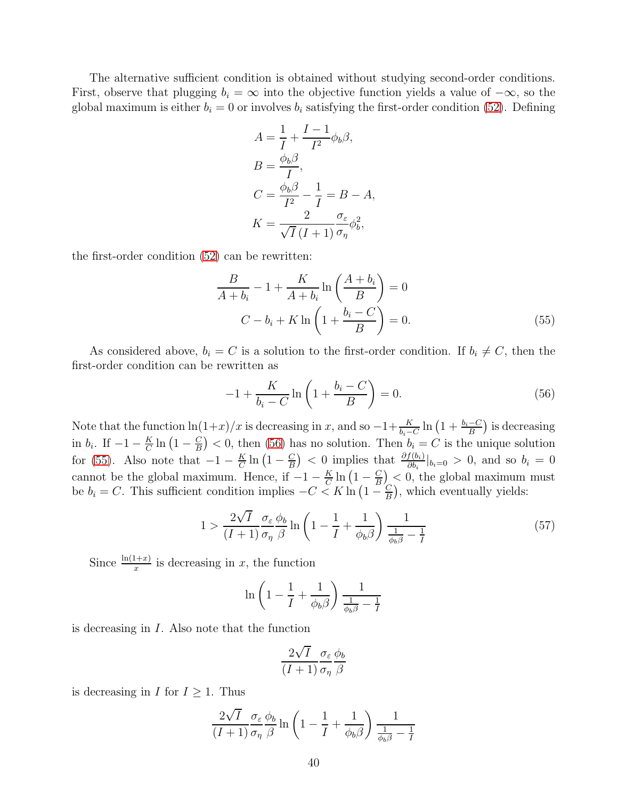The alternative sufficient condition is obtained without studying second-order conditions. First, observe that plugging  $b_i = \infty$  into the objective function yields a value of  $-\infty$ , so the global maximum is either  $b_i = 0$  or involves  $b_i$  satisfying the first-order condition [\(52\)](#page-38-0). Defining

$$
A = \frac{1}{I} + \frac{I - 1}{I^2} \phi_b \beta,
$$
  
\n
$$
B = \frac{\phi_b \beta}{I},
$$
  
\n
$$
C = \frac{\phi_b \beta}{I^2} - \frac{1}{I} = B - A,
$$
  
\n
$$
K = \frac{2}{\sqrt{I} (I + 1)} \frac{\sigma_{\varepsilon}}{\sigma_{\eta}} \phi_b^2,
$$

the first-order condition [\(52\)](#page-38-0) can be rewritten:

$$
\frac{B}{A+b_i} - 1 + \frac{K}{A+b_i} \ln\left(\frac{A+b_i}{B}\right) = 0
$$
  

$$
C - b_i + K \ln\left(1 + \frac{b_i - C}{B}\right) = 0.
$$
 (55)

As considered above,  $b_i = C$  is a solution to the first-order condition. If  $b_i \neq C$ , then the first-order condition can be rewritten as

<span id="page-39-1"></span><span id="page-39-0"></span>
$$
-1 + \frac{K}{b_i - C} \ln\left(1 + \frac{b_i - C}{B}\right) = 0.
$$
 (56)

Note that the function  $\ln(1+x)/x$  is decreasing in x, and so  $-1+\frac{K}{b_i-C}\ln(1+\frac{b_i-C}{B})$  is decreasing in  $b_i$ . If  $-1 - \frac{K}{C}$  $\frac{K}{C}\ln\left(1-\frac{C}{B}\right)$  $\binom{C}{B}$  < 0, then [\(56\)](#page-39-0) has no solution. Then  $b_i = C$  is the unique solution for [\(55\)](#page-39-1). Also note that  $-1 - \frac{K}{C}$  $\frac{K}{C}\ln\left(1-\frac{C}{B}\right)$  $\left(\frac{C}{B}\right)$  < 0 implies that  $\frac{\partial f(b_i)}{\partial b_i}|_{b_i=0} > 0$ , and so  $b_i = 0$ cannot be the global maximum. Hence, if  $-1 - \frac{K}{C}$  $\frac{K}{C}\ln\left(1-\frac{C}{B}\right)$  $\left(\frac{C}{B}\right)$  < 0, the global maximum must be  $b_i = C$ . This sufficient condition implies  $-C < K \ln \left(1 - \frac{C}{B}\right)$  $\left(\frac{C}{B}\right)$ , which eventually yields:

$$
1 > \frac{2\sqrt{I}}{(I+1)} \frac{\sigma_{\varepsilon}}{\sigma_{\eta}} \frac{\phi_{b}}{\beta} \ln\left(1 - \frac{1}{I} + \frac{1}{\phi_{b}\beta}\right) \frac{1}{\frac{1}{\phi_{b}\beta} - \frac{1}{I}}
$$
(57)

Since  $\frac{\ln(1+x)}{x}$  is decreasing in x, the function

$$
\ln\left(1-\frac{1}{I}+\frac{1}{\phi_b\beta}\right)\frac{1}{\frac{1}{\phi_b\beta}-\frac{1}{I}}
$$

is decreasing in I. Also note that the function

<span id="page-39-2"></span>
$$
\frac{2\sqrt{I}}{(I+1)}\frac{\sigma_{\varepsilon}}{\sigma_{\eta}}\frac{\phi_{b}}{\beta}
$$

is decreasing in *I* for  $I \geq 1$ . Thus

$$
\frac{2\sqrt{I}}{(I+1)}\frac{\sigma_{\varepsilon}}{\sigma_{\eta}}\frac{\phi_{b}}{\beta}\ln\left(1-\frac{1}{I}+\frac{1}{\phi_{b}\beta}\right)\frac{1}{\frac{1}{\phi_{b}\beta}-\frac{1}{I}}
$$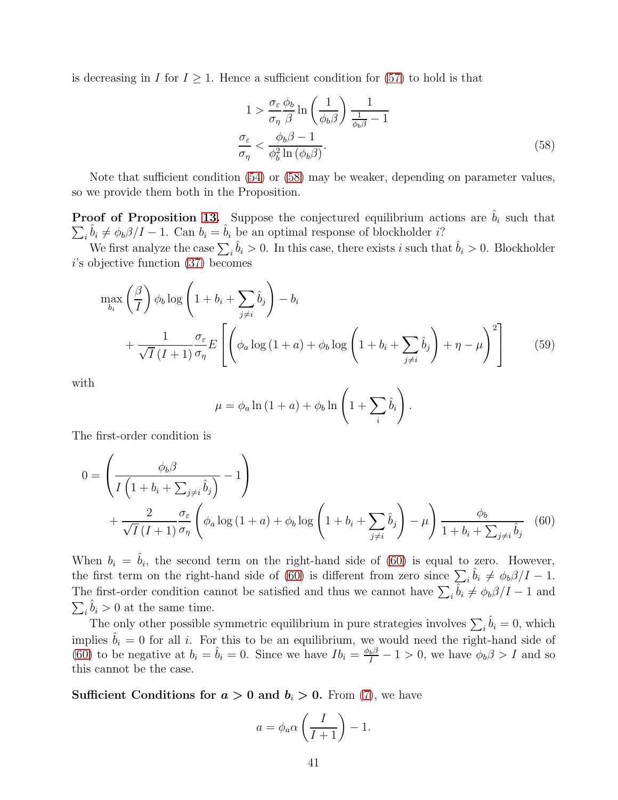is decreasing in I for  $I \geq 1$ . Hence a sufficient condition for [\(57\)](#page-39-2) to hold is that

<span id="page-40-0"></span>
$$
1 > \frac{\sigma_{\varepsilon}}{\sigma_{\eta}} \frac{\phi_b}{\beta} \ln\left(\frac{1}{\phi_b \beta}\right) \frac{1}{\frac{1}{\phi_b \beta} - 1}
$$

$$
\frac{\sigma_{\varepsilon}}{\sigma_{\eta}} < \frac{\phi_b \beta - 1}{\phi_b^2 \ln\left(\phi_b \beta\right)}.
$$
(58)

Note that sufficient condition [\(54\)](#page-38-1) or [\(58\)](#page-40-0) may be weaker, depending on parameter values, so we provide them both in the Proposition.

**Proof of Proposition [13.](#page-21-1)** Suppose the conjectured equilibrium actions are  $\hat{b}_i$  such that  $\sum_i \hat{b}_i \neq \phi_b \beta / I - 1$ . Can  $b_i = \hat{b}_i$  be an optimal response of blockholder i?

We first analyze the case  $\sum_i \hat{b}_i > 0$ . In this case, there exists i such that  $\hat{b}_i > 0$ . Blockholder i's objective function [\(37\)](#page-20-2) becomes

$$
\max_{b_i} \left(\frac{\beta}{I}\right) \phi_b \log \left(1 + b_i + \sum_{j \neq i} \hat{b}_j\right) - b_i
$$
  
+ 
$$
\frac{1}{\sqrt{I} (I+1)} \frac{\sigma_{\varepsilon}}{\sigma_{\eta}} E \left[ \left( \phi_a \log (1+a) + \phi_b \log \left(1 + b_i + \sum_{j \neq i} \hat{b}_j\right) + \eta - \mu \right)^2 \right]
$$
(59)

with

$$
\mu = \phi_a \ln(1+a) + \phi_b \ln\left(1+\sum_i \hat{b}_i\right).
$$

The first-order condition is

$$
0 = \left(\frac{\phi_b \beta}{I\left(1 + b_i + \sum_{j \neq i} \hat{b}_j\right)} - 1\right) + \frac{2}{\sqrt{I}\left(I + 1\right)} \frac{\sigma_{\varepsilon}}{\sigma_{\eta}} \left(\phi_a \log\left(1 + a\right) + \phi_b \log\left(1 + b_i + \sum_{j \neq i} \hat{b}_j\right) - \mu\right) \frac{\phi_b}{1 + b_i + \sum_{j \neq i} \hat{b}_j} \tag{60}
$$

When  $b_i = \hat{b}_i$ , the second term on the right-hand side of [\(60\)](#page-40-1) is equal to zero. However, the first term on the right-hand side of [\(60\)](#page-40-1) is different from zero since  $\sum_i \hat{b}_i \neq \phi_b \beta / I - 1$ . The first-order condition cannot be satisfied and thus we cannot have  $\sum_i \hat{b}_i \neq \phi_b \beta / I - 1$  and  $\sum_i \hat{b}_i > 0$  at the same time.

The only other possible symmetric equilibrium in pure strategies involves  $\sum_i \hat{b}_i = 0$ , which implies  $\hat{b}_i = 0$  for all i. For this to be an equilibrium, we would need the right-hand side of [\(60\)](#page-40-1) to be negative at  $b_i = \hat{b}_i = 0$ . Since we have  $Ib_i = \frac{\phi_b \beta}{I} - 1 > 0$ , we have  $\phi_b \beta > I$  and so this cannot be the case.

**Sufficient Conditions for**  $a > 0$  **and**  $b_i > 0$ **.** From [\(7\)](#page-10-2), we have

<span id="page-40-1"></span>
$$
a = \phi_a \alpha \left( \frac{I}{I+1} \right) - 1.
$$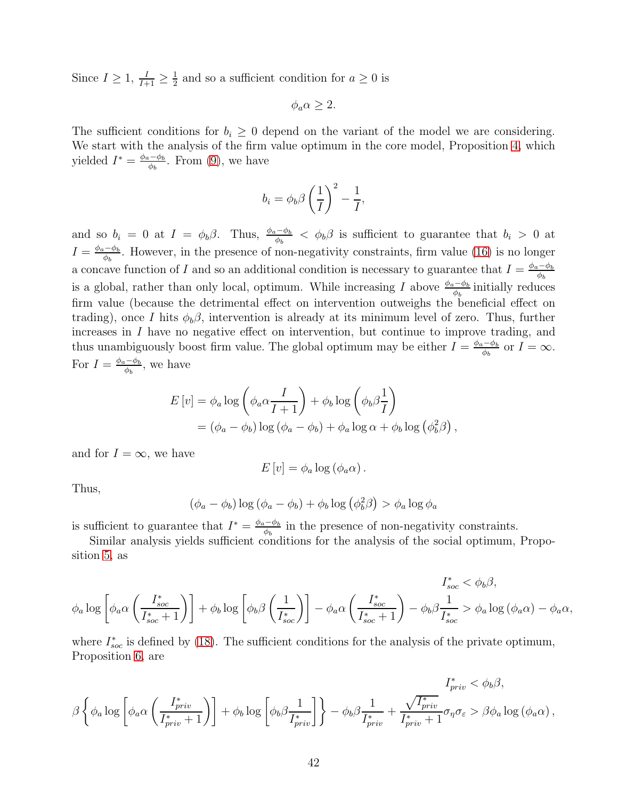Since  $I \geq 1$ ,  $\frac{I}{I+1} \geq \frac{1}{2}$  $\frac{1}{2}$  and so a sufficient condition for  $a \geq 0$  is

$$
\phi_a \alpha \geq 2.
$$

The sufficient conditions for  $b_i \geq 0$  depend on the variant of the model we are considering. We start with the analysis of the firm value optimum in the core model, Proposition [4,](#page-12-2) which yielded  $I^* = \frac{\phi_a - \phi_b}{\phi_b}$ . From [\(9\)](#page-10-0), we have

$$
b_i = \phi_b \beta \left(\frac{1}{I}\right)^2 - \frac{1}{I},
$$

and so  $b_i = 0$  at  $I = \phi_b \beta$ . Thus,  $\frac{\phi_a - \phi_b}{\phi_b} < \phi_b \beta$  is sufficient to guarantee that  $b_i > 0$  at  $I = \frac{\phi_a - \phi_b}{\phi_b}$ . However, in the presence of non-negativity constraints, firm value [\(16\)](#page-12-3) is no longer a concave function of I and so an additional condition is necessary to guarantee that  $I = \frac{\phi_a - \phi_b}{\phi_b}$ is a global, rather than only local, optimum. While increasing I above  $\frac{\phi_a-\phi_b}{\phi_b}$  initially reduces firm value (because the detrimental effect on intervention outweighs the beneficial effect on trading), once I hits  $\phi_b\beta$ , intervention is already at its minimum level of zero. Thus, further increases in I have no negative effect on intervention, but continue to improve trading, and thus unambiguously boost firm value. The global optimum may be either  $I = \frac{\phi_a - \phi_b}{\phi_b}$  or  $I = \infty$ . For  $I = \frac{\phi_a - \phi_b}{\phi_b}$ , we have

$$
E[v] = \phi_a \log \left( \phi_a \alpha \frac{I}{I+1} \right) + \phi_b \log \left( \phi_b \beta \frac{1}{I} \right)
$$
  
=  $(\phi_a - \phi_b) \log (\phi_a - \phi_b) + \phi_a \log \alpha + \phi_b \log (\phi_b^2 \beta),$ 

and for  $I = \infty$ , we have

$$
E[v] = \phi_a \log (\phi_a \alpha).
$$

Thus,

$$
(\phi_a - \phi_b) \log (\phi_a - \phi_b) + \phi_b \log (\phi_b^2 \beta) > \phi_a \log \phi_a
$$

is sufficient to guarantee that  $I^* = \frac{\phi_a - \phi_b}{\phi_b}$  in the presence of non-negativity constraints.

Similar analysis yields sufficient conditions for the analysis of the social optimum, Proposition [5,](#page-12-4) as

$$
I_{soc}^* < \phi_b \beta,
$$
  

$$
\phi_a \log \left[ \phi_a \alpha \left( \frac{I_{soc}^*}{I_{soc}^* + 1} \right) \right] + \phi_b \log \left[ \phi_b \beta \left( \frac{1}{I_{soc}^*} \right) \right] - \phi_a \alpha \left( \frac{I_{soc}^*}{I_{soc}^* + 1} \right) - \phi_b \beta \frac{1}{I_{soc}^*} > \phi_a \log \left( \phi_a \alpha \right) - \phi_a \alpha,
$$

where  $I_{soc}^*$  is defined by [\(18\)](#page-12-4). The sufficient conditions for the analysis of the private optimum, Proposition [6,](#page-13-1) are

$$
\beta \left\{ \phi_a \log \left[ \phi_a \alpha \left( \frac{I_{priv}^*}{I_{priv}^* + 1} \right) \right] + \phi_b \log \left[ \phi_b \beta \frac{1}{I_{priv}^*} \right] \right\} - \phi_b \beta \frac{1}{I_{priv}^*} + \frac{\sqrt{I_{priv}^*}}{I_{priv}^* + 1} \sigma_{\eta} \sigma_{\varepsilon} > \beta \phi_a \log \left( \phi_a \alpha \right),
$$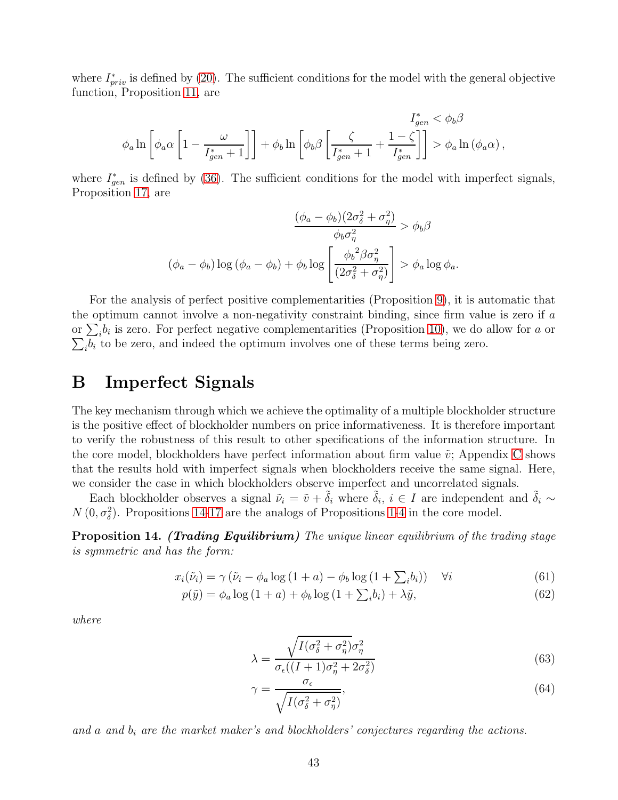where  $I^*_{priv}$  is defined by [\(20\)](#page-13-1). The sufficient conditions for the model with the general objective function, Proposition [11,](#page-19-1) are

$$
I_{gen}^{*} < \phi_b \beta
$$
  

$$
\phi_a \ln \left[ \phi_a \alpha \left[ 1 - \frac{\omega}{I_{gen}^{*} + 1} \right] \right] + \phi_b \ln \left[ \phi_b \beta \left[ \frac{\zeta}{I_{gen}^{*} + 1} + \frac{1 - \zeta}{I_{gen}^{*}} \right] \right] > \phi_a \ln \left( \phi_a \alpha \right),
$$

where  $I_{gen}^*$  is defined by [\(36\)](#page-19-1). The sufficient conditions for the model with imperfect signals, Proposition [17,](#page-43-0) are

$$
\frac{(\phi_a - \phi_b)(2\sigma_\delta^2 + \sigma_\eta^2)}{\phi_b \sigma_\eta^2} > \phi_b \beta
$$

$$
(\phi_a - \phi_b) \log (\phi_a - \phi_b) + \phi_b \log \left[ \frac{\phi_b^2 \beta \sigma_\eta^2}{(2\sigma_\delta^2 + \sigma_\eta^2)} \right] > \phi_a \log \phi_a.
$$

For the analysis of perfect positive complementarities (Proposition [9\)](#page-17-1), it is automatic that the optimum cannot involve a non-negativity constraint binding, since firm value is zero if a or  $\sum_i b_i$  is zero. For perfect negative complementarities (Proposition [10\)](#page-17-0), we do allow for a or  $\sum_i b_i$  to be zero, and indeed the optimum involves one of these terms being zero.

### <span id="page-42-0"></span>B Imperfect Signals

The key mechanism through which we achieve the optimality of a multiple blockholder structure is the positive effect of blockholder numbers on price informativeness. It is therefore important to verify the robustness of this result to other specifications of the information structure. In the core model, blockholders have perfect information about firm value  $\tilde{v}$ ; Appendix [C](#page-44-0) shows that the results hold with imperfect signals when blockholders receive the same signal. Here, we consider the case in which blockholders observe imperfect and uncorrelated signals.

Each blockholder observes a signal  $\tilde{\nu}_i = \tilde{v} + \tilde{\delta}_i$  where  $\tilde{\delta}_i$ ,  $i \in I$  are independent and  $\tilde{\delta}_i \sim$  $N(0, \sigma_{\delta}^2)$ . Propositions [14-](#page-42-1)[17](#page-43-0) are the analogs of Propositions [1](#page-9-2)[-4](#page-12-2) in the core model.

**Proposition 14. (Trading Equilibrium)** The unique linear equilibrium of the trading stage is symmetric and has the form:

$$
x_i(\tilde{\nu}_i) = \gamma (\tilde{\nu}_i - \phi_a \log (1 + a) - \phi_b \log (1 + \sum_i b_i)) \quad \forall i
$$
 (61)

$$
p(\tilde{y}) = \phi_a \log(1+a) + \phi_b \log(1+\sum_i b_i) + \lambda \tilde{y},\tag{62}
$$

where

$$
\lambda = \frac{\sqrt{I(\sigma_{\delta}^2 + \sigma_{\eta}^2)} \sigma_{\eta}^2}{\sigma_{\epsilon}((I+1)\sigma_{\eta}^2 + 2\sigma_{\delta}^2)}
$$
(63)

<span id="page-42-1"></span>
$$
\gamma = \frac{\sigma_{\epsilon}}{\sqrt{I(\sigma_{\delta}^2 + \sigma_{\eta}^2)}},\tag{64}
$$

<span id="page-42-2"></span>and  $a$  and  $b_i$  are the market maker's and blockholders' conjectures regarding the actions.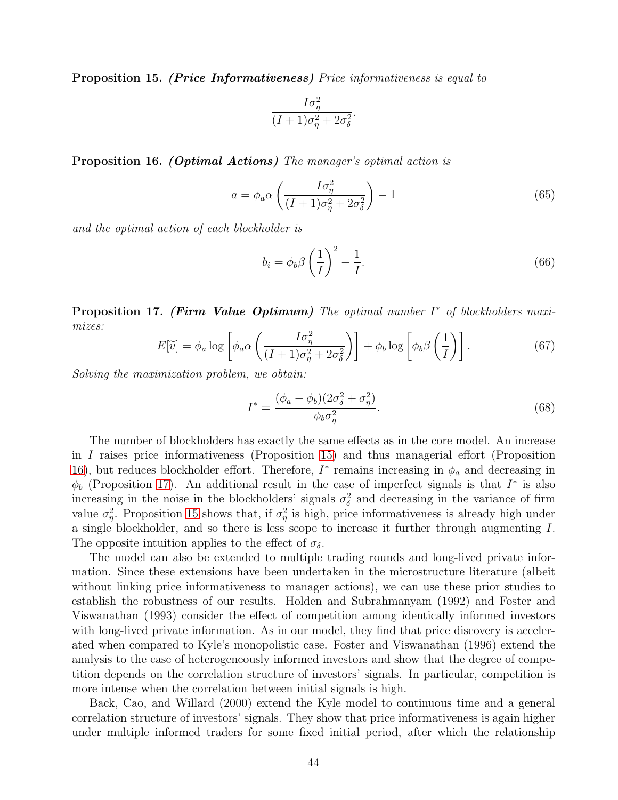Proposition 15. (Price Informativeness) Price informativeness is equal to

$$
\frac{I\sigma_{\eta}^2}{(I+1)\sigma_{\eta}^2 + 2\sigma_{\delta}^2}.
$$

Proposition 16. (Optimal Actions) The manager's optimal action is

$$
a = \phi_a \alpha \left( \frac{I \sigma_\eta^2}{(I+1)\sigma_\eta^2 + 2\sigma_\delta^2} \right) - 1 \tag{65}
$$

and the optimal action of each blockholder is

<span id="page-43-1"></span>
$$
b_i = \phi_b \beta \left(\frac{1}{I}\right)^2 - \frac{1}{I}.\tag{66}
$$

<span id="page-43-0"></span>**Proposition 17. (Firm Value Optimum)** The optimal number  $I^*$  of blockholders maximizes:

$$
E[\widetilde{v}] = \phi_a \log \left[ \phi_a \alpha \left( \frac{I \sigma_\eta^2}{(I+1)\sigma_\eta^2 + 2\sigma_\delta^2} \right) \right] + \phi_b \log \left[ \phi_b \beta \left( \frac{1}{I} \right) \right]. \tag{67}
$$

Solving the maximization problem, we obtain:

$$
I^* = \frac{(\phi_a - \phi_b)(2\sigma_\delta^2 + \sigma_\eta^2)}{\phi_b \sigma_\eta^2}.
$$
\n(68)

The number of blockholders has exactly the same effects as in the core model. An increase in I raises price informativeness (Proposition [15\)](#page-42-2) and thus managerial effort (Proposition [16\)](#page-43-1), but reduces blockholder effort. Therefore,  $I^*$  remains increasing in  $\phi_a$  and decreasing in  $\phi_b$  (Proposition [17\)](#page-43-0). An additional result in the case of imperfect signals is that  $I^*$  is also increasing in the noise in the blockholders' signals  $\sigma_{\delta}^2$  and decreasing in the variance of firm value  $\sigma_{\eta}^2$ . Proposition [15](#page-42-2) shows that, if  $\sigma_{\eta}^2$  is high, price informativeness is already high under a single blockholder, and so there is less scope to increase it further through augmenting I. The opposite intuition applies to the effect of  $\sigma_{\delta}$ .

The model can also be extended to multiple trading rounds and long-lived private information. Since these extensions have been undertaken in the microstructure literature (albeit without linking price informativeness to manager actions), we can use these prior studies to establish the robustness of our results. Holden and Subrahmanyam (1992) and Foster and Viswanathan (1993) consider the effect of competition among identically informed investors with long-lived private information. As in our model, they find that price discovery is accelerated when compared to Kyle's monopolistic case. Foster and Viswanathan (1996) extend the analysis to the case of heterogeneously informed investors and show that the degree of competition depends on the correlation structure of investors' signals. In particular, competition is more intense when the correlation between initial signals is high.

Back, Cao, and Willard (2000) extend the Kyle model to continuous time and a general correlation structure of investors' signals. They show that price informativeness is again higher under multiple informed traders for some fixed initial period, after which the relationship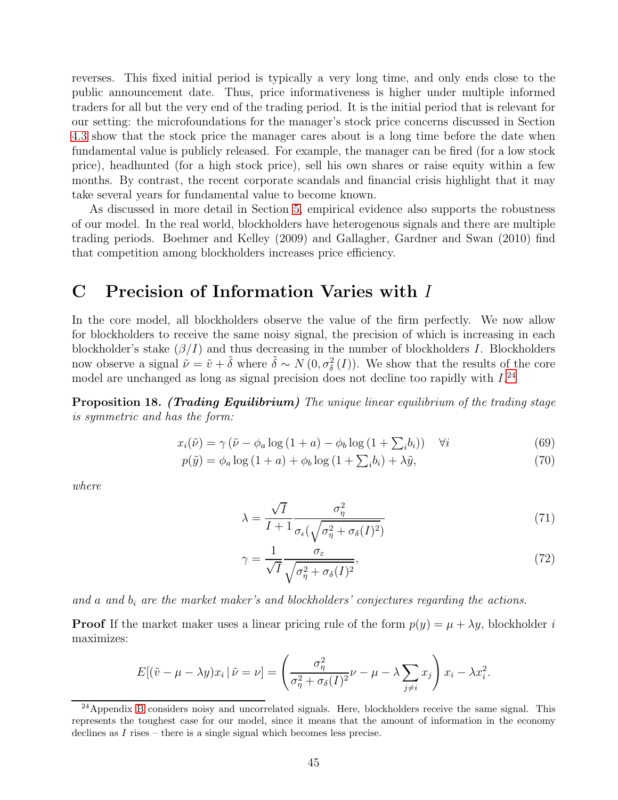reverses. This fixed initial period is typically a very long time, and only ends close to the public announcement date. Thus, price informativeness is higher under multiple informed traders for all but the very end of the trading period. It is the initial period that is relevant for our setting: the microfoundations for the manager's stock price concerns discussed in Section [4.3](#page-18-0) show that the stock price the manager cares about is a long time before the date when fundamental value is publicly released. For example, the manager can be fired (for a low stock price), headhunted (for a high stock price), sell his own shares or raise equity within a few months. By contrast, the recent corporate scandals and financial crisis highlight that it may take several years for fundamental value to become known.

As discussed in more detail in Section [5,](#page-21-0) empirical evidence also supports the robustness of our model. In the real world, blockholders have heterogenous signals and there are multiple trading periods. Boehmer and Kelley (2009) and Gallagher, Gardner and Swan (2010) find that competition among blockholders increases price efficiency.

# <span id="page-44-0"></span>C Precision of Information Varies with I

In the core model, all blockholders observe the value of the firm perfectly. We now allow for blockholders to receive the same noisy signal, the precision of which is increasing in each blockholder's stake  $(\beta/I)$  and thus decreasing in the number of blockholders I. Blockholders now observe a signal  $\tilde{\nu} = \tilde{v} + \tilde{\delta}$  where  $\tilde{\delta} \sim N(0, \sigma_{\delta}^2(I))$ . We show that the results of the core model are unchanged as long as signal precision does not decline too rapidly with  $I^{24}$ .

**Proposition 18. (Trading Equilibrium)** The unique linear equilibrium of the trading stage is symmetric and has the form:

$$
x_i(\tilde{\nu}) = \gamma (\tilde{\nu} - \phi_a \log (1 + a) - \phi_b \log (1 + \sum_i b_i)) \quad \forall i
$$
 (69)

$$
p(\tilde{y}) = \phi_a \log(1+a) + \phi_b \log(1+\sum_i b_i) + \lambda \tilde{y},\tag{70}
$$

where

$$
\lambda = \frac{\sqrt{I}}{I + 1} \frac{\sigma_{\eta}^2}{\sigma_{\epsilon}(\sqrt{\sigma_{\eta}^2 + \sigma_{\delta}(I)^2})}
$$
(71)

$$
\gamma = \frac{1}{\sqrt{I}} \frac{\sigma_{\varepsilon}}{\sqrt{\sigma_{\eta}^2 + \sigma_{\delta}(I)^2}},\tag{72}
$$

and a and  $b_i$  are the market maker's and blockholders' conjectures regarding the actions.

**Proof** If the market maker uses a linear pricing rule of the form  $p(y) = \mu + \lambda y$ , blockholder i maximizes:

$$
E[(\tilde{v} - \mu - \lambda y)x_i | \tilde{\nu} = \nu] = \left(\frac{\sigma_{\eta}^2}{\sigma_{\eta}^2 + \sigma_{\delta}(I)^2} \nu - \mu - \lambda \sum_{j \neq i} x_j\right) x_i - \lambda x_i^2.
$$

 $^{24}$ Appendix [B](#page-42-0) considers noisy and uncorrelated signals. Here, blockholders receive the same signal. This represents the toughest case for our model, since it means that the amount of information in the economy declines as  $I$  rises – there is a single signal which becomes less precise.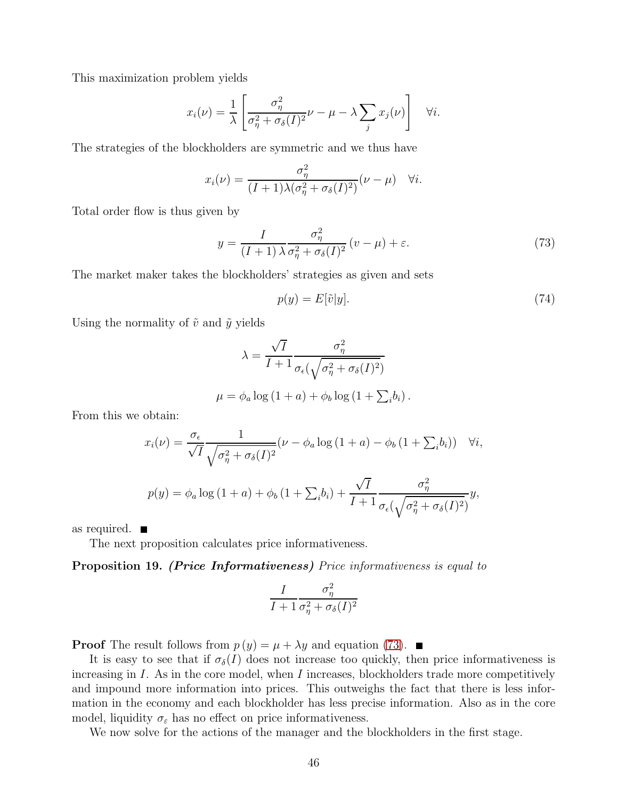This maximization problem yields

$$
x_i(\nu) = \frac{1}{\lambda} \left[ \frac{\sigma_{\eta}^2}{\sigma_{\eta}^2 + \sigma_{\delta}(I)^2} \nu - \mu - \lambda \sum_j x_j(\nu) \right] \quad \forall i.
$$

The strategies of the blockholders are symmetric and we thus have

$$
x_i(\nu) = \frac{\sigma_\eta^2}{(I+1)\lambda(\sigma_\eta^2 + \sigma_\delta(I)^2)}(\nu - \mu) \quad \forall i.
$$

Total order flow is thus given by

<span id="page-45-0"></span>
$$
y = \frac{I}{(I+1)\lambda} \frac{\sigma_{\eta}^2}{\sigma_{\eta}^2 + \sigma_{\delta}(I)^2} (v - \mu) + \varepsilon.
$$
 (73)

The market maker takes the blockholders' strategies as given and sets

$$
p(y) = E[\tilde{v}|y].\tag{74}
$$

Using the normality of  $\tilde{v}$  and  $\tilde{y}$  yields

$$
\lambda = \frac{\sqrt{I}}{I+1} \frac{\sigma_{\eta}^2}{\sigma_{\epsilon}(\sqrt{\sigma_{\eta}^2 + \sigma_{\delta}(I)^2})}
$$

$$
\mu = \phi_a \log(1+a) + \phi_b \log(1+\sum_i b_i).
$$

From this we obtain:

$$
x_i(\nu) = \frac{\sigma_{\epsilon}}{\sqrt{I}} \frac{1}{\sqrt{\sigma_{\eta}^2 + \sigma_{\delta}(I)^2}} (\nu - \phi_a \log(1 + a) - \phi_b (1 + \sum_i b_i)) \quad \forall i,
$$
  

$$
p(y) = \phi_a \log(1 + a) + \phi_b (1 + \sum_i b_i) + \frac{\sqrt{I}}{I + 1} \frac{\sigma_{\eta}^2}{\sigma_{\epsilon}(\sqrt{\sigma_{\eta}^2 + \sigma_{\delta}(I)^2})} y,
$$

<span id="page-45-1"></span>as required.

The next proposition calculates price informativeness.

Proposition 19. (Price Informativeness) Price informativeness is equal to

$$
\frac{I}{I+1} \frac{\sigma_{\eta}^2}{\sigma_{\eta}^2 + \sigma_{\delta}(I)^2}
$$

**Proof** The result follows from  $p(y) = \mu + \lambda y$  and equation [\(73\)](#page-45-0).

It is easy to see that if  $\sigma_{\delta}(I)$  does not increase too quickly, then price informativeness is increasing in  $I$ . As in the core model, when  $I$  increases, blockholders trade more competitively and impound more information into prices. This outweighs the fact that there is less information in the economy and each blockholder has less precise information. Also as in the core model, liquidity  $\sigma_{\varepsilon}$  has no effect on price informativeness.

We now solve for the actions of the manager and the blockholders in the first stage.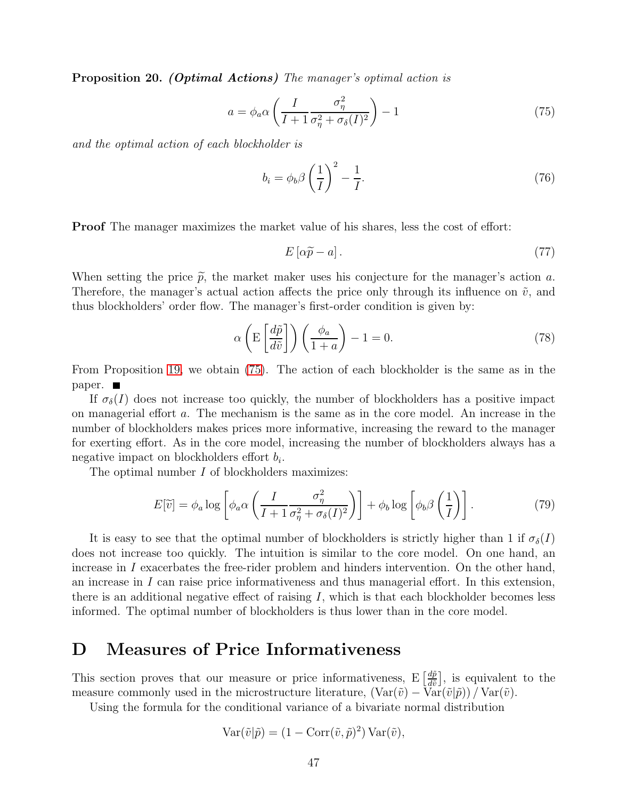Proposition 20. (Optimal Actions) The manager's optimal action is

$$
a = \phi_a \alpha \left( \frac{I}{I + 1} \frac{\sigma_\eta^2}{\sigma_\eta^2 + \sigma_\delta(I)^2} \right) - 1 \tag{75}
$$

and the optimal action of each blockholder is

<span id="page-46-1"></span>
$$
b_i = \phi_b \beta \left(\frac{1}{I}\right)^2 - \frac{1}{I}.\tag{76}
$$

Proof The manager maximizes the market value of his shares, less the cost of effort:

$$
E\left[\alpha \widetilde{p} - a\right].\tag{77}
$$

When setting the price  $\tilde{p}$ , the market maker uses his conjecture for the manager's action a. Therefore, the manager's actual action affects the price only through its influence on  $\tilde{v}$ , and thus blockholders' order flow. The manager's first-order condition is given by:

$$
\alpha \left( \mathcal{E} \left[ \frac{d\tilde{p}}{d\tilde{v}} \right] \right) \left( \frac{\phi_a}{1+a} \right) - 1 = 0. \tag{78}
$$

From Proposition [19,](#page-45-1) we obtain [\(75\)](#page-46-1). The action of each blockholder is the same as in the paper.

If  $\sigma_{\delta}(I)$  does not increase too quickly, the number of blockholders has a positive impact on managerial effort a. The mechanism is the same as in the core model. An increase in the number of blockholders makes prices more informative, increasing the reward to the manager for exerting effort. As in the core model, increasing the number of blockholders always has a negative impact on blockholders effort  $b_i$ .

The optimal number I of blockholders maximizes:

$$
E[\tilde{v}] = \phi_a \log \left[ \phi_a \alpha \left( \frac{I}{I + 1} \frac{\sigma_\eta^2}{\sigma_\eta^2 + \sigma_\delta(I)^2} \right) \right] + \phi_b \log \left[ \phi_b \beta \left( \frac{1}{I} \right) \right]. \tag{79}
$$

It is easy to see that the optimal number of blockholders is strictly higher than 1 if  $\sigma_{\delta}(I)$ does not increase too quickly. The intuition is similar to the core model. On one hand, an increase in I exacerbates the free-rider problem and hinders intervention. On the other hand, an increase in I can raise price informativeness and thus managerial effort. In this extension, there is an additional negative effect of raising  $I$ , which is that each blockholder becomes less informed. The optimal number of blockholders is thus lower than in the core model.

## <span id="page-46-0"></span>D Measures of Price Informativeness

This section proves that our measure or price informativeness,  $E\left[\frac{d\tilde{p}}{d\tilde{n}}\right]$  $\left(\frac{d\tilde{p}}{d\tilde{v}}\right)$ , is equivalent to the measure commonly used in the microstructure literature,  $(\text{Var}(\tilde{v}) - \text{Var}(\tilde{v}|\tilde{p})) / \text{Var}(\tilde{v})$ .

Using the formula for the conditional variance of a bivariate normal distribution

$$
Var(\tilde{v}|\tilde{p}) = (1 - Corr(\tilde{v}, \tilde{p})^2) Var(\tilde{v}),
$$